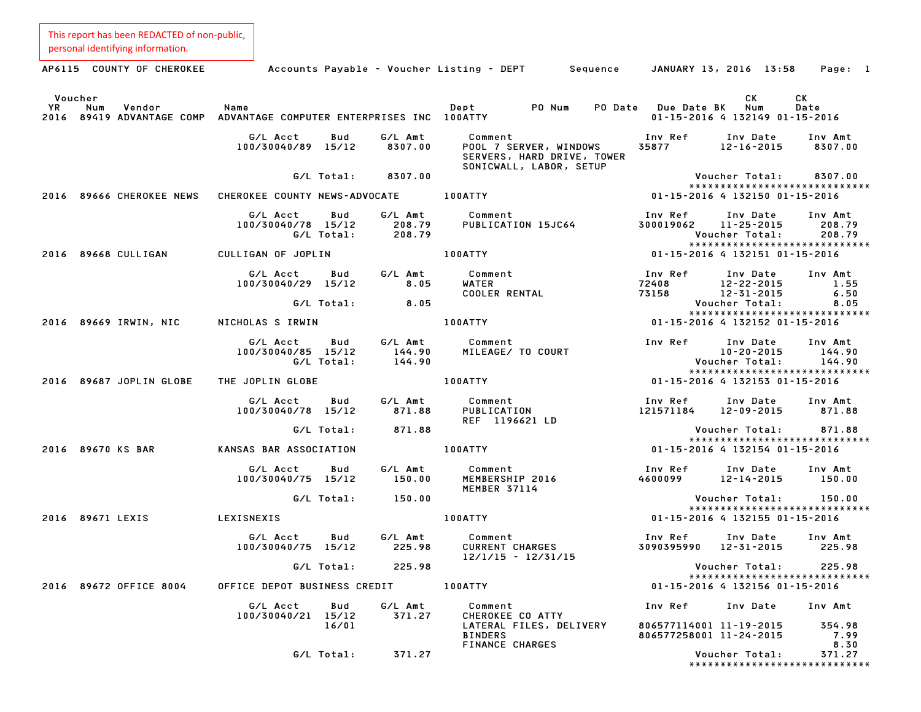| This report has been REDACTED of non-public,<br>personal identifying information. |                                                     |                             |                                                                                            |                                                    |                                                                                 |                                  |
|-----------------------------------------------------------------------------------|-----------------------------------------------------|-----------------------------|--------------------------------------------------------------------------------------------|----------------------------------------------------|---------------------------------------------------------------------------------|----------------------------------|
| AP6115 COUNTY OF CHEROKEE                                                         |                                                     |                             | Accounts Payable – Voucher Listing – DEPT<br>Sequence                                      |                                                    | JANUARY 13, 2016 13:58                                                          | Page: 1                          |
| Voucher<br>YR<br>Num<br>Vendor<br>2016 89419 ADVANTAGE COMP                       | Name<br>ADVANTAGE COMPUTER ENTERPRISES INC 100ATTY  |                             | Dept<br>PO Num<br>PO Date                                                                  | <b>Due Date BK</b>                                 | СK<br>Num<br>01-15-2016 4 132149 01-15-2016                                     | CK<br>Date                       |
|                                                                                   | G/L Acct<br>Bud<br>100/30040/89 15/12               | G/L Amt<br>8307.00          | Comment<br>POOL 7 SERVER, WINDOWS<br>SERVERS, HARD DRIVE, TOWER<br>SONICWALL, LABOR, SETUP | Inv Ref<br>35877                                   | Inv Date<br>12-16-2015                                                          | Inv Amt<br>8307.00               |
|                                                                                   | G/L Total:                                          | 8307.00                     |                                                                                            |                                                    | Voucher Total:<br>*****************************                                 | 8307.00                          |
| 2016 89666 CHEROKEE NEWS                                                          | CHEROKEE COUNTY NEWS-ADVOCATE                       |                             | 100ATTY                                                                                    |                                                    | 01-15-2016 4 132150 01-15-2016                                                  |                                  |
|                                                                                   | G/L Acct<br>Bud<br>100/30040/78 15/12<br>G/L Total: | G/L Amt<br>208.79<br>208.79 | Comment<br>PUBLICATION 15JC64                                                              | Inv Ref<br>300019062                               | Inv Date<br>11-25-2015<br>Voucher Total:<br>*****************************       | Inv Amt<br>208.79<br>208.79      |
| 2016 89668 CULLIGAN                                                               | CULLIGAN OF JOPLIN                                  |                             | 100ATTY                                                                                    |                                                    | 01-15-2016 4 132151 01-15-2016                                                  |                                  |
|                                                                                   | G/L Acct<br>Bud<br>100/30040/29 15/12               | G/L Amt<br>8.05             | Comment<br><b>WATER</b><br><b>COOLER RENTAL</b>                                            | Inv Ref<br>72408<br>73158                          | Inv Date<br>12-22-2015<br>$12 - 31 - 2015$                                      | Inv Amt<br>1.55<br>6.50          |
|                                                                                   | G/L Total:                                          | 8.05                        |                                                                                            |                                                    | Voucher Total:<br>*****************************                                 | 8.05                             |
| 2016 89669 IRWIN, NIC                                                             | NICHOLAS S IRWIN                                    |                             | 100ATTY                                                                                    |                                                    | 01-15-2016 4 132152 01-15-2016                                                  |                                  |
|                                                                                   | G/L Acct<br>Bud<br>100/30040/85 15/12<br>G/L Total: | G/L Amt<br>144.90<br>144.90 | Comment<br>MILEAGE/ TO COURT                                                               | Inv Ref                                            | Inv Date<br>$10 - 20 - 2015$<br>Voucher Total:<br>***************************** | Inv Amt<br>144.90<br>144.90      |
| 2016 89687 JOPLIN GLOBE                                                           | THE JOPLIN GLOBE                                    |                             | 100ATTY                                                                                    |                                                    | 01-15-2016 4 132153 01-15-2016                                                  |                                  |
|                                                                                   | G/L Acct<br>Bud<br>100/30040/78 15/12               | G/L Amt<br>871.88           | Comment<br>PUBLICATION<br>REF 1196621 LD                                                   | Inv Ref<br>121571184                               | Inv Date<br>12-09-2015                                                          | Inv Amt<br>871.88                |
|                                                                                   | G/L Total:                                          | 871.88                      |                                                                                            |                                                    | Voucher Total:<br>*****************************                                 | 871.88                           |
| 2016 89670 KS BAR                                                                 | KANSAS BAR ASSOCIATION                              |                             | 100ATTY                                                                                    |                                                    | 01-15-2016 4 132154 01-15-2016                                                  |                                  |
|                                                                                   | G/L Acct<br>Bud<br>100/30040/75 15/12               | G/L Amt<br>150.00           | Comment<br>MEMBERSHIP 2016<br>MEMBER 37114                                                 | Inv Ref<br>4600099                                 | Inv Date<br>12-14-2015                                                          | Inv Amt<br>150.00                |
|                                                                                   | G/L Total:                                          | 150.00                      |                                                                                            |                                                    | Voucher Total:                                                                  | 150.00                           |
| 2016 89671 LEXIS                                                                  | <b>LEXISNEXIS</b>                                   |                             | 100ATTY                                                                                    |                                                    | 01-15-2016 4 132155 01-15-2016                                                  | *****************************    |
|                                                                                   | G/L Acct<br>Bud<br>100/30040/75 15/12               | G/L Amt                     | Comment<br>225.98 CURRENT CHARGES<br>$12/1/15 - 12/31/15$                                  | Inv Ref                                            | Inv Date<br>3090395990 12-31-2015                                               | Inv Amt<br>225.98                |
|                                                                                   | G/L Total:                                          | 225.98                      |                                                                                            |                                                    | Voucher Total:                                                                  | 225.98                           |
| 2016 89672 OFFICE 8004                                                            | OFFICE DEPOT BUSINESS CREDIT                        |                             | <b>100ATTY</b>                                                                             |                                                    | 01-15-2016 4 132156 01-15-2016                                                  | *****************************    |
|                                                                                   | G/L Acct<br>Bud<br>100/30040/21 15/12               | G/L Amt<br>371.27           | Comment<br>CHEROKEE CO ATTY                                                                | Inv Ref                                            | Inv Date                                                                        | Inv Amt                          |
|                                                                                   | 16/01<br>G/L Total:                                 | 371.27                      | LATERAL FILES, DELIVERY<br><b>BINDERS</b><br><b>FINANCE CHARGES</b>                        | 806577114001 11-19-2015<br>806577258001 11-24-2015 |                                                                                 | 354.98<br>7.99<br>8.30<br>371.27 |
|                                                                                   |                                                     |                             |                                                                                            |                                                    | Voucher Total:                                                                  | ******************************   |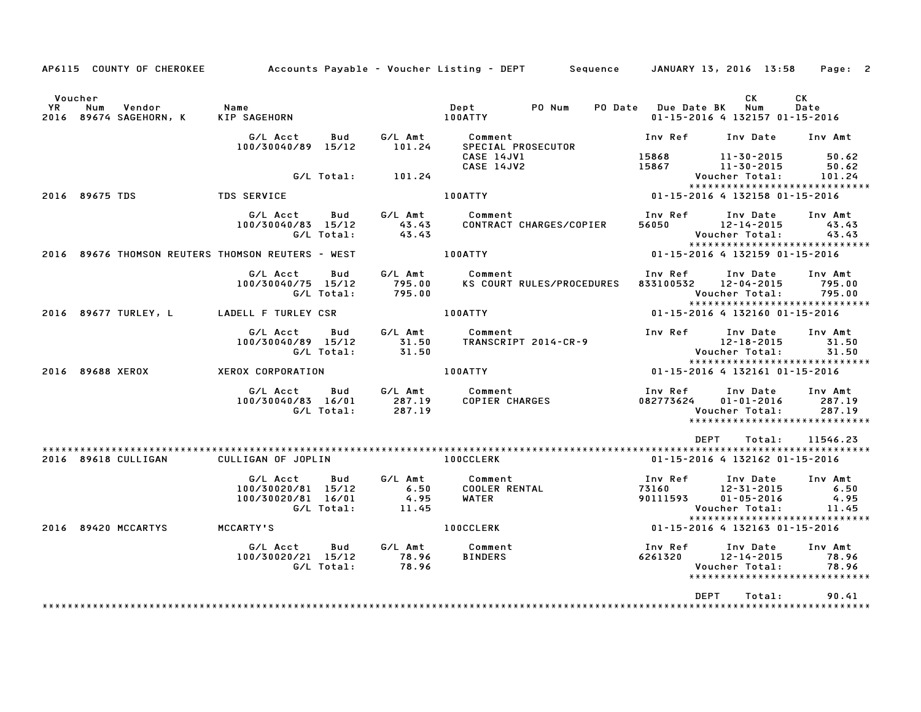|               |                  | AP6115 COUNTY OF CHEROKEE        |                                                      |                   |                                  | Accounts Payable – Voucher Listing – DEPT         Sequence     JANUARY 13, 2016  13:58 |                                |                                                              | Page: 2                                                      |
|---------------|------------------|----------------------------------|------------------------------------------------------|-------------------|----------------------------------|----------------------------------------------------------------------------------------|--------------------------------|--------------------------------------------------------------|--------------------------------------------------------------|
| Voucher<br>YR | Num              | Vendor<br>2016 89674 SAGEHORN, K | Name<br>KIP SAGEHORN                                 |                   |                                  | PO Num<br>Dept<br>100ATTY                                                              | PO Date Due Date BK            | СK<br>Num<br>01-15-2016 4 132157 01-15-2016                  | <b>CK</b><br>Date                                            |
|               |                  |                                  | G/L Acct<br>100/30040/89 15/12                       | Bud               | G/L Amt<br>101.24                | Comment<br>SPECIAL PROSECUTOR                                                          | Inv Ref                        | Inv Date                                                     | Inv Amt                                                      |
|               |                  |                                  |                                                      | G/L Total:        | 101.24                           | CASE 14JV1<br>CASE 14JV2                                                               | 15868<br>15867                 | 11-30-2015<br>11-30-2015<br>Voucher Total:                   | 50.62<br>50.62<br>101.24                                     |
|               | 2016 89675 TDS   |                                  | <b>TDS SERVICE</b>                                   |                   |                                  | 100ATTY                                                                                | 01-15-2016 4 132158 01-15-2016 |                                                              | *****************************                                |
|               |                  |                                  | G/L Acct<br>100/30040/83 15/12                       | Bud<br>G/L Total: | G/L Amt<br>43.43<br>43.43        | Comment<br>CONTRACT CHARGES/COPIER                                                     | Inv Ref<br>56050               | Inv Date<br>12-14-2015<br>Voucher Total:                     | Inv Amt<br>43.43<br>43.43<br>*****************************   |
|               |                  |                                  | 2016 89676 THOMSON REUTERS THOMSON REUTERS - WEST    |                   |                                  | 100ATTY                                                                                |                                | 01-15-2016 4 132159 01-15-2016                               |                                                              |
|               |                  |                                  | G/L Acct<br>100/30040/75 15/12                       | Bud<br>G/L Total: | G/L Amt<br>795.00<br>795.00      | Comment<br>KS COURT RULES/PROCEDURES                                                   | Inv Ref<br>833100532           | Inv Date<br>12-04-2015<br>Voucher Total:                     | Inv Amt<br>795.00<br>795.00<br>***************************** |
|               |                  | 2016 89677 TURLEY, L             | LADELL F TURLEY CSR                                  |                   |                                  | 100ATTY                                                                                |                                | 01-15-2016 4 132160 01-15-2016                               |                                                              |
|               |                  |                                  | G/L Acct<br>100/30040/89 15/12                       | Bud<br>G/L Total: | G/L Amt<br>31.50<br>31.50        | Comment<br>TRANSCRIPT 2014-CR-9                                                        | Inv Ref                        | Inv Date<br>12-18-2015<br>Voucher Total:                     | Inv Amt<br>31.50<br>31.50<br>*****************************   |
|               | 2016 89688 XEROX |                                  | XEROX CORPORATION                                    |                   |                                  | <b>100ATTY</b>                                                                         | 01-15-2016 4 132161 01-15-2016 |                                                              |                                                              |
|               |                  |                                  | G/L Acct<br>100/30040/83 16/01                       | Bud<br>G/L Total: | G/L Amt<br>287.19<br>287.19      | Comment<br>COPIER CHARGES                                                              | Inv Ref<br>082773624           | Inv Date<br>$01 - 01 - 2016$<br>Voucher Total:               | Inv Amt<br>287.19<br>287.19<br>***************************** |
|               |                  | 2016 89618 CULLIGAN              | CULLIGAN OF JOPLIN                                   |                   |                                  | <b>100CCLERK</b>                                                                       | DEPT                           | Total:<br>01-15-2016 4 132162 01-15-2016                     | 11546.23                                                     |
|               |                  |                                  | G/L Acct<br>100/30020/81 15/12<br>100/30020/81 16/01 | Bud<br>G/L Total: | G/L Amt<br>6.50<br>4.95<br>11.45 | Comment<br><b>COOLER RENTAL</b><br>WATER                                               | Inv Ref<br>73160<br>90111593   | Inv Date<br>12-31-2015<br>$01 - 05 - 2016$<br>Voucher Total: | Inv Amt<br>6.50<br>4.95<br>11.45                             |
|               |                  | 2016 89420 MCCARTYS              | MCCARTY'S                                            |                   |                                  | <b>100CCLERK</b>                                                                       | 01-15-2016 4 132163 01-15-2016 |                                                              | *****************************                                |
|               |                  |                                  | G/L Acct<br>100/30020/21 15/12                       | Bud<br>G/L Total: | G/L Amt<br>78.96<br>78.96        | Comment<br><b>BINDERS</b>                                                              | Inv Ref<br>6261320             | Inv Date<br>12-14-2015<br>Voucher Total:                     | Inv Amt<br>78.96<br>78.96<br>*****************************   |
|               |                  |                                  |                                                      |                   |                                  |                                                                                        | <b>DEPT</b>                    | Total:                                                       | 90.41<br>*********************                               |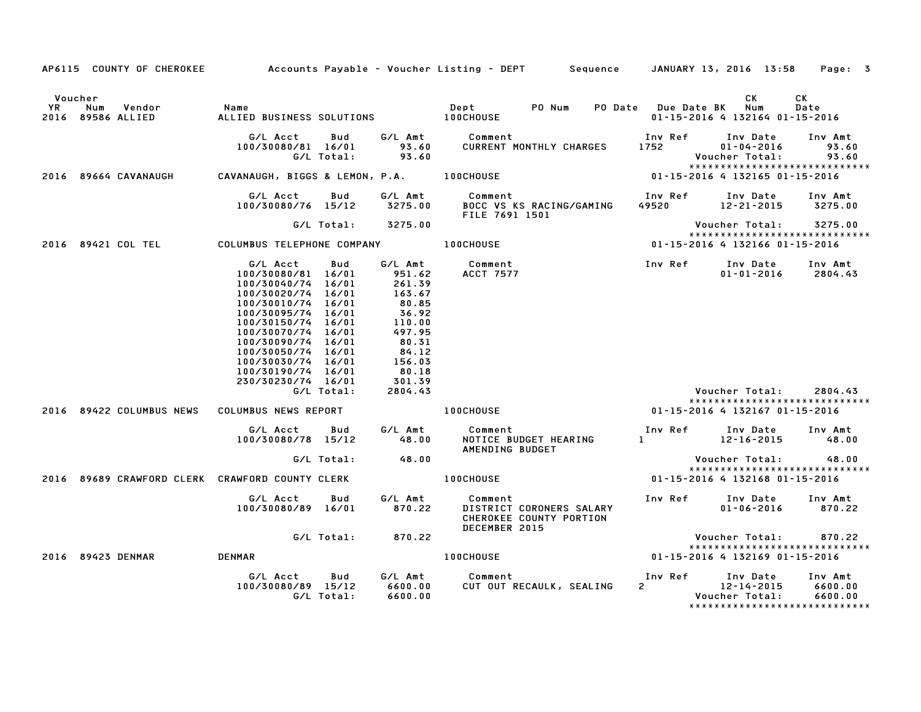|           |                                                                                |                                                                                                                                                                                                                                                                                                                                               |                   |                                                                                                                                                    | AP6115 COUNTY OF CHEROKEE Accounts Payable - Voucher Listing - DEPT Sequence JANUARY 13, 2016 13:58 Page: 3 |                 |                                                                                                                                                    |                               |
|-----------|--------------------------------------------------------------------------------|-----------------------------------------------------------------------------------------------------------------------------------------------------------------------------------------------------------------------------------------------------------------------------------------------------------------------------------------------|-------------------|----------------------------------------------------------------------------------------------------------------------------------------------------|-------------------------------------------------------------------------------------------------------------|-----------------|----------------------------------------------------------------------------------------------------------------------------------------------------|-------------------------------|
| <b>YR</b> | Voucher<br>Num Vendor<br>2016 89586 ALLIED                                     | Name                                                                                                                                                                                                                                                                                                                                          |                   |                                                                                                                                                    |                                                                                                             |                 | CK<br>01-15-2016 4 132164 01-15-2016                                                                                                               | CK<br>Date                    |
|           |                                                                                | G/L Acct<br>$100/30080/81$ $16/01$ 93.60                                                                                                                                                                                                                                                                                                      | Bud<br>G/L Total: | 93.60                                                                                                                                              | G/L Amt Comment<br>CURRENT MONTHLY CHARGES                                                                  | Inv Ref<br>1752 | Inv Date<br>$01 - 04 - 2016$<br>Voucher Total:                                                                                                     | Inv Amt<br>93.60<br>93.60     |
|           |                                                                                |                                                                                                                                                                                                                                                                                                                                               |                   |                                                                                                                                                    | 2016 89664 CAVANAUGH CAVANAUGH, BIGGS & LEMON, P.A. 100CHOUSE 1988 1998 1998 1998 1998 1998 1999 10-15-2016 |                 |                                                                                                                                                    |                               |
|           |                                                                                | G/L Acct                                                                                                                                                                                                                                                                                                                                      | Bud               |                                                                                                                                                    | G/L Amt Comment<br>100/30080/76 15/12 3275.00 BOCC VS KS RACING/GAMING<br>FILE 7691 1501                    |                 |                                                                                                                                                    |                               |
|           |                                                                                |                                                                                                                                                                                                                                                                                                                                               |                   | G/L Total: 3275.00                                                                                                                                 |                                                                                                             |                 | Voucher Total:       3275.00                                                                                                                       |                               |
|           | 2016 89421 COL TEL            COLUMBUS TELEPHONE COMPANY             100CHOUSE |                                                                                                                                                                                                                                                                                                                                               |                   |                                                                                                                                                    |                                                                                                             |                 | *****************************<br>$01 - 15 - 2016$ 4 132166 01-15-2016                                                                              |                               |
|           |                                                                                | G/L Acct Bud<br>$100/30080/81$ $16/01$ 951.62<br>$100/30040/74$ $16/01$ 261.39<br>$100/30020/76$ $16/01$ $167/77$<br>100/30020/74 16/01<br>100/30010/74 16/01<br>100/30095/74 16/01<br>100/30150/74 16/01<br>100/30070/74 16/01<br>100/30090/74 16/01<br>100/30050/74 16/01<br>100/30030/74 16/01<br>100/30190/74 16/01<br>230/30230/74 16/01 | G/L Total:        | $163.67$<br>80.85<br>36.92<br>$110.00$<br>$\begin{array}{r} 110.0 \\ 497.95 \\ 80.31 \\ 84.12 \\ 156.03 \\ 80.18 \\ 301.39 \\ 2804.43 \end{array}$ | G/L Amt Comment<br><b>ACCT 7577</b><br>2016 89422 COLUMBUS NEWS COLUMBUS NEWS REPORT THE REPORT RESIDENCE   |                 | Inv Ref      Inv Date     Inv Amt<br>$01 - 01 - 2016$ 2804.43<br>Voucher Total:<br>*****************************<br>01-15-2016 4 132167 01-15-2016 | 2804.43                       |
|           |                                                                                | G/L Acct        Bud         G/L Amt<br>100/30080/78 15/12 48.00                                                                                                                                                                                                                                                                               |                   |                                                                                                                                                    | <b>Comment</b><br>Comment<br>NOTICE BUDGET HEARING<br>12-16-2015 48.00                                      |                 |                                                                                                                                                    |                               |
|           |                                                                                |                                                                                                                                                                                                                                                                                                                                               |                   | G/L Total: 48.00                                                                                                                                   | AMENDING BUDGET                                                                                             |                 |                                                                                                                                                    |                               |
|           |                                                                                |                                                                                                                                                                                                                                                                                                                                               |                   |                                                                                                                                                    |                                                                                                             |                 | Voucher Total: 48.00<br>*****************************                                                                                              |                               |
|           | 2016 89689 CRAWFORD CLERK CRAWFORD COUNTY CLERK                                |                                                                                                                                                                                                                                                                                                                                               |                   |                                                                                                                                                    | <b>100CHOUSE</b>                                                                                            |                 | 01-15-2016 4 132168 01-15-2016                                                                                                                     |                               |
|           |                                                                                | G/L Acct<br>100/30080/89 16/01 870.22                                                                                                                                                                                                                                                                                                         |                   |                                                                                                                                                    | Bud G/L Amt Comment<br>CHEROKEE COUNTY PORTION<br>DECEMBER 2015                                             |                 | $01 - 06 - 2016$ 870.22                                                                                                                            |                               |
|           |                                                                                |                                                                                                                                                                                                                                                                                                                                               |                   | G/L Total: 870.22                                                                                                                                  |                                                                                                             |                 | Voucher Total:                                                                                                                                     | 870.22                        |
|           | 2016 89423 DENMAR                                                              | <b>DENMAR</b>                                                                                                                                                                                                                                                                                                                                 |                   |                                                                                                                                                    | <b>100CHOUSE</b>                                                                                            |                 | *****************************<br>01-15-2016 4 132169 01-15-2016                                                                                    |                               |
|           |                                                                                | G/L Acct<br>100/30080/89 15/12                                                                                                                                                                                                                                                                                                                | Bud<br>G/L Total: | 6600.00<br>6600.00                                                                                                                                 | G/L Amt Comment<br>CUT OUT RECAULK, SEALING                                                                 | Inv Ref<br>2    | Inv Date<br>12-14-2015<br>Voucher Total:<br>*****************************                                                                          | Inv Amt<br>6600.00<br>6600.00 |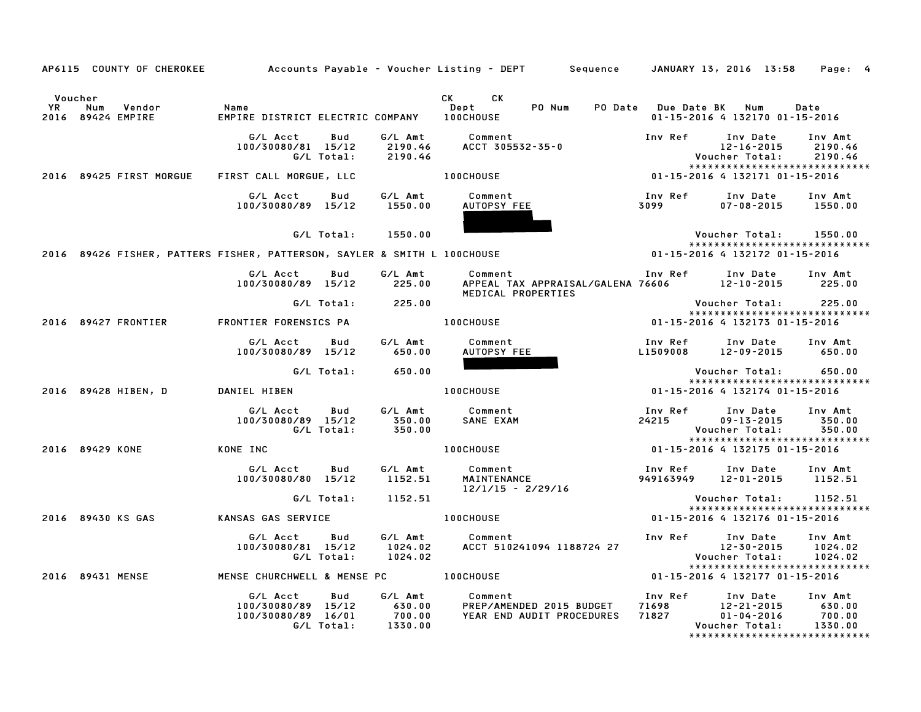|           | AP6115 COUNTY OF CHEROKEE                     |                                                                           |                                        | Accounts Payable – Voucher Listing – DEPT         Sequence     JANUARY 13, 2016  13:58 |                                                           |                                                | Page: 4                                                      |
|-----------|-----------------------------------------------|---------------------------------------------------------------------------|----------------------------------------|----------------------------------------------------------------------------------------|-----------------------------------------------------------|------------------------------------------------|--------------------------------------------------------------|
| <b>YR</b> | Voucher<br>Num<br>Vendor<br>2016 89424 EMPIRE | Name<br>EMPIRE DISTRICT ELECTRIC COMPANY 100CHOUSE                        |                                        | CK CK<br><b>Dept</b><br>PO Num                                                         | PO Date Due Date BK Num<br>01-15-2016 4 132170 01-15-2016 |                                                | Date                                                         |
|           |                                               | G/L Acct<br>Bud<br>100/30080/81 15/12<br>G/L Total:                       | G/L Amt<br>2190.46<br>2190.46          | Comment<br>ACCT 305532-35-0                                                            | Inv Ref                                                   | Inv Date<br>$12 - 16 - 2015$<br>Voucher Total: | Inv Amt<br>2190.46<br>2190.46                                |
|           | 2016 89425 FIRST MORGUE                       | FIRST CALL MORGUE, LLC                                                    |                                        | <b>100CHOUSE</b>                                                                       | 01-15-2016 4 132171 01-15-2016                            |                                                | *****************************                                |
|           |                                               | Bud<br>G/L Acct<br>100/30080/89 15/12                                     | G/L Amt<br>1550.00                     | Comment<br>AUTOPSY FEE                                                                 | Inv Ref<br>3099                                           | Inv Date<br>$07 - 08 - 2015$ 1550.00           | Inv Amt                                                      |
|           |                                               | G/L Total:                                                                | 1550.00                                |                                                                                        |                                                           | Voucher Total:                                 | 1550.00                                                      |
|           |                                               | 2016 89426 FISHER, PATTERS FISHER, PATTERSON, SAYLER & SMITH L 100CHOUSE  |                                        |                                                                                        | 01-15-2016 4 132172 01-15-2016                            |                                                | ******************************                               |
|           |                                               | G/L Acct<br>Bud<br>100/30080/89 15/12                                     | G/L Amt<br>225.00                      | Comment<br>APPEAL TAX APPRAISAL/GALENA 76606 12-10-2015 225.00<br>MEDICAL PROPERTIES   | Inv Ref Inv Date Inv Amt                                  |                                                |                                                              |
|           |                                               | G/L Total:                                                                | 225.00                                 |                                                                                        |                                                           | Voucher Total:                                 | 225.00                                                       |
|           | 2016 89427 FRONTIER                           | FRONTIER FORENSICS PA                                                     |                                        | $01-15-2016$ 4 132173<br>01-15-2016<br><b>100CHOUSE</b>                                |                                                           |                                                |                                                              |
|           |                                               | G/L Acct<br>Bud<br>100/30080/89 15/12                                     | G/L Amt<br>650.00                      | Comment<br>AUTOPSY FEE<br>AUTOPSY FEE                                                  | Inv Ref<br>L1509008                                       | Inv Date<br>12-09-2015                         | Inv Amt<br>650.00                                            |
|           |                                               | G/L Total:                                                                | 650.00                                 |                                                                                        |                                                           | Voucher Total:                                 | 650.00<br>*****************************                      |
|           | 2016 89428 HIBEN, D DANIEL HIBEN              |                                                                           |                                        | <b>100CHOUSE</b>                                                                       | 01-15-2016 4 132174 01-15-2016                            |                                                |                                                              |
|           |                                               | G/L Acct<br>Bud<br>100/30080/89 15/12<br>G/L Total:                       | G/L Amt<br>350.00<br>350.00            | Comment<br>SANE EXAM                                                                   | Inv Ref<br>24215                                          | Inv Date<br>$09 - 13 - 2015$<br>Voucher Total: | Inv Amt<br>350.00<br>350.00<br>***************************** |
|           | 2016 89429 KONE                               | KONE INC                                                                  |                                        | <b>100CHOUSE</b>                                                                       | 01-15-2016 4 132175 01-15-2016                            |                                                |                                                              |
|           |                                               | G/L Acct<br>Bud<br>100/30080/80 15/12                                     | G/L Amt<br>1152.51                     | <b>Comment<br/>MAINTENANCE</b><br>$12/1/15 - 2/29/16$                                  | Inv Ref<br>949163949                                      | Inv Date<br>12-01-2015                         | Inv Amt<br>1152.51                                           |
|           |                                               | G/L Total:                                                                | 1152.51                                |                                                                                        |                                                           | Voucher Total:                                 | 1152.51                                                      |
|           | 2016 89430 KS GAS                             | KANSAS GAS SERVICE                                                        |                                        | <b>100CHOUSE</b>                                                                       | 01-15-2016 4 132176 01-15-2016                            |                                                | *****************************                                |
|           |                                               | G/L Acct<br>Bud<br>100/30080/81 15/12<br>G/L Total:                       | G/L Amt<br>1024.02<br>1024.02          | Comment<br>ACCT 510241094 1188724 27                                                   | Inv Ref Inv Date                                          | 12-30-2015<br>Voucher Total:                   | Inv Amt<br>1024.02<br>1024.02                                |
|           | 2016 89431 MENSE                              | MENSE CHURCHWELL & MENSE PC 100CHOUSE                                     |                                        |                                                                                        | 01-15-2016 4 132177 01-15-2016                            |                                                | *****************************                                |
|           |                                               | G/L Acct<br>Bud<br>100/30080/89 15/12<br>100/30080/89 16/01<br>G/L Total: | G/L Amt<br>630.00<br>700.00<br>1330.00 | Comment<br>PREP/AMENDED 2015 BUDGET<br>YEAR END AUDIT PROCEDURES                       | Inv Ref<br>71698 12-21-2015<br>71827 01-04-2016           | Inv Date<br>Voucher Total:                     | Inv Amt<br>630.00<br>700.00<br>1330.00                       |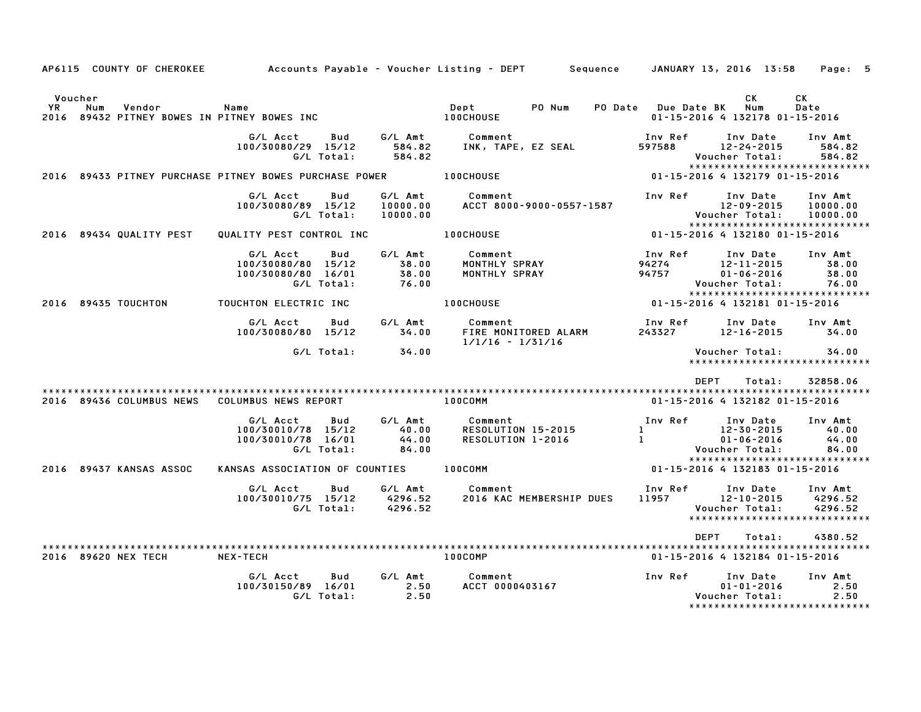|               | AP6115 COUNTY OF CHEROKEE                                    |                                                                              |                                    | Accounts Payable – Voucher Listing – DEPT<br>Sequence |                                         | JANUARY 13, 2016 13:58                                                          | Page: 5                            |
|---------------|--------------------------------------------------------------|------------------------------------------------------------------------------|------------------------------------|-------------------------------------------------------|-----------------------------------------|---------------------------------------------------------------------------------|------------------------------------|
| Voucher<br>YR | Num<br>Vendor<br>2016 89432 PITNEY BOWES IN PITNEY BOWES INC | Name                                                                         |                                    | PO Num<br>PO Date<br>Dept<br><b>100CHOUSE</b>         | <b>Due Date BK</b>                      | СK<br>Num<br>01-15-2016 4 132178 01-15-2016                                     | СK<br>Date                         |
|               |                                                              | G/L Acct<br>Bud<br>100/30080/29 15/12<br>G/L Total:                          | G/L Amt<br>584.82<br>584.82        | Comment<br>INK, TAPE, EZ SEAL                         | Inv Ref<br>597588                       | Inv Date<br>$12 - 24 - 2015$<br>Voucher Total:                                  | Inv Amt<br>584.82<br>584.82        |
|               |                                                              | 2016 89433 PITNEY PURCHASE PITNEY BOWES PURCHASE POWER                       |                                    | 100CHOUSE                                             |                                         | *****************************<br>01-15-2016 4 132179 01-15-2016                 |                                    |
|               |                                                              | G/L Acct<br>Bud<br>100/30080/89 15/12<br>G/L Total:                          | G/L Amt<br>10000.00<br>10000.00    | Comment<br>ACCT 8000-9000-0557-1587                   | Inv Ref                                 | Inv Date<br>12-09-2015<br>Voucher Total:<br>*****************************       | Inv Amt<br>10000.00<br>10000.00    |
|               | 2016 89434 QUALITY PEST                                      | QUALITY PEST CONTROL INC                                                     |                                    | 100CHOUSE                                             |                                         | 01-15-2016 4 132180 01-15-2016                                                  |                                    |
|               |                                                              | Bud<br>G/L Acct<br>100/30080/80<br>15/12<br>100/30080/80 16/01<br>G/L Total: | G/L Amt<br>38.00<br>38.00<br>76.00 | Comment<br>MONTHLY SPRAY<br>MONTHLY SPRAY             | Inv Ref<br>94274<br>94757               | Inv Date<br>$12 - 11 - 2015$<br>$01 - 06 - 2016$<br>Voucher Total:              | Inv Amt<br>38.00<br>38.00<br>76.00 |
|               | 2016 89435 TOUCHTON                                          | TOUCHTON ELECTRIC INC                                                        |                                    | <b>100CHOUSE</b>                                      |                                         | *****************************<br>01-15-2016 4 132181 01-15-2016                 |                                    |
|               |                                                              | G/L Acct<br><b>Bud</b><br>100/30080/80 15/12                                 | G/L Amt<br>34.00                   | Comment<br>FIRE MONITORED ALARM<br>$1/1/16 - 1/31/16$ | Inv Ref<br>243327                       | Inv Date<br>$12 - 16 - 2015$                                                    | Inv Amt<br>34.00                   |
|               |                                                              | G/L Total:                                                                   | 34.00                              |                                                       |                                         | Voucher Total:<br>*****************************                                 | 34.00                              |
|               |                                                              |                                                                              |                                    |                                                       |                                         | <b>DEPT</b><br>Total:                                                           | 32858.06                           |
|               | 2016 89436 COLUMBUS NEWS                                     | COLUMBUS NEWS REPORT                                                         |                                    | 100COMM                                               |                                         | 01-15-2016 4 132182 01-15-2016                                                  |                                    |
|               |                                                              | G/L Acct<br>Bud<br>100/30010/78<br>15/12<br>100/30010/78 16/01<br>G/L Total: | G/L Amt<br>40.00<br>44.00<br>84.00 | Comment<br>RESOLUTION 15-2015<br>RESOLUTION 1-2016    | Inv Ref<br>$\mathbf{1}$<br>$\mathbf{1}$ | Inv Date<br>12-30-2015<br>$01 - 06 - 2016$<br>Voucher Total:                    | Inv Amt<br>40.00<br>44.00<br>84.00 |
|               | 2016 89437 KANSAS ASSOC                                      | KANSAS ASSOCIATION OF COUNTIES                                               |                                    | 100COMM                                               |                                         | *****************************<br>01-15-2016 4 132183 01-15-2016                 |                                    |
|               |                                                              | G/L Acct<br>Bud<br>100/30010/75 15/12<br>G/L Total:                          | G/L Amt<br>4296.52<br>4296.52      | Comment<br>2016 KAC MEMBERSHIP DUES                   | Inv Ref<br>11957                        | Inv Date<br>$12 - 10 - 2015$<br>Voucher Total:<br>***************************** | Inv Amt<br>4296.52<br>4296.52      |
|               |                                                              |                                                                              |                                    |                                                       |                                         | <b>DEPT</b><br>Total:                                                           | 4380.52                            |
|               | 2016 89620 NEX TECH                                          | NEX-TECH                                                                     |                                    | 100COMP                                               |                                         | 01-15-2016 4 132184 01-15-2016                                                  |                                    |
|               |                                                              | G/L Acct<br>Bud<br>100/30150/89 16/01<br>G/L Total:                          | G/L Amt<br>2.50<br>2.50            | Comment<br>ACCT 0000403167                            | Inv Ref                                 | Inv Date<br>$01 - 01 - 2016$<br>Voucher Total:<br>***************************** | Inv Amt<br>2.50<br>2.50            |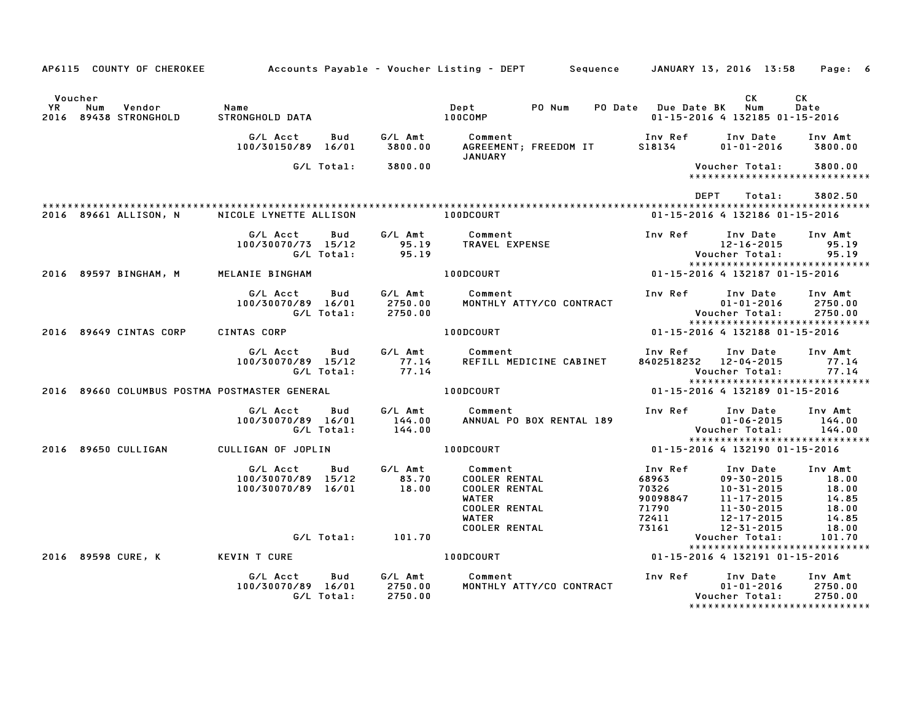|                |                                               |                                                             |                               | AP6115 COUNTY OF CHEROKEE Accounts Payable - Voucher Listing - DEPT Sequence JANUARY 13, 2016 13:58      |                                                         |                                                                                | Page: 6                                                        |
|----------------|-----------------------------------------------|-------------------------------------------------------------|-------------------------------|----------------------------------------------------------------------------------------------------------|---------------------------------------------------------|--------------------------------------------------------------------------------|----------------------------------------------------------------|
| Voucher<br>YR. | Num<br>Vendor<br>2016 89438 STRONGHOLD        | Name<br>STRONGHOLD DATA                                     |                               | Dept<br>PO Num<br>100COMP                                                                                | PO Date Due Date BK                                     | CK<br>Num<br>01-15-2016 4 132185 01-15-2016                                    | СK<br>Date                                                     |
|                |                                               | G/L Acct<br>Bud<br>100/30150/89 16/01                       | G/L Amt<br>3800.00            | Comment<br>AGREEMENT; FREEDOM IT                                                                         | Inv Ref<br>S18134                                       | Inv Date<br>$01 - 01 - 2016$                                                   | Inv Amt<br>3800.00                                             |
|                |                                               | G/L Total:                                                  | 3800.00                       | JANUARY                                                                                                  |                                                         | Voucher Total:                                                                 | 3800.00<br>*****************************                       |
|                |                                               |                                                             |                               |                                                                                                          | DEPT                                                    | Total:                                                                         | 3802.50                                                        |
|                | 2016 89661 ALLISON, N                         | NICOLE LYNETTE ALLISON                                      |                               | 100DCOURT                                                                                                |                                                         | 01-15-2016 4 132186 01-15-2016                                                 |                                                                |
|                |                                               | G/L Acct<br>Bud<br>100/30070/73 15/12<br>G/L Total:         | G∕L Amt<br>95.19<br>95.19     | Comment<br>TRAVEL EXPENSE                                                                                | Inv Ref                                                 | Inv Date<br>12-16-2015<br>Voucher Total:                                       | Inv Amt<br>95.19<br>95.19                                      |
|                | 2016 89597 BINGHAM, M                         | MELANIE BINGHAM                                             |                               | <b>100DCOURT</b>                                                                                         | 01-15-2016 4 132187 01-15-2016                          | *****************************                                                  |                                                                |
|                |                                               | G/L Acct<br>Bud<br>100/30070/89 16/01<br>G/L Total:         | G/L Amt<br>2750.00<br>2750.00 | Comment<br>MONTHLY ATTY/CO CONTRACT                                                                      | Inv Ref                                                 | Inv Date<br>$01 - 01 - 2016$<br>Voucher Total:                                 | Inv Amt<br>2750.00<br>2750.00<br>***************************** |
|                | 2016 89649 CINTAS CORP                        | CINTAS CORP                                                 |                               | 100DCOURT                                                                                                |                                                         | 01-15-2016 4 132188 01-15-2016                                                 |                                                                |
|                |                                               | G/L Acct<br>Bud<br>100/30070/89 15/12<br>G/L Total:         | G∕L Amt<br>77.14<br>77.14     | Comment<br>REFILL MEDICINE CABINET                                                                       | Inv Ref<br>8402518232 12-04-2015                        | Inv Date<br>Voucher Total:                                                     | Inv Amt<br>77.14<br>77.14<br>*****************************     |
|                | 2016 89660 COLUMBUS POSTMA POSTMASTER GENERAL |                                                             |                               | <b>100DCOURT</b>                                                                                         |                                                         | 01-15-2016 4 132189 01-15-2016                                                 |                                                                |
|                |                                               | G/L Acct<br>Bud<br>100/30070/89 16/01<br>G/L Total:         | G/L Amt<br>144.00<br>144.00   | Comment<br>ANNUAL PO BOX RENTAL 189                                                                      | Inv Ref                                                 | Inv Date<br>$01 - 06 - 2015$<br>Voucher Total:                                 | Inv Amt<br>144.00<br>144.00<br>*****************************   |
|                | 2016 89650 CULLIGAN                           | CULLIGAN OF JOPLIN                                          |                               | 100DCOURT                                                                                                |                                                         | 01-15-2016 4 132190 01-15-2016                                                 |                                                                |
|                |                                               | G/L Acct<br>Bud<br>100/30070/89 15/12<br>100/30070/89 16/01 | G/L Amt<br>83.70<br>18.00     | Comment<br><b>COOLER RENTAL</b><br><b>COOLER RENTAL</b><br>WATER<br><b>COOLER RENTAL</b><br><b>WATER</b> | Inv Ref<br>68963<br>70326<br>90098847<br>71790<br>72411 | Inv Date<br>09-30-2015<br>10-31-2015<br>11-17-2015<br>11-30-2015<br>12-17-2015 | Inv Amt<br>18.00<br>18.00<br>14.85<br>18.00<br>14.85           |
|                |                                               | G/L Total:                                                  | 101.70                        | <b>COOLER RENTAL</b>                                                                                     | 73161                                                   | 12-31-2015<br>Voucher Total:                                                   | 18.00<br>101.70                                                |
|                | 2016 89598 CURE, K                            | <b>KEVIN T CURE</b>                                         |                               | <b>100DCOURT</b>                                                                                         |                                                         | 01-15-2016 4 132191 01-15-2016                                                 | *****************************                                  |
|                |                                               | G/L Acct<br>Bud<br>100/30070/89 16/01<br>G/L Total:         | G/L Amt<br>2750.00<br>2750.00 | Comment<br>MONTHLY ATTY/CO CONTRACT                                                                      | Inv Ref                                                 | Inv Date<br>$01 - 01 - 2016$<br>Voucher Total:                                 | Inv Amt<br>2750.00<br>2750.00<br>***************************** |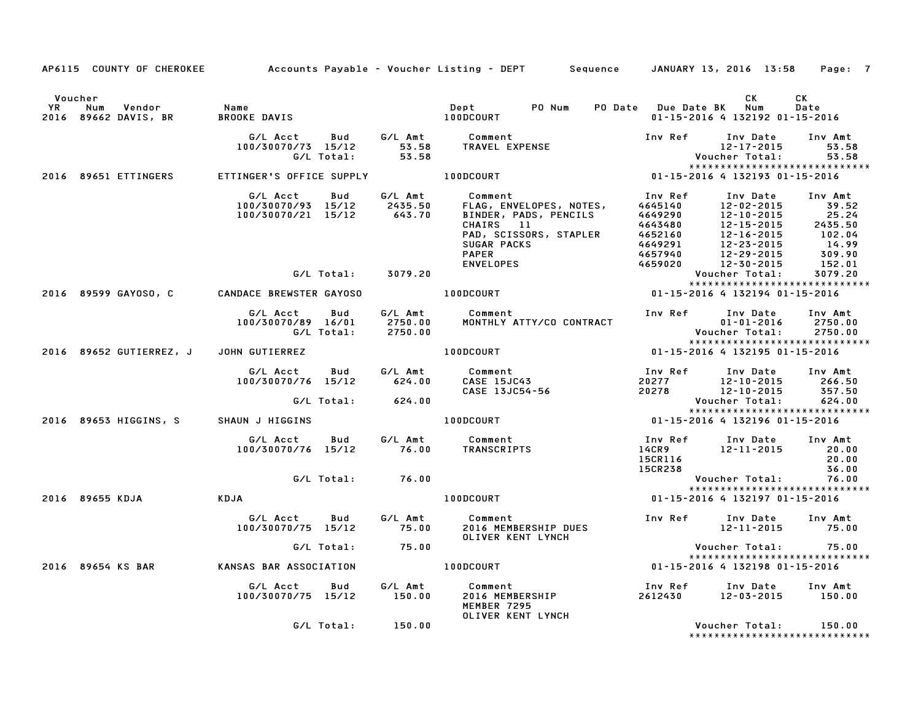|                                                                        |                                                                            |       | AP6115 COUNTY OF CHEROKEE Accounts Payable - Voucher Listing - DEPT Sequence JANUARY 13, 2016 13:58                                                                                                                                                         |                    |                                                                                                                          | Page: 7          |
|------------------------------------------------------------------------|----------------------------------------------------------------------------|-------|-------------------------------------------------------------------------------------------------------------------------------------------------------------------------------------------------------------------------------------------------------------|--------------------|--------------------------------------------------------------------------------------------------------------------------|------------------|
| Voucher<br>YR Num Vendor - Name<br>2016 89662 DAVIS, BR - BROOKE DAVIS | BROOKE DAVIS                                                               |       | Dept PO Num<br>100DCOURT                                                                                                                                                                                                                                    |                    | CK<br>PO Date Due Date BK Num<br>01-15-2016 4 132192 01-15-2016                                                          | CK<br>Date       |
|                                                                        | G/L Total:                                                                 | 53.58 |                                                                                                                                                                                                                                                             | Inv Ref            | Inv Date<br>$12 - 17 - 2015$ 53.58<br>Voucher Total:                                                                     | Inv Amt<br>53.58 |
| 2016 89651 ETTINGERS                                                   | ETTINGER'S OFFICE SUPPLY <b>100DCOURT</b>                                  |       | $01 - 15 - 2016$ 4 132193 01-15-2016                                                                                                                                                                                                                        |                    | *****************************                                                                                            |                  |
|                                                                        | G/L Acct<br>Bud<br>100/30070/93 15/12 2435.50<br>100/30070/21 15/12 643.70 |       | G/L Amt Comment<br>CUMMERICAL ENGINEER FINDER, PADS, PENCILS<br>ELAG, ENVELOPES, NOTES, 4645140<br>CHAIRS 11 4643480 12-10-2015 25.24<br>CHAIRS 11 4643480 12-15-2015 2435.50<br>PAD, SCISSORS, STAPLER 4652160 12-16-2015 102.04<br>SUGAR PACKS 4649291 12 | Inv Ref            | Inv Date                                                                                                                 | Inv Amt          |
|                                                                        | G/L Total: 3079.20                                                         |       |                                                                                                                                                                                                                                                             |                    | Voucher Total:                                                                                                           | 3079.20          |
|                                                                        |                                                                            |       | 2016 89599 GAYOSO, C CANDACE BREWSTER GAYOSO A LOODCOURT                                                                                                                                                                                                    |                    | *****************************<br>01-15-2016 4 132194 01-15-2016                                                          |                  |
|                                                                        | G/L Acct   Bud<br>100/30070/89 16/01 2750.00<br>G/L Total: 2750.00         |       | G/L Amt Comment<br>MONTHLY ATTY/CO CONTRACT                                                                                                                                                                                                                 |                    | Inv Ref      Inv Date     Inv Amt<br>$01 - 01 - 2016$ 2750.00<br>Voucher Total: 2750.00<br>***************************** |                  |
|                                                                        | 2016 89652 GUTIERREZ, J JOHN GUTIERREZ                                     |       | 100DCOURT                                                                                                                                                                                                                                                   |                    | 01-15-2016 4 132195 01-15-2016                                                                                           |                  |
|                                                                        |                                                                            |       | 6/L Acct Bud 6/L Amt Comment Inv Ref Inv Date Inv Amt<br>100/30070/76 15/12 624.00 CASE 15JC43 20277 12-10-2015 266.50<br>6/L Total: 624.00 CASE 13JC54-56 20278 12-10-2015 357.50<br>AUN J HIGGINS 100DCOURT 100DCOURT 01-15-2016 4 13                     |                    |                                                                                                                          |                  |
|                                                                        | 2016 89653 HIGGINS, S SHAUN J HIGGINS                                      |       |                                                                                                                                                                                                                                                             |                    | *****************************                                                                                            |                  |
|                                                                        |                                                                            |       |                                                                                                                                                                                                                                                             |                    |                                                                                                                          |                  |
|                                                                        |                                                                            |       |                                                                                                                                                                                                                                                             | 15CR116<br>15CR238 |                                                                                                                          | 20.00<br>36.00   |
|                                                                        | G/L Total: 76.00                                                           |       |                                                                                                                                                                                                                                                             |                    | Voucher Total: 76.00<br>*****************************                                                                    |                  |
| 2016 89655 KDJA                                                        | KDJA                                                                       |       | 100DCOURT                                                                                                                                                                                                                                                   |                    | 01-15-2016 4 132197 01-15-2016                                                                                           |                  |
|                                                                        | G/L Acct  Bud  G/L Amt  Comment<br>100/30070/75 15/12  75.00  2016 MEME    |       | 2016 MEMBERSHIP DUES<br>OLIVER KENT LYNCH                                                                                                                                                                                                                   |                    | Inv Ref Inv Date<br>12-11-2015 75.00                                                                                     | Inv Amt          |
|                                                                        | G/L Total: 75.00                                                           |       |                                                                                                                                                                                                                                                             |                    | Voucher Total: 75.00<br>*****************************                                                                    |                  |
| 2016 89654 KS BAR                                                      | KANSAS BAR ASSOCIATION                                                     |       | $01 - 15 - 2016$ $01 - 15 - 2016$ $01 - 15 - 2016$                                                                                                                                                                                                          |                    |                                                                                                                          |                  |
|                                                                        |                                                                            |       | G/L Acct  Bud  G/L Amt  Comment<br>100/30070/75 15/12  150.00  2016 MEMBERSHIP<br>MEMBER 7295<br>OLIVER KENT LYNCH                                                                                                                                          |                    | Inv Ref      Inv Date    Inv Amt<br>2612430        12–03–2015       150.00                                               |                  |
|                                                                        | G/L Total: 150.00                                                          |       |                                                                                                                                                                                                                                                             |                    | Voucher Total: 150.00<br>*****************************                                                                   |                  |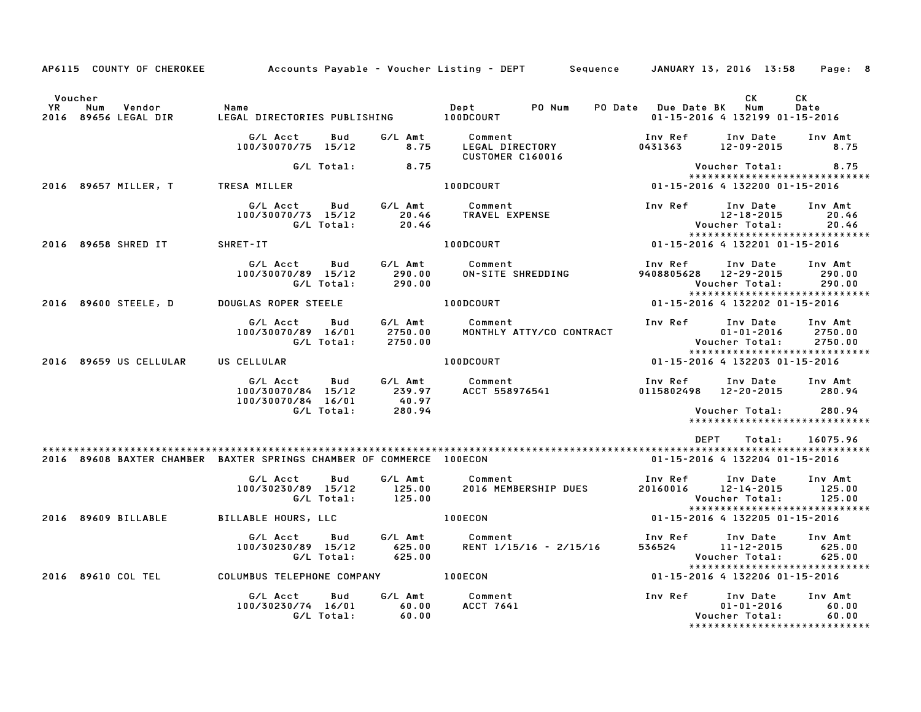|                      | AP6115 COUNTY OF CHEROKEE                                            |                                                                  |                                           | Accounts Payable – Voucher Listing – DEPT         Sequence  | JANUARY 13, 2016 13:58                                     |                                                                                   | Page: 8                       |
|----------------------|----------------------------------------------------------------------|------------------------------------------------------------------|-------------------------------------------|-------------------------------------------------------------|------------------------------------------------------------|-----------------------------------------------------------------------------------|-------------------------------|
| Voucher<br><b>YR</b> | Vendor<br>Num<br>2016 89656 LEGAL DIR                                | Name                                                             |                                           | Dept PO Num                                                 | PO Date Due Date BK Num                                    | <b>CK</b><br>01-15-2016 4 132199 01-15-2016                                       | <b>CK</b><br>Date             |
|                      |                                                                      | G/L Acct<br>Bud<br>100/30070/75 15/12                            | G∕L Amt<br>8.75                           | <b>Comment</b><br>LEGAL DIRECTORY<br>CUSTOMER C160016       | Inv Ref<br>0431363                                         | Inv Date Inv Amt<br>12-09-2015                                                    | 8.75                          |
|                      |                                                                      |                                                                  | $G/L$ Total: 8.75                         |                                                             |                                                            | Voucher Total:                                                                    | 8.75                          |
|                      | 2016 89657 MILLER, T                                                 | TRESA MILLER                                                     |                                           | 100DCOURT                                                   | 01-15-2016 4 132200 01-15-2016                             | *****************************                                                     |                               |
|                      |                                                                      | G/L Acct<br>100/30070/73 15/12<br>G/L Total:                     | Bud G/L Amt<br>20.46<br>20.46             | Comment<br>TRAVEL EXPENSE                                   | Inv Ref                                                    | Inv Date<br>12-18-2015<br>Voucher Total:<br>*****************************         | Inv Amt<br>20.46<br>20.46     |
|                      | 2016 89658 SHRED IT                                                  | SHRET-IT                                                         |                                           | 100DCOURT                                                   | $01 - 15 - 2016$ 4 132201 01-15-2016                       |                                                                                   |                               |
|                      |                                                                      | G/L Acct Bud G/L Amt Comment<br>100/30070/89 15/12<br>G/L Total: | 290.00<br>290.00                          | ON-SITE SHREDDING                                           | Inv Ref      Inv Date     Inv Amt<br>9408805628 12-29-2015 | Voucher Total:<br>*****************************                                   | 290.00<br>290.00              |
|                      | 2016 89600 STEELE, D                                                 | <b>DOUGLAS ROPER STEELE</b>                                      | 100DCOURT                                 |                                                             | 01-15-2016 4 132202 01-15-2016                             |                                                                                   |                               |
|                      |                                                                      | G/L Acct<br>Bud<br>100/30070/89 16/01<br>G/L Total:              | G⁄L Amt<br>2750.00<br>2750.00             | Comment<br>MONTHLY ATTY/CO CONTRACT                         | Inv Ref                                                    | Inv Date<br>$01 - 01 - 2016$<br>Voucher Total:<br>*****************************   | Inv Amt<br>2750.00<br>2750.00 |
|                      | 2016 89659 US CELLULAR                                               | US CELLULAR                                                      |                                           | <b>100DCOURT</b>                                            | 01-15-2016 4 132203 01-15-2016                             |                                                                                   |                               |
|                      |                                                                      | G/L Acct<br>Bud<br>100/30070/84 15/12<br>100/30070/84 16/01      | 40.97                                     | G/L Amt         Comment<br>239.97      ACCT 558976541       | Inv Ref<br>0115802498 12-20-2015 280.94                    | Inv Date                                                                          | Inv Amt                       |
|                      |                                                                      | G/L Total:                                                       | 280.94                                    |                                                             |                                                            | *****************************                                                     |                               |
|                      |                                                                      |                                                                  |                                           |                                                             | DEPT                                                       |                                                                                   | Total: 16075.96               |
|                      | 2016 89608 BAXTER CHAMBER BAXTER SPRINGS CHAMBER OF COMMERCE 100ECON |                                                                  |                                           |                                                             | 01-15-2016 4 132204 01-15-2016                             |                                                                                   |                               |
|                      |                                                                      | G/L Acct<br>Bud<br>100/30230/89 15/12<br>G/L Total:              | 125.00<br>125.00                          | G/L Amt Comment<br>125.00 2016 MEMB<br>2016 MEMBERSHIP DUES | Inv Ref Inv Date<br>20160016 12-14-2015                    | Voucher Total:                                                                    | Inv Amt<br>125.00<br>125.00   |
|                      | 2016 89609 BILLABLE                                                  | BILLABLE HOURS, LLC                                              |                                           | 100ECON                                                     | 01-15-2016 4 132205 01-15-2016                             | ******************************                                                    |                               |
|                      |                                                                      | G/L Acct<br>100/30230/89 15/12<br>G/L Total:                     | Bud G/L Amt<br>625.00<br>625.00<br>625.00 | Comment<br>RENT 1/15/16 - 2/15/16                           | Inv Ref      Inv Date<br>536524 11-12-2015                 | Voucher Total:<br>*****************************                                   | Inv Amt<br>625.00<br>625.00   |
|                      | 2016 89610 COL TEL COLUMBUS TELEPHONE COMPANY 400ECON                |                                                                  |                                           |                                                             | 01-15-2016 4 132206 01-15-2016                             |                                                                                   |                               |
|                      |                                                                      | G/L Acct<br>100/30230/74 16/01 60.00<br>G/L Total: 60.00         | G/L Amt<br>Bud                            | Comment<br>ACCT 7641                                        | Inv Ref                                                    | Inv Date<br>$01 - 01 - 2016$<br>Voucher Total:<br>******************************* | Inv Amt<br>60.00<br>60.00     |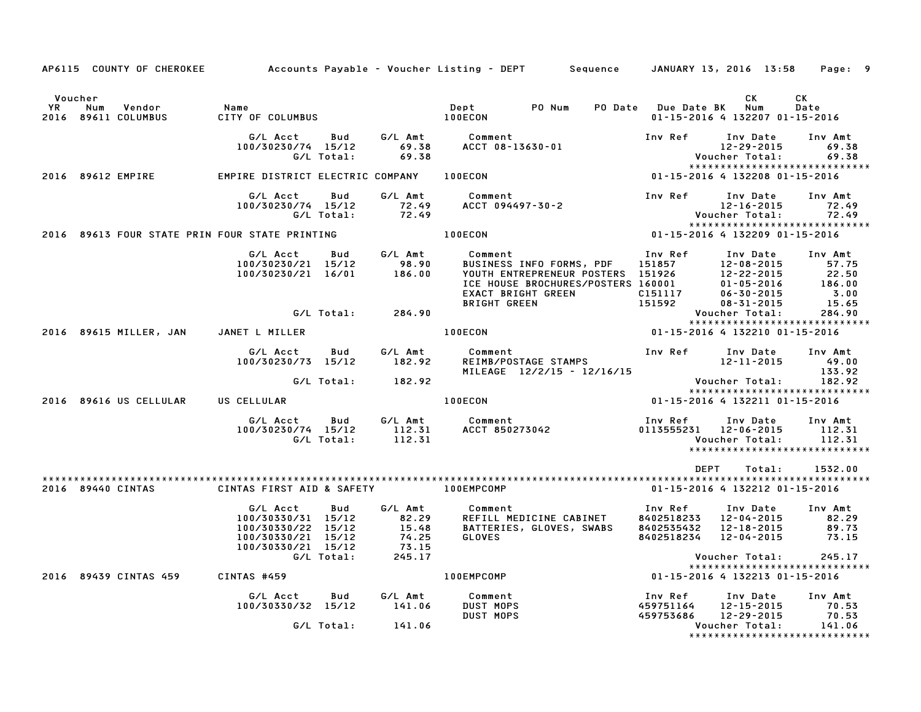|                      |                                                |                                                                                                  |                          |                                                       | AP6115 COUNTY OF CHEROKEE       Accounts Payable – Voucher Listing – DEPT     Sequence    JANUARY 13, 2016 13:58    Page: 9                                                       |                                                                                     |                                                                              |                                                              |
|----------------------|------------------------------------------------|--------------------------------------------------------------------------------------------------|--------------------------|-------------------------------------------------------|-----------------------------------------------------------------------------------------------------------------------------------------------------------------------------------|-------------------------------------------------------------------------------------|------------------------------------------------------------------------------|--------------------------------------------------------------|
|                      |                                                |                                                                                                  |                          |                                                       |                                                                                                                                                                                   |                                                                                     |                                                                              |                                                              |
| Voucher<br><b>YR</b> | Num<br>Vendor<br>2016 89611 COLUMBUS           | Name<br>CITY OF COLUMBUS                                                                         |                          |                                                       | Dept PO Num<br><b>100ECON</b>                                                                                                                                                     | PO Date Due Date BK                                                                 | СK<br>Num<br>01-15-2016 4 132207 01-15-2016                                  | СK<br>Date                                                   |
|                      |                                                | G/L Acct<br>100/30230/74 15/12                                                                   | <b>Bud</b><br>G/L Total: | 69.38<br>69.38                                        | G/L Amt Comment<br>ACCT 08-13630-01                                                                                                                                               | Inv Ref                                                                             | Inv Date<br>12-29-2015<br>Voucher Total:                                     | Inv Amt<br>69.38<br>69.38                                    |
|                      | 2016 89612 EMPIRE                              | EMPIRE DISTRICT ELECTRIC COMPANY 100ECON                                                         |                          |                                                       |                                                                                                                                                                                   | 01-15-2016 4 132208 01-15-2016                                                      |                                                                              | *****************************                                |
|                      |                                                | G/L Acct Bud<br>100/30230/74 15/12                                                               |                          | G/L Amt<br>0/74 15/12 72.49<br>G/L Total: 72.49       | Comment<br>Comment<br>ACCT 094497-30-2                                                                                                                                            | Inv Ref                                                                             | Inv Date<br>12-16-2015<br>Voucher Total:                                     | Inv Amt<br>72.49<br>72.49<br>*****************************   |
|                      | 2016 89613 FOUR STATE PRIN FOUR STATE PRINTING |                                                                                                  |                          |                                                       | <b>100ECON</b>                                                                                                                                                                    | 01-15-2016 4 132209 01-15-2016                                                      |                                                                              |                                                              |
|                      |                                                | G/L Acct<br>100/30230/21 15/12<br>100/30230/21 16/01                                             | <b>Bud</b>               | G/L Amt<br>98.90<br>186.00                            | Comment<br>BUSINESS INFO FORMS, PDF<br>YOUTH ENTREPRENEUR POSTERS 151926 12-22-2015<br>ICE HOUSE BROCHURES/POSTERS 160001 01-05-2016<br>EXACT BRIGHT GREEN<br><b>BRIGHT GREEN</b> | Inv Ref<br>151857<br>-------<br>C151117<br>151592                                   | Inv Date<br>12-08-2015<br>$01 - 05 - 2016$<br>06-30-2015<br>$08 - 31 - 2015$ | Inv Amt<br>57.75<br>22.50<br>186.00<br>3.00<br>15.65         |
|                      |                                                |                                                                                                  |                          | G/L Total: 284.90                                     |                                                                                                                                                                                   |                                                                                     | Voucher Total:                                                               | 284.90<br>*****************************                      |
|                      | 2016 89615 MILLER, JAN JANET L MILLER          |                                                                                                  |                          |                                                       | 100ECON                                                                                                                                                                           | 01-15-2016 4 132210 01-15-2016                                                      |                                                                              |                                                              |
|                      |                                                | G/L Acct<br>100/30230/73 15/12                                                                   | Bud                      | G/L Amt<br>182.92                                     | <b>REIMB/POSTAGE STAMPS</b><br>MILEAGE 12/2/15<br>MILEAGE 12/2/15<br>MILEAGE 12/2/15 - 12/16/15                                                                                   |                                                                                     | Inv Date Inv Amt<br>12-11-2015                                               | 49.00<br>133.92                                              |
|                      |                                                |                                                                                                  |                          | G/L Total: 182.92                                     |                                                                                                                                                                                   |                                                                                     | Voucher Total: 182.92                                                        | *****************************                                |
|                      | 2016 89616 US CELLULAR                         | US CELLULAR                                                                                      |                          |                                                       | <b>100ECON</b>                                                                                                                                                                    | 01-15-2016 4 132211 01-15-2016                                                      |                                                                              |                                                              |
|                      |                                                | G/L Acct<br>100/30230/74 15/12                                                                   | Bud<br>G/L Total:        | 112.31<br>112.31                                      | G/L Amt Comment<br>112.31 ACCT 85027304<br>Comment<br>ACCT 850273042                                                                                                              | Inv Ref<br>0113555231 12-06-2015                                                    | Inv Date<br>Voucher Total:                                                   | Inv Amt<br>112.31<br>112.31<br>***************************** |
|                      |                                                |                                                                                                  |                          |                                                       |                                                                                                                                                                                   | <b>DEPT</b>                                                                         | Total:                                                                       | 1532.00                                                      |
|                      |                                                |                                                                                                  |                          |                                                       |                                                                                                                                                                                   |                                                                                     | 01-15-2016 4 132212 01-15-2016                                               |                                                              |
|                      |                                                | G/L Acct<br>100/30330/31 15/12<br>100/30330/22 15/12<br>100/30330/21 15/12<br>100/30330/21 15/12 | Bud<br>G/L Total:        | G/L Amt<br>82.29<br>15.48<br>74.25<br>73.15<br>245.17 | Comment<br>REFILL MEDICINE CABINET<br>BATTERIES, GLOVES, SWABS<br>GLOVES                                                                                                          | Inv Ref<br>8402518233 12-04-2015<br>8402535432  12-18-2015<br>8402518234 12-04-2015 | Inv Date                                                                     | Inv Amt<br>82.29<br>89.73<br>73.15<br>245.17                 |
|                      |                                                |                                                                                                  |                          |                                                       |                                                                                                                                                                                   |                                                                                     | Voucher Total:                                                               | *****************************                                |
|                      | 2016 89439 CINTAS 459                          | CINTAS #459                                                                                      |                          |                                                       | 100EMPCOMP                                                                                                                                                                        | 01-15-2016 4 132213 01-15-2016                                                      |                                                                              |                                                              |
|                      |                                                | G/L Acct<br>100/30330/32 15/12                                                                   | Bud                      | G/L Amt<br>141.06                                     | Comment<br><b>DUST MOPS</b><br><b>DUST MOPS</b>                                                                                                                                   | Inv Ref<br>459751164<br>459753686                                                   | Inv Date<br>12-15-2015<br>12-29-2015                                         | Inv Amt<br>70.53<br>70.53                                    |
|                      |                                                |                                                                                                  | G/L Total:               | 141.06                                                |                                                                                                                                                                                   |                                                                                     | Voucher Total:                                                               | 141.06<br>*****************************                      |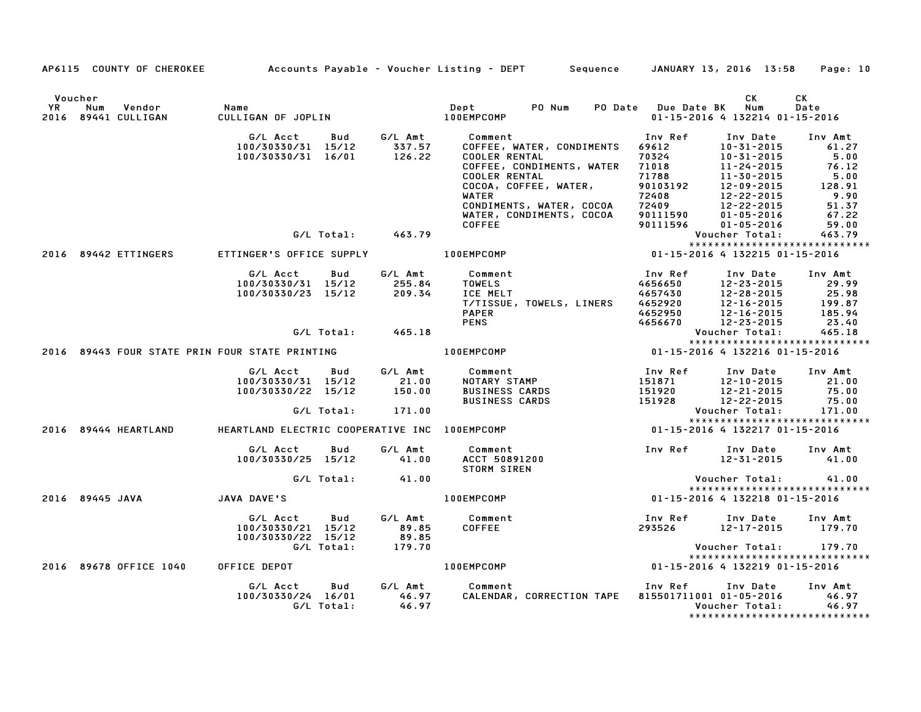|                      |                                      |                                                                                |                               | AP6115 COUNTY OF CHEROKEE Accounts Payable - Voucher Listing - DEPT Sequence JANUARY 13, 2016 13:58                                                                                                                                   |                                                                                                   |                                                                                                                                                          | Page: 10                                                                               |
|----------------------|--------------------------------------|--------------------------------------------------------------------------------|-------------------------------|---------------------------------------------------------------------------------------------------------------------------------------------------------------------------------------------------------------------------------------|---------------------------------------------------------------------------------------------------|----------------------------------------------------------------------------------------------------------------------------------------------------------|----------------------------------------------------------------------------------------|
| Voucher<br><b>YR</b> | Vendor<br>Num<br>2016 89441 CULLIGAN | Name<br>CIII ' T                                                               |                               |                                                                                                                                                                                                                                       | PO Date Due Date BK Num                                                                           | CK<br>01-15-2016 4 132214 01-15-2016                                                                                                                     | СK<br>Date                                                                             |
|                      |                                      | G/L Acct Bud G/L Amt<br>100/30330/31 15/12 337.57<br>100/30330/31 16/01 126.22 |                               | Comment<br>COFFEE, WATER, CONDIMENTS<br><b>COOLER RENTAL</b><br>COFFEE, CONDIMENTS, WATER<br><b>COOLER RENTAL</b><br>COCCA, COFFEE, WATER,<br>WATER<br>WATER<br>CONDIMENTS, WATER, COCOA<br>WATER, CONDIMENTS, COCOA<br><b>COFFEE</b> | Inv Ref<br>69612<br>70324<br>71018<br>71788<br>90103192<br>72408<br>72409<br>90111590<br>90111596 | Inv Date<br>$10 - 31 - 2015$<br>10-31-2015<br>11-24-2015<br>11-30-2015<br>12-09-2015<br>12-22-2015<br>12-22-2015<br>$01 - 05 - 2016$<br>$01 - 05 - 2016$ | Inv Amt<br>61.27<br>5.00<br>76.12<br>5.00<br>128.91<br>9.90<br>51.37<br>67.22<br>59.00 |
|                      |                                      | G/L Total: 463.79                                                              |                               |                                                                                                                                                                                                                                       |                                                                                                   | Voucher Total:                                                                                                                                           | 463.79                                                                                 |
|                      | 2016 89442 ETTINGERS                 | ETTINGER'S OFFICE SUPPLY <b>100EMPCOMP</b>                                     |                               |                                                                                                                                                                                                                                       | 01-15-2016 4 132215 01-15-2016                                                                    |                                                                                                                                                          | *****************************                                                          |
|                      |                                      | G/L Acct Bud<br>G/L Total: 465.18                                              |                               | G/L Amt Comment<br>TOWELS<br>ICE MELT<br>T/TISSUE, TOWELS, LINERS<br><b>PAPER</b><br><b>PENS</b>                                                                                                                                      | Inv Ref<br>4656650<br>4656650 12-23-2015<br>4657430 12-28-2015<br>4652950 12-16-2015<br>4656670   | Inv Date<br>12-28-2015<br>12-23-2015<br>Voucher Total:                                                                                                   | Inv Amt<br>29.99<br>25.98<br>199.87<br>185.94<br>23.40<br>465.18                       |
|                      |                                      |                                                                                |                               |                                                                                                                                                                                                                                       |                                                                                                   |                                                                                                                                                          | *****************************                                                          |
|                      |                                      | 2016 89443 FOUR STATE PRIN FOUR STATE PRINTING                                 |                               | 100EMPCOMP                                                                                                                                                                                                                            | 01-15-2016 4 132216 01-15-2016                                                                    |                                                                                                                                                          |                                                                                        |
|                      |                                      | G/L Acct<br>100/30330/31 15/12<br>100/30330/22 15/12<br>G/L Total: 171.00      | Bud G/LAmt<br>21.00<br>150.00 | <b>Comment</b> Comment<br>NOTARY STAMP<br><b>BUSINESS CARDS</b><br>BUSINESS CARDS                                                                                                                                                     | Inv Ref<br>151871<br>151920<br>151928                                                             | Inv Date<br>$12 - 10 - 2015$<br>12-21-2015<br>12-22-2015<br>Voucher Total:                                                                               | Inv Amt<br>21.00<br>75.00<br>75.00<br>171.00                                           |
|                      |                                      | 2016 89444 HEARTLAND HEARTLAND ELECTRIC COOPERATIVE INC 100EMPCOMP             |                               | 01-15-2016 4 132217 01-15-2016                                                                                                                                                                                                        |                                                                                                   |                                                                                                                                                          | *****************************                                                          |
|                      |                                      | G/L Acct<br>Bud<br>100/30330/25 15/12 41.00                                    | G/L Amt                       | Comment<br>ACCT 50891200<br>STORM SIREN                                                                                                                                                                                               | Inv Ref Inv Date Inv Amt                                                                          | 12-31-2015                                                                                                                                               | 41.00                                                                                  |
|                      |                                      | G/L Total: 41.00                                                               |                               |                                                                                                                                                                                                                                       |                                                                                                   | Voucher Total:                                                                                                                                           | 41.00                                                                                  |
|                      | 2016 89445 JAVA                      | JAVA DAVE'S                                                                    |                               | 01-15-2016 4 132218 01-15-2016<br><b>100EMPCOMP</b>                                                                                                                                                                                   |                                                                                                   |                                                                                                                                                          | *****************************                                                          |
|                      |                                      | G/L Acct<br><b>Bud</b><br>100/30330/21 15/12<br>100/30330/22 15/12             | 89.85<br>89.85                | G/L Amt Comment<br>COFFEE                                                                                                                                                                                                             | Inv Ref<br>293526                                                                                 | Inv Date<br>12-17-2015 179.70                                                                                                                            | Inv Amt                                                                                |
|                      |                                      | G/L Total:                                                                     | 89.85<br>179.70               |                                                                                                                                                                                                                                       |                                                                                                   | Voucher Total: 179.70                                                                                                                                    | *****************************                                                          |
|                      |                                      | 2016 89678 OFFICE 1040 OFFICE DEPOT                                            |                               | 100EMPCOMP                                                                                                                                                                                                                            | 01-15-2016 4 132219 01-15-2016                                                                    |                                                                                                                                                          |                                                                                        |
|                      |                                      | G/L Acct<br>Bud                                                                |                               | G/L Amt Comment<br>100/30330/24 16/01 46.97 CALENDAR, CORRECTION TAPE 815501711001 01-05-2016 46.97<br>G/L Total: 46.97 CALENDAR, CORRECTION TAPE 815501711001 01-05-2016 46.97                                                       | Inv Ref Inv Date                                                                                  |                                                                                                                                                          | Inv Amt<br>*****************************                                               |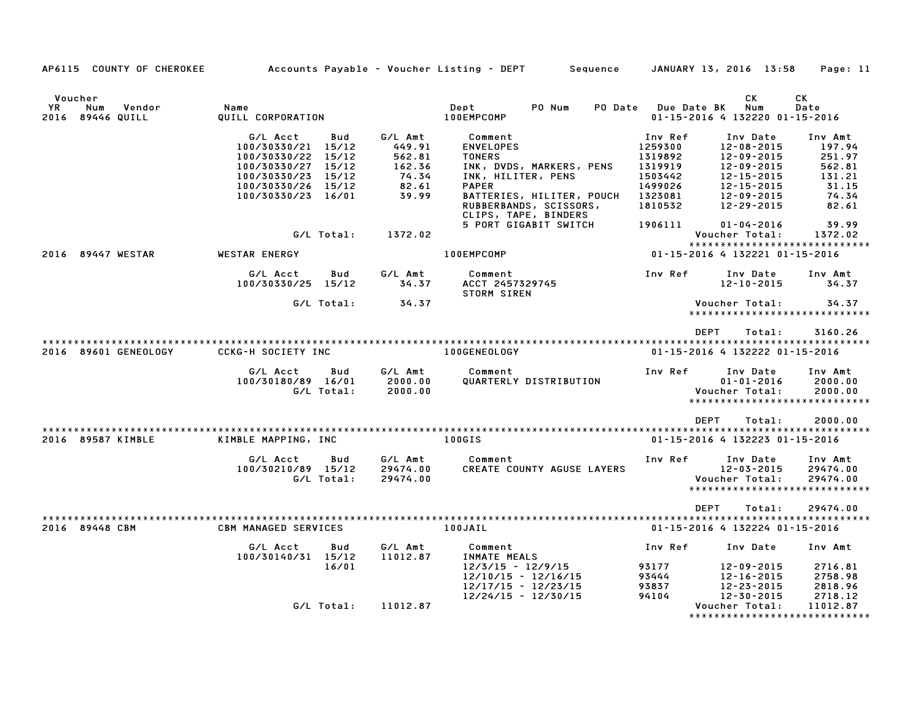| Voucher                                 |                                       |                    |                                                |                    | CK                                               | CK                 |
|-----------------------------------------|---------------------------------------|--------------------|------------------------------------------------|--------------------|--------------------------------------------------|--------------------|
| YR<br>Num<br>Vendor<br>2016 89446 QUILL | Name<br>QUILL CORPORATION             |                    | PO Num<br>Dept<br><b>PO Date</b><br>100EMPCOMP | <b>Due Date BK</b> | Num<br>01-15-2016 4 132220 01-15-2016            | Date               |
|                                         |                                       |                    |                                                |                    |                                                  |                    |
|                                         | G/L Acct<br>Bud<br>100/30330/21 15/12 | G/L Amt<br>449.91  | Comment<br><b>ENVELOPES</b>                    | Inv Ref<br>1259300 | Inv Date<br>$12 - 08 - 2015$                     | Inv Amt<br>197.94  |
|                                         | 100/30330/22 15/12                    | 562.81             | <b>TONERS</b>                                  | 1319892            | $12 - 09 - 2015$                                 | 251.97             |
|                                         | 100/30330/27<br>15/12                 | 162.36             | INK, DVDS, MARKERS, PENS                       | 1319919            | 12-09-2015                                       | 562.81             |
|                                         | 100/30330/23 15/12                    | 74.34              | INK, HILITER, PENS                             | 1503442            | $12 - 15 - 2015$                                 | 131.21             |
|                                         | 100/30330/26 15/12                    | 82.61              | <b>PAPER</b>                                   | 1499026            | 12-15-2015                                       | 31.15              |
|                                         | 100/30330/23 16/01                    | 39.99              | BATTERIES, HILITER, POUCH                      | 1323081            | 12-09-2015                                       | 74.34              |
|                                         |                                       |                    | RUBBERBANDS, SCISSORS,<br>CLIPS, TAPE, BINDERS | 1810532            | 12-29-2015                                       | 82.61              |
|                                         |                                       |                    | 5 PORT GIGABIT SWITCH                          | 1906111            | $01 - 04 - 2016$                                 | 39.99              |
|                                         | G/L Total:                            | 1372.02            |                                                |                    | Voucher Total:                                   | 1372.02            |
|                                         |                                       |                    |                                                |                    | ******************************                   |                    |
| 2016 89447 WESTAR                       | <b>WESTAR ENERGY</b>                  |                    | 100EMPCOMP                                     |                    | 01-15-2016 4 132221 01-15-2016                   |                    |
|                                         | G/L Acct<br>Bud                       | G/L Amt            | Comment                                        | Inv Ref            | Inv Date                                         | Inv Amt            |
|                                         | 100/30330/25 15/12                    | 34.37              | ACCT 2457329745                                |                    | $12 - 10 - 2015$                                 | 34.37              |
|                                         | G/L Total:                            | 34.37              | STORM SIREN                                    |                    | Voucher Total:                                   | 34.37              |
|                                         |                                       |                    |                                                |                    | *****************************                    |                    |
|                                         |                                       |                    |                                                |                    |                                                  |                    |
|                                         |                                       |                    |                                                | <b>DEPT</b>        | Total:                                           | 3160.26            |
| 2016 89601 GENEOLOGY                    | CCKG-H SOCIETY INC                    |                    | 100GENEOLOGY                                   |                    | 01-15-2016 4 132222 01-15-2016                   |                    |
|                                         |                                       |                    |                                                |                    |                                                  |                    |
|                                         | Bud<br>G/L Acct                       | G/L Amt            | Comment                                        | Inv Ref            | Inv Date                                         | Inv Amt            |
|                                         | 100/30180/89 16/01<br>G/L Total:      | 2000.00<br>2000.00 | QUARTERLY DISTRIBUTION                         |                    | $01 - 01 - 2016$<br>Voucher Total:               | 2000.00<br>2000.00 |
|                                         |                                       |                    |                                                |                    | ******************************                   |                    |
|                                         |                                       |                    |                                                |                    |                                                  |                    |
|                                         |                                       |                    |                                                | <b>DEPT</b>        | Total:                                           | 2000.00            |
| 2016 89587 KIMBLE                       | KIMBLE MAPPING, INC                   |                    | 100GIS                                         |                    | 01-15-2016 4 132223 01-15-2016                   |                    |
|                                         |                                       |                    |                                                |                    |                                                  |                    |
|                                         | Bud<br>G/L Acct                       | G/L Amt            | Comment                                        | Inv Ref            | Inv Date                                         | Inv Amt            |
|                                         | 100/30210/89 15/12                    | 29474.00           | CREATE COUNTY AGUSE LAYERS                     |                    | $12 - 03 - 2015$                                 | 29474.00           |
|                                         | G/L Total:                            | 29474.00           |                                                |                    | Voucher Total:<br>****************************** | 29474.00           |
|                                         |                                       |                    |                                                |                    |                                                  |                    |
|                                         |                                       |                    |                                                | <b>DEPT</b>        | Total:                                           | 29474.00           |
| 2016 89448 CBM                          | <b>CBM MANAGED SERVICES</b>           |                    | 100JAIL                                        |                    | 01-15-2016 4 132224 01-15-2016                   |                    |
|                                         |                                       |                    |                                                |                    |                                                  |                    |
|                                         | G/L Acct<br>Bud                       | G/L Amt            | Comment                                        | Inv Ref            | Inv Date                                         | Inv Amt            |
|                                         | 100/30140/31 15/12<br>16/01           | 11012.87           | INMATE MEALS<br>$12/3/15 - 12/9/15$            | 93177              | $12 - 09 - 2015$                                 | 2716.81            |
|                                         |                                       |                    | $12/10/15 - 12/16/15$                          | 93444              | $12 - 16 - 2015$                                 | 2758.98            |
|                                         |                                       |                    | $12/17/15 - 12/23/15$                          | 93837              | 12-23-2015                                       | 2818.96            |
|                                         |                                       |                    | $12/24/15 - 12/30/15$                          | 94104              | $12 - 30 - 2015$                                 | 2718.12            |
|                                         | G/L Total:                            | 11012.87           |                                                |                    | Voucher Total:                                   | 11012.87           |
|                                         |                                       |                    |                                                |                    | *****************************                    |                    |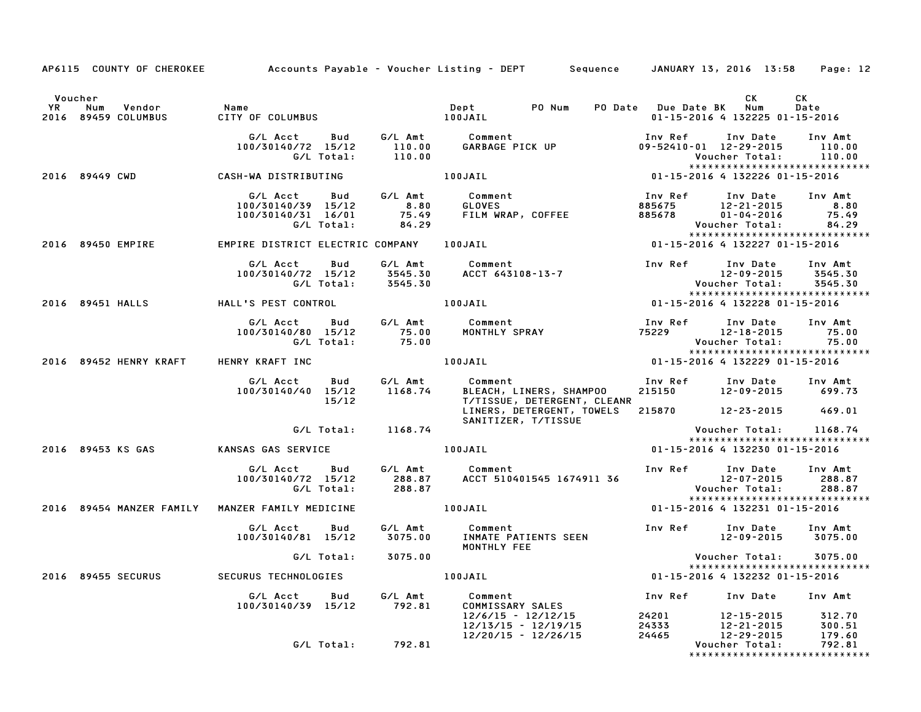|           | AP6115 COUNTY OF CHEROKEE Accounts Payable - Voucher Listing - DEPT Sequence JANUARY 13, 2016 13:58 Page: 12                                                                                                                            |                                                                                                                                                                                                                                         |                    |                                     |                                                    |  |                                                                                                        |            |  |
|-----------|-----------------------------------------------------------------------------------------------------------------------------------------------------------------------------------------------------------------------------------------|-----------------------------------------------------------------------------------------------------------------------------------------------------------------------------------------------------------------------------------------|--------------------|-------------------------------------|----------------------------------------------------|--|--------------------------------------------------------------------------------------------------------|------------|--|
|           |                                                                                                                                                                                                                                         |                                                                                                                                                                                                                                         |                    |                                     |                                                    |  |                                                                                                        |            |  |
| <b>YR</b> | Voucher<br>Num Vendor                                                                                                                                                                                                                   | Name                                                                                                                                                                                                                                    |                    | Dept PO Num PO Date Due Date BK Num |                                                    |  | CK                                                                                                     | CK<br>Date |  |
|           | 2016 89459 COLUMBUS                                                                                                                                                                                                                     |                                                                                                                                                                                                                                         |                    |                                     |                                                    |  | 01-15-2016 4 132225 01-15-2016                                                                         |            |  |
|           |                                                                                                                                                                                                                                         |                                                                                                                                                                                                                                         |                    |                                     |                                                    |  | Inv Ref Inv Date Inv Amt                                                                               |            |  |
|           |                                                                                                                                                                                                                                         | G/L Acct     Bud     G/L Amt     Comment<br>100/30140/72   15/12       110.00     GARBAGE PICK UP<br>G/L Total:       110.00                                                                                                            |                    |                                     |                                                    |  | 09-52410-01 12-29-2015 110.00                                                                          |            |  |
|           |                                                                                                                                                                                                                                         |                                                                                                                                                                                                                                         |                    |                                     |                                                    |  | Voucher Total: 110.00                                                                                  |            |  |
|           | 2016 89449 CWD CASH-WA DISTRIBUTING 100JAIL 100 1 15-2016 4 132226 01-15-2016                                                                                                                                                           |                                                                                                                                                                                                                                         |                    |                                     |                                                    |  | *****************************                                                                          |            |  |
|           |                                                                                                                                                                                                                                         |                                                                                                                                                                                                                                         |                    |                                     |                                                    |  |                                                                                                        |            |  |
|           |                                                                                                                                                                                                                                         | 6/L Acct Bud G/L Amt Comment Inv Ref Inv Date Inv Amt<br>100/30140/39 15/12 8.80 GLOVES 885675 12-21-2015 8.80<br>100/30140/31 16/01 75.49 FILM WRAP, COFFEE 885678 01-04-2016 75.49<br>6/L Total: 84.29 Voucher Total: 84.29           |                    |                                     |                                                    |  |                                                                                                        |            |  |
|           |                                                                                                                                                                                                                                         |                                                                                                                                                                                                                                         |                    |                                     |                                                    |  |                                                                                                        |            |  |
|           |                                                                                                                                                                                                                                         |                                                                                                                                                                                                                                         |                    |                                     |                                                    |  |                                                                                                        |            |  |
|           |                                                                                                                                                                                                                                         |                                                                                                                                                                                                                                         |                    |                                     |                                                    |  |                                                                                                        |            |  |
|           | 2016 89450 EMPIRE                                                                                                                                                                                                                       |                                                                                                                                                                                                                                         |                    |                                     |                                                    |  |                                                                                                        |            |  |
|           | G/L Acct Bud G/L Amt Comment Inv Ref Inv Date Inv Amt<br>100/30140/72 15/12 3545.30 ACCT 643108-13-7 12-09-2015 3545.30<br>G/L Total: 3545.30 ACCT 643108-13-7 Voucher Total: 3545.30<br>2016 89451 HALL'S PEST CONTROL 100JAIL 100JAIL |                                                                                                                                                                                                                                         |                    |                                     |                                                    |  |                                                                                                        |            |  |
|           |                                                                                                                                                                                                                                         |                                                                                                                                                                                                                                         |                    |                                     |                                                    |  |                                                                                                        |            |  |
|           |                                                                                                                                                                                                                                         |                                                                                                                                                                                                                                         |                    |                                     |                                                    |  |                                                                                                        |            |  |
|           |                                                                                                                                                                                                                                         |                                                                                                                                                                                                                                         |                    |                                     |                                                    |  |                                                                                                        |            |  |
|           |                                                                                                                                                                                                                                         |                                                                                                                                                                                                                                         |                    |                                     |                                                    |  |                                                                                                        |            |  |
|           |                                                                                                                                                                                                                                         | 6/LAcct Bud G/LAmt Comment Inv Ref Inv Date Inv Amt<br>100/30140/80 15/12 75.00 MONTHLY SPRAY 75229 12-18-2015 75.00<br>6/LTotal: 75.00 100JAIL 100JAIL 101-15-2016 4 132229 01-15-2016                                                 |                    |                                     |                                                    |  |                                                                                                        |            |  |
|           |                                                                                                                                                                                                                                         |                                                                                                                                                                                                                                         |                    |                                     |                                                    |  |                                                                                                        |            |  |
|           |                                                                                                                                                                                                                                         |                                                                                                                                                                                                                                         |                    |                                     |                                                    |  |                                                                                                        |            |  |
|           | 2016 89452 HENRY KRAFT HENRY KRAFT INC                                                                                                                                                                                                  |                                                                                                                                                                                                                                         |                    |                                     |                                                    |  |                                                                                                        |            |  |
|           |                                                                                                                                                                                                                                         | G/L Acct Bud G/L Amt Comment<br>o, Acci bua G/LAmt Comment Inv Ref Inv Date Inv Amt Inv Amt Inv Sule Inv Amt<br>100/30140/40 15/12 1168.74 BLEACH, LINERS, SHAMPOO 215150 12–09–2015 699.73<br>15/12 T/TISSUE, DETERGFNT. CLEANP        |                    |                                     |                                                    |  |                                                                                                        |            |  |
|           |                                                                                                                                                                                                                                         |                                                                                                                                                                                                                                         |                    |                                     |                                                    |  |                                                                                                        |            |  |
|           |                                                                                                                                                                                                                                         |                                                                                                                                                                                                                                         |                    |                                     | LINERS, DETERGENT, TOWELS 215870 12-23-2015 469.01 |  |                                                                                                        |            |  |
|           |                                                                                                                                                                                                                                         |                                                                                                                                                                                                                                         |                    |                                     | SANITIZER, T/TISSUE                                |  |                                                                                                        |            |  |
|           |                                                                                                                                                                                                                                         |                                                                                                                                                                                                                                         | G/L Total: 1168.74 |                                     |                                                    |  | Voucher Total: 1168.74                                                                                 |            |  |
|           | 2016 89453 KS GAS                                                                                                                                                                                                                       | KANSAS GAS SERVICE THE RESIDENCE RELATIONS ON A RELATION OF RELATIONS AND MODEL SERVICE                                                                                                                                                 |                    |                                     |                                                    |  | *****************************<br>01-15-2016 4 132230 01-15-2016                                        |            |  |
|           |                                                                                                                                                                                                                                         |                                                                                                                                                                                                                                         |                    |                                     |                                                    |  |                                                                                                        |            |  |
|           |                                                                                                                                                                                                                                         |                                                                                                                                                                                                                                         |                    |                                     |                                                    |  |                                                                                                        |            |  |
|           |                                                                                                                                                                                                                                         |                                                                                                                                                                                                                                         |                    |                                     |                                                    |  |                                                                                                        |            |  |
|           |                                                                                                                                                                                                                                         |                                                                                                                                                                                                                                         |                    |                                     |                                                    |  |                                                                                                        |            |  |
|           | 2016 89454 MANZER FAMILY MANZER FAMILY MEDICINE 100JAIL                                                                                                                                                                                 |                                                                                                                                                                                                                                         |                    |                                     |                                                    |  | 01-15-2016 4 132231 01-15-2016                                                                         |            |  |
|           |                                                                                                                                                                                                                                         |                                                                                                                                                                                                                                         |                    |                                     |                                                    |  |                                                                                                        |            |  |
|           |                                                                                                                                                                                                                                         | G/L Acct        Bud         G/L Amt               Comment                                  Inv Ref        Inv Date       Inv Amt<br>100/30140/81    15/12        3075.00       INMATE  PATIENTS  SEEN                                   |                    |                                     |                                                    |  |                                                                                                        |            |  |
|           |                                                                                                                                                                                                                                         |                                                                                                                                                                                                                                         |                    |                                     | MONTHLY FEE                                        |  |                                                                                                        |            |  |
|           |                                                                                                                                                                                                                                         |                                                                                                                                                                                                                                         | G/L Total: 3075.00 |                                     |                                                    |  | Voucher Total: 3075.00<br>*****************************                                                |            |  |
|           | 2016 89455 SECURUS                                                                                                                                                                                                                      |                                                                                                                                                                                                                                         |                    |                                     |                                                    |  |                                                                                                        |            |  |
|           |                                                                                                                                                                                                                                         | 6/L Acct Bud 6/L Amt Comment<br>100/30140/39 15/12 792.81 COMMISSARY SALES<br>12/6/15 - 12/12/15 24201 12-15-2015 312.70<br>12/13/15 - 12/19/15 24333 12-21-2015 300.51<br>179.60 12/20/15 - 12/26/15 24465 12-29-2015 179.60<br>179.60 |                    |                                     |                                                    |  |                                                                                                        |            |  |
|           |                                                                                                                                                                                                                                         |                                                                                                                                                                                                                                         |                    |                                     |                                                    |  |                                                                                                        |            |  |
|           |                                                                                                                                                                                                                                         |                                                                                                                                                                                                                                         |                    |                                     |                                                    |  |                                                                                                        |            |  |
|           |                                                                                                                                                                                                                                         |                                                                                                                                                                                                                                         |                    |                                     |                                                    |  |                                                                                                        |            |  |
|           |                                                                                                                                                                                                                                         |                                                                                                                                                                                                                                         | G/L Total: 792.81  |                                     |                                                    |  | 24201 12-15-2015 312.70<br>24333 12-21-2015 300.51<br>24465 12-29-2015 179.60<br>Voucher Total: 792.81 |            |  |
|           |                                                                                                                                                                                                                                         |                                                                                                                                                                                                                                         |                    |                                     |                                                    |  | *****************************                                                                          |            |  |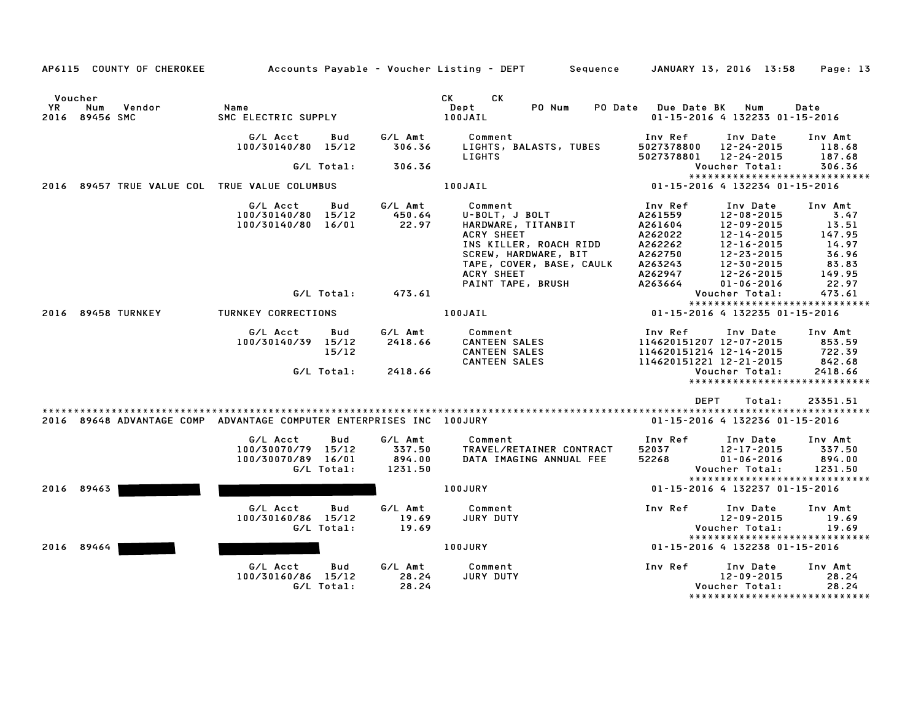| AP6115 COUNTY OF CHEROKEE                                            |                                                                           |                                        | Accounts Payable – Voucher Listing – DEPT         Sequence                                                                                         | JANUARY 13, 2016 13:58<br>Page: 13                                                                                                                                                                                                              |
|----------------------------------------------------------------------|---------------------------------------------------------------------------|----------------------------------------|----------------------------------------------------------------------------------------------------------------------------------------------------|-------------------------------------------------------------------------------------------------------------------------------------------------------------------------------------------------------------------------------------------------|
| Voucher<br>YR<br>Vendor<br>Num<br>2016 89456 SMC                     | Name<br>SMC ELECTRIC SUPPLY                                               |                                        | <b>CK</b><br><b>CK</b><br>Dept<br>PO Num<br>100JAIL                                                                                                | PO Date Due Date BK Num<br>Date<br>01-15-2016 4 132233 01-15-2016                                                                                                                                                                               |
|                                                                      | G/L Acct<br>Bud<br>100/30140/80 15/12                                     | G/L Amt<br>306.36                      | Comment<br>LIGHTS, BALASTS, TUBES<br>LIGHTS                                                                                                        | Inv Ref<br>Inv Date<br>Inv Amt<br>5027378800<br>12-24-2015<br>118.68<br>12-24-2015<br>5027378801<br>187.68                                                                                                                                      |
|                                                                      | G/L Total:                                                                | 306.36                                 |                                                                                                                                                    | Voucher Total:<br>306.36                                                                                                                                                                                                                        |
|                                                                      |                                                                           |                                        |                                                                                                                                                    | *****************************                                                                                                                                                                                                                   |
| 2016 89457 TRUE VALUE COL TRUE VALUE COLUMBUS                        |                                                                           |                                        | 100JAIL                                                                                                                                            | 01-15-2016 4 132234 01-15-2016                                                                                                                                                                                                                  |
|                                                                      | G/L Acct<br>Bud<br>100/30140/80 15/12<br>100/30140/80 16/01               | G/L Amt<br>450.64<br>22.97             | Comment<br>U-BOLT, J BOLT<br>HARDWARE, TITANBIT<br><b>ACRY SHEET</b><br>INS KILLER, ROACH RIDD<br>SCREW, HARDWARE, BIT<br>TAPE, COVER, BASE, CAULK | Inv Ref<br>Inv Date<br>Inv Amt<br>A261559<br>12-08-2015<br>3.47<br>A261604<br>12-09-2015<br>13.51<br>A262022<br>12-14-2015<br>147.95<br>14.97<br>A262262<br>12-16-2015<br>36.96<br>A262750<br>12-23-2015<br>12-30-2015<br>-<br>A263243<br>83.83 |
|                                                                      |                                                                           |                                        | ACRY SHEET                                                                                                                                         | A262947<br>12-26-2015<br>149.95                                                                                                                                                                                                                 |
|                                                                      | G/L Total:                                                                | 473.61                                 | PAINT TAPE, BRUSH                                                                                                                                  | A263664<br>$01 - 06 - 2016$<br>22.97<br>473.61<br>Voucher Total:                                                                                                                                                                                |
|                                                                      |                                                                           |                                        |                                                                                                                                                    | ******************************                                                                                                                                                                                                                  |
| 2016 89458 TURNKEY                                                   | TURNKEY CORRECTIONS                                                       |                                        | 100JAIL                                                                                                                                            | 01-15-2016 4 132235 01-15-2016                                                                                                                                                                                                                  |
|                                                                      | G/L Acct<br>Bud<br>100/30140/39 15/12<br>15/12                            | G/L Amt<br>2418.66                     | Comment<br><b>CANTEEN SALES</b><br><b>CANTEEN SALES</b><br><b>CANTEEN SALES</b>                                                                    | Inv Ref<br>Inv Date<br>Inv Amt<br>114620151207 12-07-2015<br>853.59<br>114620151214 12-14-2015<br>722.39<br>114620151221 12-21-2015<br>842.68                                                                                                   |
|                                                                      | G/L Total:                                                                | 2418.66                                |                                                                                                                                                    | Voucher Total:<br>2418.66<br>******************************                                                                                                                                                                                     |
|                                                                      |                                                                           |                                        |                                                                                                                                                    |                                                                                                                                                                                                                                                 |
| 2016 89648 ADVANTAGE COMP ADVANTAGE COMPUTER ENTERPRISES INC 100JURY |                                                                           |                                        |                                                                                                                                                    | <b>DEPT</b><br>Total:<br>23351.51<br>01-15-2016 4 132236 01-15-2016                                                                                                                                                                             |
|                                                                      | G/L Acct<br>Bud<br>100/30070/79 15/12<br>100/30070/89 16/01<br>G/L Total: | G/L Amt<br>337.50<br>894.00<br>1231.50 | Comment<br>TRAVEL/RETAINER CONTRACT<br>DATA IMAGING ANNUAL FEE                                                                                     | Inv Ref<br>Inv Amt<br>Inv Date<br>52037<br>12-17-2015<br>337.50<br>52268<br>$01 - 06 - 2016$<br>894.00<br>1231.50<br>Voucher Total:                                                                                                             |
| 2016 89463                                                           |                                                                           |                                        | 100JURY                                                                                                                                            | *****************************<br>01-15-2016 4 132237 01-15-2016                                                                                                                                                                                 |
|                                                                      |                                                                           |                                        |                                                                                                                                                    |                                                                                                                                                                                                                                                 |
|                                                                      | G/L Acct<br>Bud<br>100/30160/86 15/12<br>G/L Total:                       | G/L Amt<br>19.69<br>19.69              | Comment<br>JURY DUTY                                                                                                                               | Inv Ref<br>Inv Date<br>Inv Amt<br>$12 - 09 - 2015$<br>19.69<br>19.69<br>Voucher Total:<br>*****************************                                                                                                                         |
| 2016 89464                                                           |                                                                           |                                        | 100JURY                                                                                                                                            | 01-15-2016 4 132238 01-15-2016                                                                                                                                                                                                                  |
|                                                                      | G/L Acct<br>Bud<br>100/30160/86 15/12<br>G/L Total:                       | G/L Amt<br>28.24<br>28.24              | Comment<br>JURY DUTY                                                                                                                               | Inv Ref<br>Inv Date<br>Inv Amt<br>$12 - 09 - 2015$<br>28.24<br>28.24<br>Voucher Total:<br>*****************************                                                                                                                         |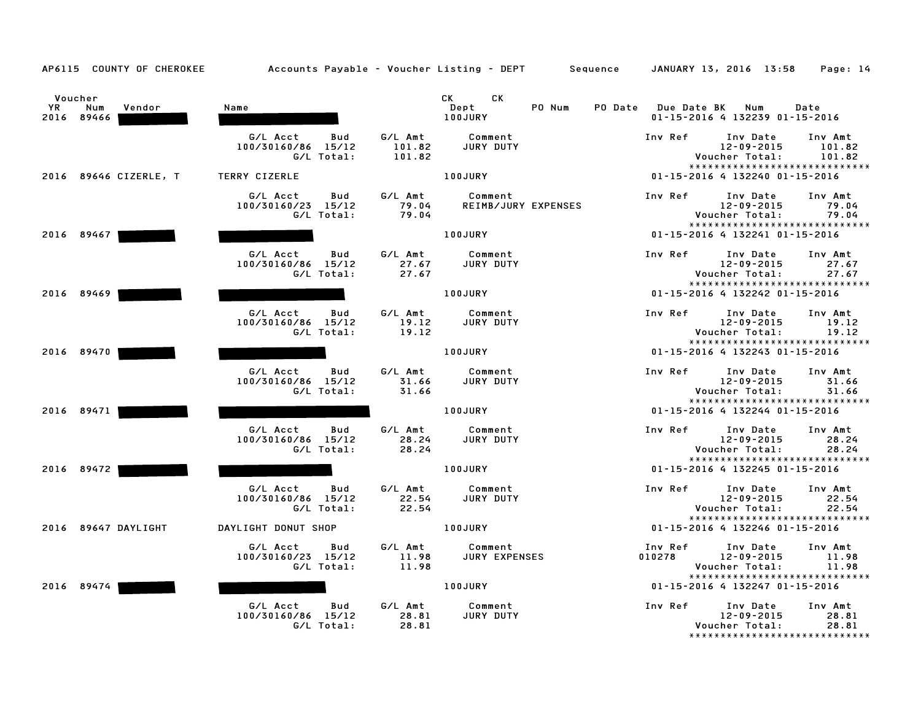|               | AP6115 COUNTY OF CHEROKEE   |                                                     |                             |                                           | Accounts Payable – Voucher Listing – DEPT Sequence |                    | JANUARY 13, 2016 13:58                                                    | Page: 14                    |
|---------------|-----------------------------|-----------------------------------------------------|-----------------------------|-------------------------------------------|----------------------------------------------------|--------------------|---------------------------------------------------------------------------|-----------------------------|
| Voucher<br>YR | Num<br>Vendor<br>2016 89466 | Name                                                |                             | <b>CK</b><br>СK<br>Dept<br><b>100JURY</b> | PO Num<br>PO Date                                  | <b>Due Date BK</b> | Num<br>01-15-2016 4 132239 01-15-2016                                     | Date                        |
|               |                             | G/L Acct<br>Bud<br>100/30160/86 15/12<br>G/L Total: | G/L Amt<br>101.82<br>101.82 | Comment<br>JURY DUTY                      |                                                    | Inv Ref            | Inv Date<br>12-09-2015<br>Voucher Total:                                  | Inv Amt<br>101.82<br>101.82 |
|               | 2016 89646 CIZERLE, T       | TERRY CIZERLE                                       |                             | 100JURY                                   |                                                    |                    | *****************************<br>01-15-2016 4 132240 01-15-2016           |                             |
|               |                             | G/L Acct<br>Bud<br>100/30160/23 15/12<br>G/L Total: | G/L Amt<br>79.04<br>79.04   | Comment<br>REIMB/JURY EXPENSES            |                                                    | Inv Ref            | Inv Date<br>12-09-2015<br>Voucher Total:                                  | Inv Amt<br>79.04<br>79.04   |
|               | 2016 89467                  |                                                     |                             | <b>100JURY</b>                            |                                                    |                    | *****************************<br>01-15-2016 4 132241 01-15-2016           |                             |
|               |                             | G/L Acct<br>Bud<br>100/30160/86 15/12<br>G/L Total: | G/L Amt<br>27.67<br>27.67   | Comment<br>JURY DUTY                      |                                                    | Inv Ref            | Inv Date<br>$12 - 09 - 2015$<br>Voucher Total:                            | Inv Amt<br>27.67<br>27.67   |
|               | 2016 89469                  |                                                     |                             | 100JURY                                   |                                                    |                    | *****************************<br>01-15-2016 4 132242 01-15-2016           |                             |
|               |                             | G/L Acct<br>Bud<br>100/30160/86 15/12<br>G/L Total: | G/L Amt<br>19.12<br>19.12   | Comment<br>JURY DUTY                      |                                                    | Inv Ref            | Inv Date<br>12-09-2015<br>Voucher Total:<br>***************************** | Inv Amt<br>19.12<br>19.12   |
|               | 2016 89470                  |                                                     |                             | 100JURY                                   |                                                    |                    | 01-15-2016 4 132243 01-15-2016                                            |                             |
|               |                             | G/L Acct<br>Bud<br>100/30160/86 15/12<br>G/L Total: | G/L Amt<br>31.66<br>31.66   | Comment<br>JURY DUTY                      |                                                    | Inv Ref            | Inv Date<br>12-09-2015<br>Voucher Total:<br>***************************** | Inv Amt<br>31.66<br>31.66   |
|               | 2016 89471                  |                                                     |                             | <b>100JURY</b>                            |                                                    |                    | 01-15-2016 4 132244 01-15-2016                                            |                             |
|               |                             | G/L Acct<br>Bud<br>100/30160/86 15/12<br>G/L Total: | G/L Amt<br>28.24<br>28.24   | Comment<br>JURY DUTY                      |                                                    | Inv Ref            | Inv Date<br>12-09-2015<br>Voucher Total:                                  | Inv Amt<br>28.24<br>28.24   |
|               | 2016 89472                  |                                                     |                             | 100JURY                                   |                                                    |                    | *****************************<br>01-15-2016 4 132245 01-15-2016           |                             |
|               |                             | G/L Acct<br>Bud<br>100/30160/86 15/12<br>G/L Total: | G/L Amt<br>22.54<br>22.54   | Comment<br>JURY DUTY                      |                                                    | Inv Ref            | Inv Date<br>$12 - 09 - 2015$<br>Voucher Total:                            | Inv Amt<br>22.54<br>22.54   |
|               | 2016 89647 DAYLIGHT         | DAYLIGHT DONUT SHOP                                 |                             | 100JURY                                   |                                                    |                    | *****************************<br>01-15-2016 4 132246 01-15-2016           |                             |
|               |                             | G/L Acct<br>Bud<br>100/30160/23 15/12<br>G/L Total: | G/L Amt<br>11.98<br>11.98   | Comment<br><b>JURY EXPENSES</b>           |                                                    | Inv Ref<br>010278  | Inv Date<br>12-09-2015<br>Voucher Total:                                  | Inv Amt<br>11.98<br>11.98   |
|               | 2016 89474                  |                                                     |                             | 100JURY                                   |                                                    |                    | *****************************<br>01-15-2016 4 132247 01-15-2016           |                             |
|               |                             | G/L Acct<br>Bud<br>100/30160/86 15/12<br>G/L Total: | G/L Amt<br>28.81<br>28.81   | Comment<br>JURY DUTY                      |                                                    | Inv Ref            | Inv Date<br>12-09-2015<br>Voucher Total:<br>***************************** | Inv Amt<br>28.81<br>28.81   |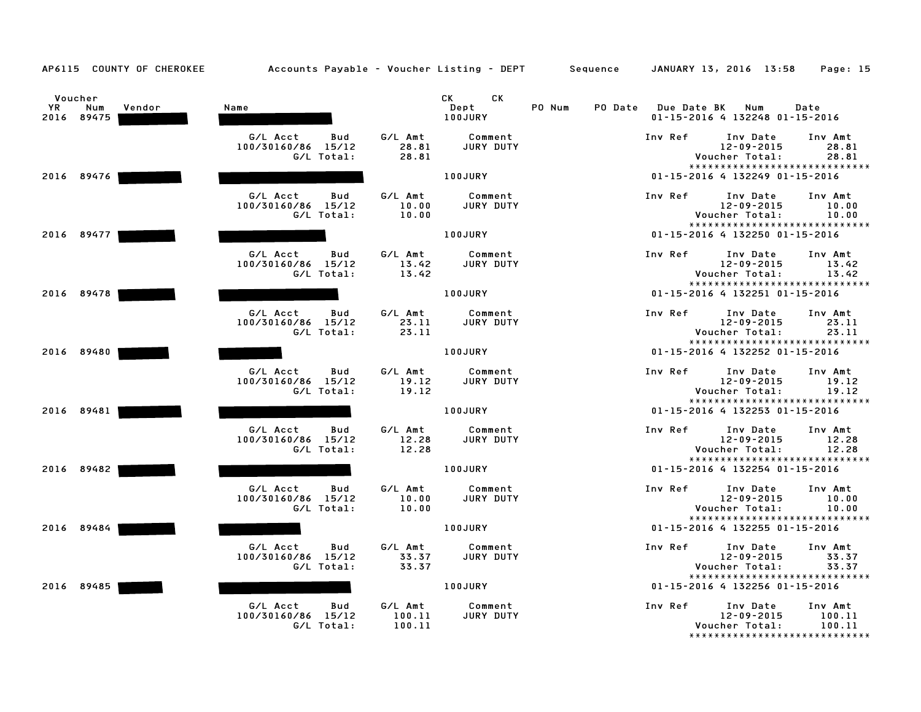| AP6115 COUNTY OF CHEROKEE                           | Accounts Payable – Voucher Listing – DEPT Sequence  |                             |                              |                   |                    | JANUARY 13, 2016 13:58                                                           | Page: 15                    |
|-----------------------------------------------------|-----------------------------------------------------|-----------------------------|------------------------------|-------------------|--------------------|----------------------------------------------------------------------------------|-----------------------------|
| Voucher<br><b>YR</b><br>Vendor<br>Num<br>2016 89475 | Name                                                |                             | CK.<br>CK<br>Dept<br>100JURY | PO Num<br>PO Date | <b>Due Date BK</b> | Num<br>01-15-2016 4 132248 01-15-2016                                            | Date                        |
|                                                     | G/L Acct<br>Bud<br>100/30160/86 15/12<br>G/L Total: | G/L Amt<br>28.81<br>28.81   | Comment<br>JURY DUTY         |                   | Inv Ref            | Inv Date<br>12-09-2015<br>Voucher Total:<br>*****************************        | Inv Amt<br>28.81<br>28.81   |
| 2016 89476                                          |                                                     |                             | 100JURY                      |                   |                    | 01-15-2016 4 132249 01-15-2016                                                   |                             |
|                                                     | G/L Acct<br>Bud<br>100/30160/86 15/12<br>G/L Total: | G/L Amt<br>10.00<br>10.00   | Comment<br>JURY DUTY         |                   | Inv Ref            | Inv Date<br>12-09-2015<br>Voucher Total:<br>*****************************        | Inv Amt<br>10.00<br>10.00   |
| 2016 89477                                          |                                                     |                             | 100JURY                      |                   |                    | 01-15-2016 4 132250 01-15-2016                                                   |                             |
|                                                     | G/L Acct<br>Bud<br>100/30160/86 15/12<br>G/L Total: | G/L Amt<br>13.42<br>13.42   | Comment<br>JURY DUTY         |                   | Inv Ref            | Inv Date<br>12-09-2015<br>Voucher Total:<br>*****************************        | Inv Amt<br>13.42<br>13.42   |
| 2016 89478                                          |                                                     |                             | <b>100JURY</b>               |                   |                    | 01-15-2016 4 132251 01-15-2016                                                   |                             |
|                                                     | G/L Acct<br>Bud<br>100/30160/86 15/12<br>G/L Total: | G/L Amt<br>23.11<br>23.11   | Comment<br>JURY DUTY         |                   | Inv Ref            | Inv Date<br>12-09-2015<br>Voucher Total:<br>*****************************        | Inv Amt<br>23.11<br>23.11   |
| 2016 89480                                          |                                                     |                             | 100JURY                      |                   |                    | 01-15-2016 4 132252 01-15-2016                                                   |                             |
|                                                     | G/L Acct<br>Bud<br>100/30160/86 15/12<br>G/L Total: | G/L Amt<br>19.12<br>19.12   | Comment<br>JURY DUTY         |                   | Inv Ref            | Inv Date<br>$12 - 09 - 2015$<br>Voucher Total:<br>*****************************  | Inv Amt<br>19.12<br>19.12   |
| 2016 89481                                          |                                                     |                             | <b>100JURY</b>               |                   |                    | 01-15-2016 4 132253 01-15-2016                                                   |                             |
|                                                     | G/L Acct<br>Bud<br>100/30160/86 15/12<br>G/L Total: | G/L Amt<br>12.28<br>12.28   | Comment<br>JURY DUTY         |                   | Inv Ref            | Inv Date<br>$12 - 09 - 2015$<br>Voucher Total:<br>*****************************  | Inv Amt<br>12.28<br>12.28   |
| 2016 89482                                          |                                                     |                             | 100JURY                      |                   |                    | 01-15-2016 4 132254 01-15-2016                                                   |                             |
|                                                     | G/L Acct<br>Bud<br>100/30160/86 15/12<br>G/L Total: | G/L Amt<br>10.00<br>10.00   | Comment<br>JURY DUTY         |                   | Inv Ref            | Inv Date<br>12-09-2015<br>Voucher Total:                                         | Inv Amt<br>10.00<br>10.00   |
| 2016 89484                                          |                                                     |                             | 100JURY                      |                   |                    | *****************************<br>01-15-2016 4 132255 01-15-2016                  |                             |
|                                                     | G/L Acct<br>Bud<br>100/30160/86 15/12<br>G/L Total: | G/L Amt<br>33.37<br>33.37   | Comment<br>JURY DUTY         |                   | Inv Ref            | Inv Date<br>$12 - 09 - 2015$<br>Voucher Total:<br>*****************************  | Inv Amt<br>33.37<br>33.37   |
| 2016 89485                                          |                                                     |                             | 100JURY                      |                   |                    | 01-15-2016 4 132256 01-15-2016                                                   |                             |
|                                                     | G/L Acct<br>Bud<br>100/30160/86 15/12<br>G/L Total: | G/L Amt<br>100.11<br>100.11 | Comment<br>JURY DUTY         |                   | Inv Ref            | Inv Date<br>$12 - 09 - 2015$<br>Voucher Total:<br>****************************** | Inv Amt<br>100.11<br>100.11 |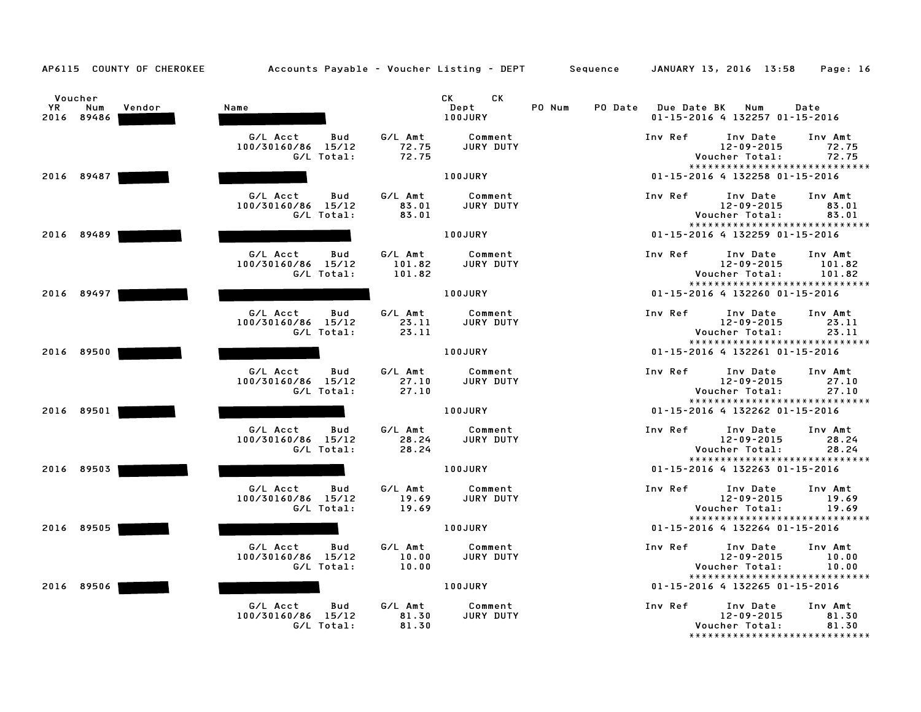|           | Voucher           |        |                                              |                  | CK<br>CK             |        |         |                    |                                                                 |                  |
|-----------|-------------------|--------|----------------------------------------------|------------------|----------------------|--------|---------|--------------------|-----------------------------------------------------------------|------------------|
| <b>YR</b> | Num<br>2016 89486 | Vendor | Name                                         |                  | Dept<br>100JURY      | PO Num | PO Date | <b>Due Date BK</b> | Num<br>01-15-2016 4 132257 01-15-2016                           | Date             |
|           |                   |        | G/L Acct<br><b>Bud</b><br>100/30160/86 15/12 | G/L Amt<br>72.75 | Comment<br>JURY DUTY |        |         | Inv Ref            | Inv Date<br>12-09-2015                                          | Inv Amt<br>72.75 |
|           |                   |        | G/L Total:                                   | 72.75            |                      |        |         |                    | Voucher Total:                                                  | 72.75            |
|           | 2016 89487        |        |                                              |                  | <b>100JURY</b>       |        |         |                    | *****************************<br>01-15-2016 4 132258 01-15-2016 |                  |
|           |                   |        |                                              |                  |                      |        |         |                    |                                                                 |                  |
|           |                   |        | G/L Acct<br>Bud                              | G/L Amt          | Comment              |        |         | Inv Ref            | Inv Date                                                        | Inv Amt          |
|           |                   |        | 100/30160/86 15/12<br>G/L Total:             | 83.01<br>83.01   | JURY DUTY            |        |         |                    | 12-09-2015<br>Voucher Total:                                    | 83.01<br>83.01   |
|           |                   |        |                                              |                  |                      |        |         |                    | *****************************                                   |                  |
|           | 2016 89489        |        |                                              |                  | <b>100JURY</b>       |        |         |                    | 01-15-2016 4 132259 01-15-2016                                  |                  |
|           |                   |        | G/L Acct<br>Bud                              | G/L Amt          | Comment              |        |         | Inv Ref            | Inv Date                                                        | Inv Amt          |
|           |                   |        | 100/30160/86 15/12                           | 101.82           | <b>JURY DUTY</b>     |        |         |                    | $12 - 09 - 2015$                                                | 101.82           |
|           |                   |        | G/L Total:                                   | 101.82           |                      |        |         |                    | Voucher Total:<br>*****************************                 | 101.82           |
|           | 2016 89497        |        |                                              |                  | <b>100JURY</b>       |        |         |                    | 01-15-2016 4 132260 01-15-2016                                  |                  |
|           |                   |        | G/L Acct<br>Bud                              | G/L Amt          | Comment              |        |         | Inv Ref            | Inv Date                                                        | Inv Amt          |
|           |                   |        | 100/30160/86 15/12                           | 23.11            | JURY DUTY            |        |         |                    | $12 - 09 - 2015$                                                | 23.11            |
|           |                   |        | G/L Total:                                   | 23.11            |                      |        |         |                    | Voucher Total:<br>*****************************                 | 23.11            |
|           | 2016 89500        |        |                                              |                  | 100JURY              |        |         |                    | 01-15-2016 4 132261 01-15-2016                                  |                  |
|           |                   |        | G/L Acct<br>Bud                              | G/L Amt          | Comment              |        |         | Inv Ref            | Inv Date                                                        | Inv Amt          |
|           |                   |        | 100/30160/86<br>15/12                        | 27.10            | JURY DUTY            |        |         |                    | 12-09-2015                                                      | 27.10            |
|           |                   |        | G/L Total:                                   | 27.10            |                      |        |         |                    | Voucher Total:                                                  | 27.10            |
|           | 2016 89501        |        |                                              |                  | 100JURY              |        |         |                    | *****************************<br>01-15-2016 4 132262 01-15-2016 |                  |
|           |                   |        |                                              |                  |                      |        |         |                    |                                                                 |                  |
|           |                   |        | G/L Acct<br><b>Bud</b><br>100/30160/86 15/12 | G/L Amt<br>28.24 | Comment<br>JURY DUTY |        |         | Inv Ref            | Inv Date<br>$12 - 09 - 2015$                                    | Inv Amt<br>28.24 |
|           |                   |        | G/L Total:                                   | 28.24            |                      |        |         |                    | Voucher Total:                                                  | 28.24            |
|           |                   |        |                                              |                  |                      |        |         |                    | *****************************                                   |                  |
|           | 2016 89503        |        |                                              |                  | 100JURY              |        |         |                    | 01-15-2016 4 132263 01-15-2016                                  |                  |
|           |                   |        | G/L Acct<br>Bud                              | G/L Amt          | Comment              |        |         | Inv Ref            | Inv Date                                                        | Inv Amt          |
|           |                   |        | 100/30160/86 15/12<br>G/L Total:             | 19.69<br>19.69   | JURY DUTY            |        |         |                    | $12 - 09 - 2015$<br>Voucher Total:                              | 19.69<br>19.69   |
|           |                   |        |                                              |                  |                      |        |         |                    | *****************************                                   |                  |
|           | 2016 89505        |        |                                              |                  | 100JURY              |        |         |                    | 01-15-2016 4 132264 01-15-2016                                  |                  |
|           |                   |        | G/L Acct<br>Bud                              | G/L Amt          | Comment              |        |         | Inv Ref            | Inv Date                                                        | Inv Amt          |
|           |                   |        | 100/30160/86 15/12                           | 10.00            | JURY DUTY            |        |         |                    | $12 - 09 - 2015$                                                | 10.00            |
|           |                   |        | G/L Total:                                   | 10.00            |                      |        |         |                    | Voucher Total:<br>*****************************                 | 10.00            |
|           | 2016 89506        |        |                                              |                  | 100JURY              |        |         |                    | 01-15-2016 4 132265 01-15-2016                                  |                  |
|           |                   |        | G/L Acct<br>Bud                              | G/L Amt          | Comment              |        |         | Inv Ref            | Inv Date                                                        | Inv Amt          |
|           |                   |        | 100/30160/86 15/12                           | 81.30            | JURY DUTY            |        |         |                    | 12-09-2015                                                      | 81.30            |
|           |                   |        | G/L Total:                                   | 81.30            |                      |        |         |                    | Voucher Total:                                                  | 81.30            |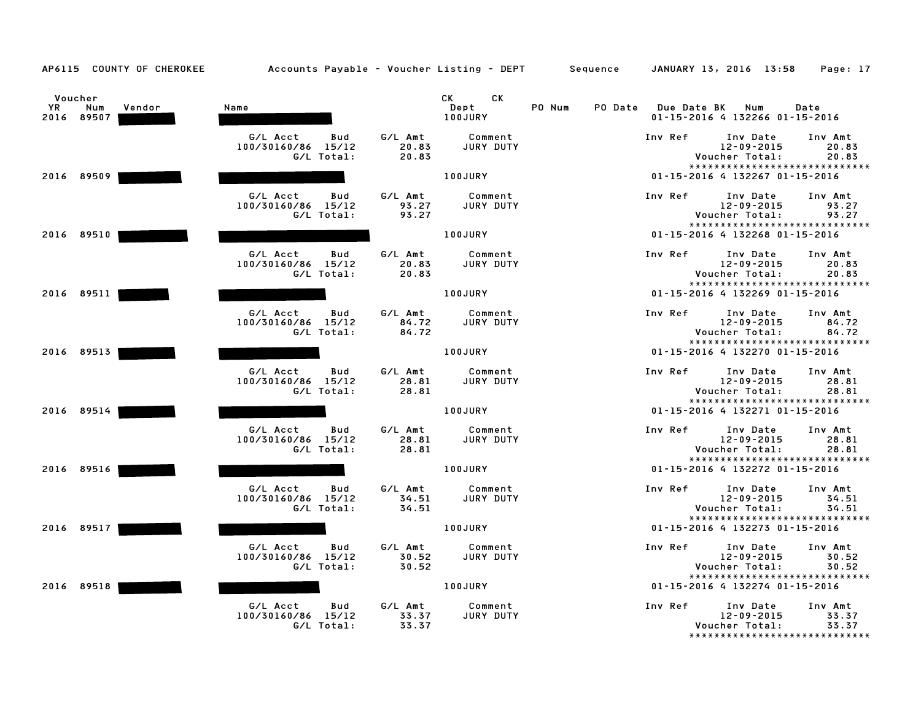| Voucher                 |        |                                       |                  | CK<br>CK                    |                   |             |                                                                 |                  |
|-------------------------|--------|---------------------------------------|------------------|-----------------------------|-------------------|-------------|-----------------------------------------------------------------|------------------|
| YR<br>Num<br>2016 89507 | Vendor | Name                                  |                  | Dept<br>100JURY             | PO Num<br>PO Date | Due Date BK | Num<br>01-15-2016 4 132266 01-15-2016                           | Date             |
|                         |        | G/L Acct<br>Bud<br>100/30160/86 15/12 | G/L Amt<br>20.83 | Comment<br>JURY DUTY        |                   | Inv Ref     | Inv Date<br>12-09-2015                                          | Inv Amt<br>20.83 |
|                         |        | G/L Total:                            | 20.83            |                             |                   |             | Voucher Total:                                                  | 20.83            |
| 2016 89509              |        |                                       |                  | 100JURY                     |                   |             | *****************************<br>01-15-2016 4 132267 01-15-2016 |                  |
|                         |        |                                       |                  |                             |                   |             |                                                                 |                  |
|                         |        | G/L Acct<br>Bud                       | G/L Amt          | Comment                     |                   | Inv Ref     | Inv Date                                                        | Inv Amt          |
|                         |        | 100/30160/86 15/12<br>G/L Total:      | 93.27<br>93.27   | JURY DUTY                   |                   |             | 12-09-2015<br>Voucher Total:                                    | 93.27<br>93.27   |
|                         |        |                                       |                  |                             |                   |             | *****************************                                   |                  |
| 2016 89510              |        |                                       |                  | 100JURY                     |                   |             | 01-15-2016 4 132268 01-15-2016                                  |                  |
|                         |        | G/L Acct<br>Bud                       | G/L Amt          | Comment                     |                   | Inv Ref     | Inv Date                                                        | Inv Amt          |
|                         |        | 100/30160/86 15/12                    | 20.83            | JURY DUTY                   |                   |             | 12-09-2015                                                      | 20.83            |
|                         |        | G/L Total:                            | 20.83            |                             |                   |             | Voucher Total:<br>*****************************                 | 20.83            |
| 2016 89511              |        |                                       |                  | <b>100JURY</b>              |                   |             | 01-15-2016 4 132269 01-15-2016                                  |                  |
|                         |        | G/L Acct<br>Bud                       | G/L Amt          | Comment                     |                   | Inv Ref     | Inv Date                                                        | Inv Amt          |
|                         |        | 100/30160/86 15/12                    | 84.72            | JURY DUTY                   |                   |             | 12-09-2015                                                      | 84.72            |
|                         |        | G/L Total:                            | 84.72            |                             |                   |             | Voucher Total:<br>*****************************                 | 84.72            |
| 2016 89513              |        |                                       |                  | 100JURY                     |                   |             | 01-15-2016 4 132270 01-15-2016                                  |                  |
|                         |        | G/L Acct<br>Bud                       | G/L Amt          | Comment                     |                   | Inv Ref     | Inv Date                                                        | Inv Amt          |
|                         |        | 100/30160/86 15/12                    | 28.81            | JURY DUTY                   |                   |             | 12-09-2015                                                      | 28.81            |
|                         |        | G/L Total:                            | 28.81            |                             |                   |             | Voucher Total:<br>*****************************                 | 28.81            |
| 2016 89514              |        |                                       |                  | <b>100JURY</b>              |                   |             | 01-15-2016 4 132271 01-15-2016                                  |                  |
|                         |        | G/L Acct                              |                  |                             |                   |             |                                                                 |                  |
|                         |        | Bud<br>100/30160/86 15/12             | G/L Amt<br>28.81 | Comment<br><b>JURY DUTY</b> |                   | Inv Ref     | Inv Date<br>$12 - 09 - 2015$                                    | Inv Amt<br>28.81 |
|                         |        | G/L Total:                            | 28.81            |                             |                   |             | Voucher Total:                                                  | 28.81            |
| 2016 89516              |        |                                       |                  | 100JURY                     |                   |             | *****************************<br>01-15-2016 4 132272 01-15-2016 |                  |
|                         |        |                                       |                  |                             |                   |             |                                                                 |                  |
|                         |        | G/L Acct<br>Bud                       | G/L Amt          | Comment                     |                   | Inv Ref     | Inv Date                                                        | Inv Amt          |
|                         |        | 100/30160/86 15/12<br>G/L Total:      | 34.51<br>34.51   | JURY DUTY                   |                   |             | $12 - 09 - 2015$<br>Voucher Total:                              | 34.51<br>34.51   |
|                         |        |                                       |                  |                             |                   |             | *****************************                                   |                  |
| 2016 89517              |        |                                       |                  | 100JURY                     |                   |             | 01-15-2016 4 132273 01-15-2016                                  |                  |
|                         |        | G/L Acct<br>Bud                       | G/L Amt          | Comment                     |                   | Inv Ref     | Inv Date                                                        | Inv Amt          |
|                         |        | 100/30160/86 15/12                    | 30.52            | JURY DUTY                   |                   |             | $12 - 09 - 2015$                                                | 30.52            |
|                         |        | G/L Total:                            | 30.52            |                             |                   |             | Voucher Total:<br>*****************************                 | 30.52            |
| 2016<br>89518           |        |                                       |                  | 100JURY                     |                   |             | 01-15-2016 4 132274 01-15-2016                                  |                  |
|                         |        | G/L Acct<br>Bud                       | G/L Amt          | Comment                     |                   | Inv Ref     | Inv Date                                                        | Inv Amt          |
|                         |        | 100/30160/86 15/12                    | 33.37            | JURY DUTY                   |                   |             | 12-09-2015                                                      | 33.37            |
|                         |        | G/L Total:                            | 33.37            |                             |                   |             | Voucher Total:<br>*******************************               | 33.37            |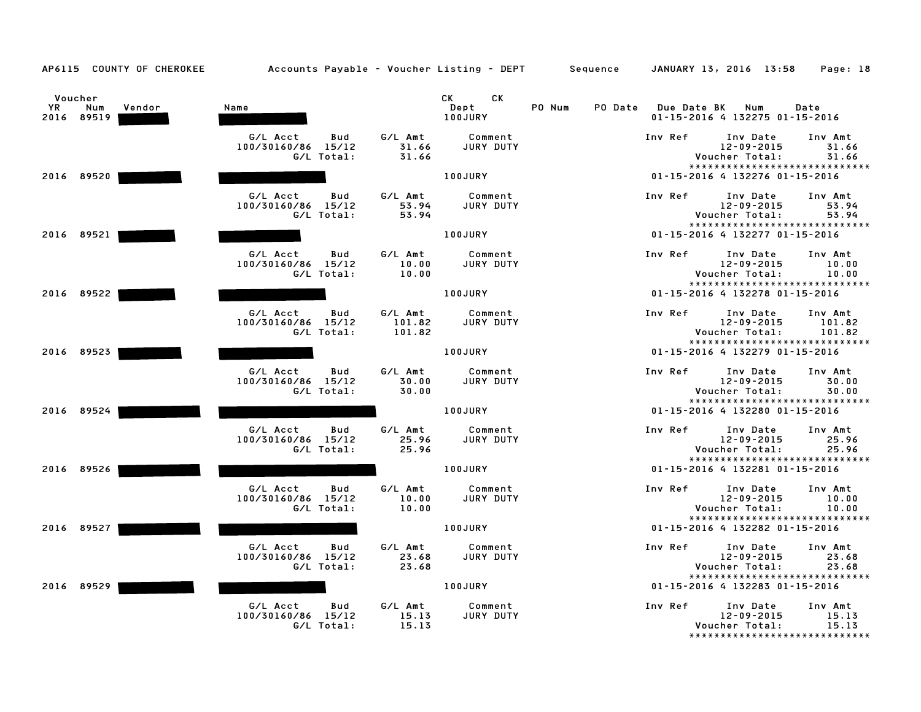|     | Voucher    |        |                                       |                  | СK<br>CK .           |        |                               |                                                                 |                  |
|-----|------------|--------|---------------------------------------|------------------|----------------------|--------|-------------------------------|-----------------------------------------------------------------|------------------|
| YR. | Num        | Vendor | Name                                  |                  | Dept                 | PO Num | PO Date<br><b>Due Date BK</b> | Num                                                             | Date             |
|     | 2016 89519 |        |                                       |                  | 100JURY              |        |                               | 01-15-2016 4 132275 01-15-2016                                  |                  |
|     |            |        | G/L Acct<br>Bud                       | G/L Amt          | Comment              |        | Inv Ref                       | Inv Date                                                        | Inv Amt          |
|     |            |        | 100/30160/86 15/12                    | 31.66            | JURY DUTY            |        |                               | $12 - 09 - 2015$                                                | 31.66            |
|     |            |        | G/L Total:                            | 31.66            |                      |        |                               | Voucher Total:                                                  | 31.66            |
|     |            |        |                                       |                  |                      |        |                               | *****************************                                   |                  |
|     | 2016 89520 |        |                                       |                  | <b>100JURY</b>       |        |                               | 01-15-2016 4 132276 01-15-2016                                  |                  |
|     |            |        | G/L Acct<br>Bud                       | G/L Amt          | Comment              |        | Inv Ref                       | Inv Date                                                        | Inv Amt          |
|     |            |        | 100/30160/86 15/12                    | 53.94            | JURY DUTY            |        |                               | 12-09-2015                                                      | 53.94            |
|     |            |        | G/L Total:                            | 53.94            |                      |        |                               | Voucher Total:                                                  | 53.94            |
|     | 2016 89521 |        |                                       |                  | <b>100JURY</b>       |        |                               | *****************************<br>01-15-2016 4 132277 01-15-2016 |                  |
|     |            |        |                                       |                  |                      |        |                               |                                                                 |                  |
|     |            |        | G/L Acct<br>Bud                       | G/L Amt          | Comment              |        | Inv Ref                       | Inv Date                                                        | Inv Amt          |
|     |            |        | 100/30160/86 15/12                    | 10.00            | JURY DUTY            |        |                               | $12 - 09 - 2015$                                                | 10.00            |
|     |            |        | G/L Total:                            | 10.00            |                      |        |                               | Voucher Total:<br>*****************************                 | 10.00            |
|     | 2016 89522 |        |                                       |                  | <b>100JURY</b>       |        |                               | 01-15-2016 4 132278 01-15-2016                                  |                  |
|     |            |        |                                       |                  |                      |        |                               |                                                                 |                  |
|     |            |        | G/L Acct<br>Bud                       | G/L Amt          | Comment              |        | Inv Ref                       | Inv Date                                                        | Inv Amt          |
|     |            |        | 100/30160/86<br>15/12<br>G/L Total:   | 101.82<br>101.82 | JURY DUTY            |        |                               | $12 - 09 - 2015$<br>Voucher Total:                              | 101.82<br>101.82 |
|     |            |        |                                       |                  |                      |        |                               | *****************************                                   |                  |
|     | 2016 89523 |        |                                       |                  | 100JURY              |        |                               | 01-15-2016 4 132279 01-15-2016                                  |                  |
|     |            |        |                                       |                  |                      |        |                               |                                                                 |                  |
|     |            |        | G/L Acct<br>Bud                       | G/L Amt          | Comment              |        | Inv Ref                       | Inv Date                                                        | Inv Amt          |
|     |            |        | 100/30160/86 15/12<br>G/L Total:      | 30.00<br>30.00   | JURY DUTY            |        |                               | 12-09-2015<br>Voucher Total:                                    | 30.00<br>30.00   |
|     |            |        |                                       |                  |                      |        |                               | *****************************                                   |                  |
|     | 2016 89524 |        |                                       |                  | 100JURY              |        |                               | 01-15-2016 4 132280 01-15-2016                                  |                  |
|     |            |        |                                       |                  |                      |        |                               |                                                                 |                  |
|     |            |        | G/L Acct<br>Bud<br>100/30160/86 15/12 | G/L Amt<br>25.96 | Comment<br>JURY DUTY |        | Inv Ref                       | Inv Date<br>$12 - 09 - 2015$                                    | Inv Amt<br>25.96 |
|     |            |        | G/L Total:                            | 25.96            |                      |        |                               | Voucher Total:                                                  | 25.96            |
|     |            |        |                                       |                  |                      |        |                               | *****************************                                   |                  |
|     | 2016 89526 |        |                                       |                  | 100JURY              |        |                               | 01-15-2016 4 132281 01-15-2016                                  |                  |
|     |            |        | G/L Acct<br>Bud                       | G/L Amt          | Comment              |        | Inv Ref                       | Inv Date                                                        | Inv Amt          |
|     |            |        | 100/30160/86 15/12                    | 10.00            | JURY DUTY            |        |                               | $12 - 09 - 2015$                                                | 10.00            |
|     |            |        | G/L Total:                            | 10.00            |                      |        |                               | Voucher Total:                                                  | 10.00            |
|     |            |        |                                       |                  |                      |        |                               | *****************************                                   |                  |
|     | 2016 89527 |        |                                       |                  | 100JURY              |        |                               | 01-15-2016 4 132282 01-15-2016                                  |                  |
|     |            |        | G/L Acct<br>Bud                       | G/L Amt          | Comment              |        | Inv Ref                       | Inv Date                                                        | Inv Amt          |
|     |            |        | 100/30160/86 15/12                    | 23.68            | JURY DUTY            |        |                               | $12 - 09 - 2015$                                                | 23.68            |
|     |            |        | G/L Total:                            | 23.68            |                      |        |                               | Voucher Total:                                                  | 23.68            |
|     |            |        |                                       |                  |                      |        |                               | *****************************                                   |                  |
|     | 2016 89529 |        |                                       |                  | 100JURY              |        |                               | 01-15-2016 4 132283 01-15-2016                                  |                  |
|     |            |        | G/L Acct<br>Bud                       | G/L Amt          | Comment              |        | Inv Ref                       | Inv Date                                                        | Inv Amt          |
|     |            |        | 100/30160/86 15/12                    | 15.13            | <b>JURY DUTY</b>     |        |                               | 12-09-2015                                                      | 15.13            |
|     |            |        | G/L Total:                            | 15.13            |                      |        |                               | Voucher Total:<br>*****************************                 | 15.13            |
|     |            |        |                                       |                  |                      |        |                               |                                                                 |                  |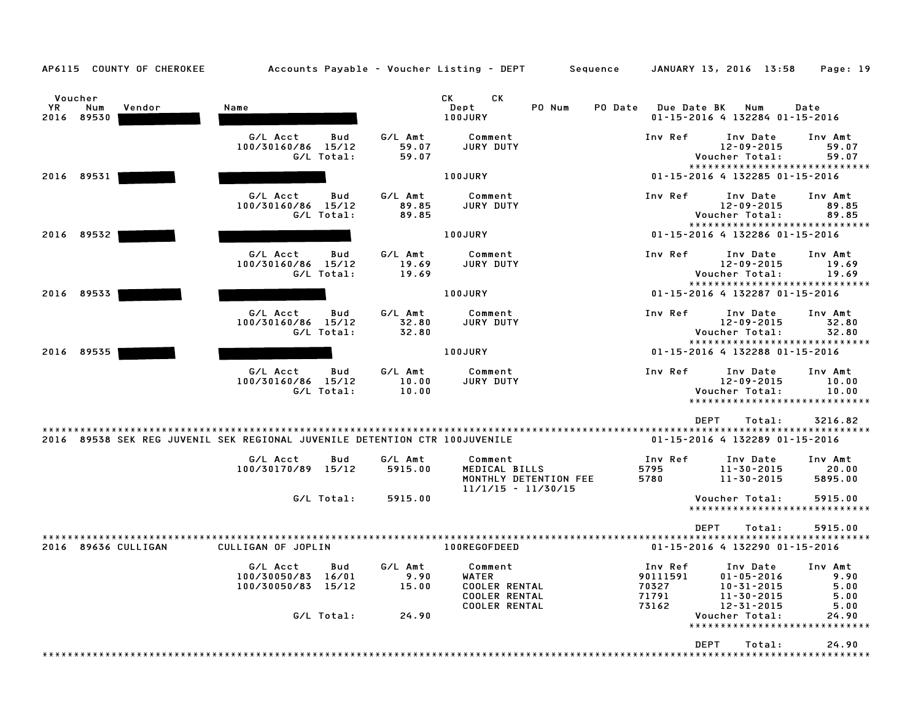Voucher CK CK YR Num Vendor Name Dept PO Num PO Date Due Date BK Num Date Voucher<br>1991 - YR Num Vendor – Name – Same – Sept – PO-Num PO-Date Due-Date BK Num Date<br>2016 89530 - 15-2016 100JURY – 100JURY – 100JURY – 100JURY – 100JURY – 100JURY – 100JURY – 11-15-2016 132284 G/L Acct Bud G/L Amt Comment Inv Ref Inv Date Inv Amt 100/30160/86 15/12 59.07 JURY DUTY 12-09-2015 59.07 G/L Total: 59.07 Voucher Total: 59.07 12-09-2015 59.07<br>Voucher Total: 59.07<br>\*\*\*\*\*\*\*\*\*\*\*\*\*\*\*\*\*\*\*\*\*\*\*\*\*\*\*\*\*\*\* <sup>2016</sup> <sup>89531</sup> 100JURY 01-15-2016 <sup>4</sup> <sup>132285</sup> 01-15-2016 G/L Acct Bud G/L Amt Comment Inv Ref Inv Date Inv Amt 100/30160/86 15/12 89.85 JURY DUTY 12-09-2015 89.85 G/L Total: 89.85 Voucher Total: 89.85 \*\*\*\*\*\*\*\*\*\*\*\*\*\*\*\*\*\*\*\*\*\*\*\*\*\*\*\*\* <sup>2016</sup> <sup>89532</sup> 100JURY 01-15-2016 <sup>4</sup> <sup>132286</sup> 01-15-2016 G/L Acct Bud G/L Amt Comment Inv Ref Inv Date Inv Amt 100/30160/86 15/12 19.69 JURY DUTY 12-09-2015 19.69 G/L Total: 19.69 Voucher Total: 19.69 \*\*\*\*\*\*\*\*\*\*\*\*\*\*\*\*\*\*\*\*\*\*\*\*\*\*\*\*\* <sup>2016</sup> <sup>89533</sup> 100JURY 01-15-2016 <sup>4</sup> <sup>132287</sup> 01-15-2016 G/L Acct Bud G/L Amt Comment Inv Ref Inv Date Inv Amt 100/30160/86 15/12 32.80 JURY DUTY 12-09-2015 32.80 G/L Total: 32.80 Voucher Total: 32.80 \*\*\*\*\*\*\*\*\*\*\*\*\*\*\*\*\*\*\*\*\*\*\*\*\*\*\*\*\* <sup>2016</sup> <sup>89535</sup> 100JURY 01-15-2016 <sup>4</sup> <sup>132288</sup> 01-15-2016 G/L Acct Bud G/L Amt Comment Inv Ref Inv Date Inv Amt 100/30160/86 15/12 10.00 JURY DUTY 12-09-2015 10.00 G/L Total: 10.00 Voucher Total: 10.00 12-09-2015 10.00<br>Voucher Total: 10.00<br>\*\*\*\*\*\*\*\*\*\*\*\*\*\*\*\*\*\*\*\*\*\*\*\*\*\*\*\*\*\* \*\*\*\*\*\*\*\*\*\*\*\*\*\*\*\*\*\*\*\*\*\*\*\*<br>DEPT Total: 3216.82 \*\*\*\*\*\*\*\*\*\*\*\*\*\*\*\*\*\*\*\*\*\*\*\*\*\*\*\*\*\*\*\*\*\*\*\*\*\*\*\*\*\*\*\*\*\*\*\*\*\*\*\*\*\*\*\*\*\*\*\*\*\*\*\*\*\*\*\*\*\*\*\*\*\*\*\*\*\*\*\*\*\*\*\*\*\*\*\*\*\*\*\*\*\*\*\*\*\*\*\*\*\*\*\*\*\*\*\*\*\*\*\*\*\*\*\*\*\*\*\*\*\*\*\*\*\*\*\*\*\*\*\* <sup>2016</sup> <sup>89538</sup> SEK REG JUVENIL SEK REGIONAL JUVENILE DETENTION CTR 100JUVENILE 01-15-2016 <sup>4</sup> <sup>132289</sup> 01-15-2016 G/L Acct Bud G/L Amt Comment Inv Ref Inv Date Inv Amt 100/30170/89 15/12 5915.00 MEDICAL BILLS <sup>5795</sup> 11-30-2015 20.00 MONTHLY DETENTION FEE <sup>5780</sup> 11-30-2015 5895.00 11/1/15 - 11/30/15 G/L Total: 5915.00 Voucher Total: 5915.00 \*\*\*\*\*\*\*\*\*\*\*\*\*\*\*\*\*\*\*\*\*\*\*\*\*\*\*\*\* DEPT Total: 5915.00 \*\*\*\*\*\*\*\*\*\*\*\*\*\*\*\*\*\*\*\*\*\*\*\*\*\*\*\*\*\*\*\*\*\*\*\*\*\*\*\*\*\*\*\*\*\*\*\*\*\*\*\*\*\*\*\*\*\*\*\*\*\*\*\*\*\*\*\*\*\*\*\*\*\*\*\*\*\*\*\*\*\*\*\*\*\*\*\*\*\*\*\*\*\*\*\*\*\*\*\*\*\*\*\*\*\*\*\*\*\*\*\*\*\*\*\*\*\*\*\*\*\*\*\*\*\*\*\*\*\*\*\* <sup>2016</sup> <sup>89636</sup> CULLIGAN CULLIGAN OF JOPLIN 100REGOFDEED 01-15-2016 <sup>4</sup> <sup>132290</sup> 01-15-2016 G/L Acct Bud G/L Amt Comment Inv Ref Inv Date Inv Amt 100/30050/83 16/01 9.90 WATER <sup>90111591</sup> 01-05-2016 9.90 100/30050/83 15/12 15.00 COOLER RENTAL <sup>70327</sup> 10-31-2015 5.00 COOLER RENTAL <sup>71791</sup> 11-30-2015 5.00 COOLER RENTAL <sup>73162</sup> 12-31-2015 5.00 G/L Total: 24.90 Voucher Total: 24.90 \*\*\*\*\*\*\*\*\*\*\*\*\*\*\*\*\*\*\*\*\*\*\*\*\*\*\*\*\* DEPT Total: 24.90

\*\*\*\*\*\*\*\*\*\*\*\*\*\*\*\*\*\*\*\*\*\*\*\*\*\*\*\*\*\*\*\*\*\*\*\*\*\*\*\*\*\*\*\*\*\*\*\*\*\*\*\*\*\*\*\*\*\*\*\*\*\*\*\*\*\*\*\*\*\*\*\*\*\*\*\*\*\*\*\*\*\*\*\*\*\*\*\*\*\*\*\*\*\*\*\*\*\*\*\*\*\*\*\*\*\*\*\*\*\*\*\*\*\*\*\*\*\*\*\*\*\*\*\*\*\*\*\*\*\*\*\*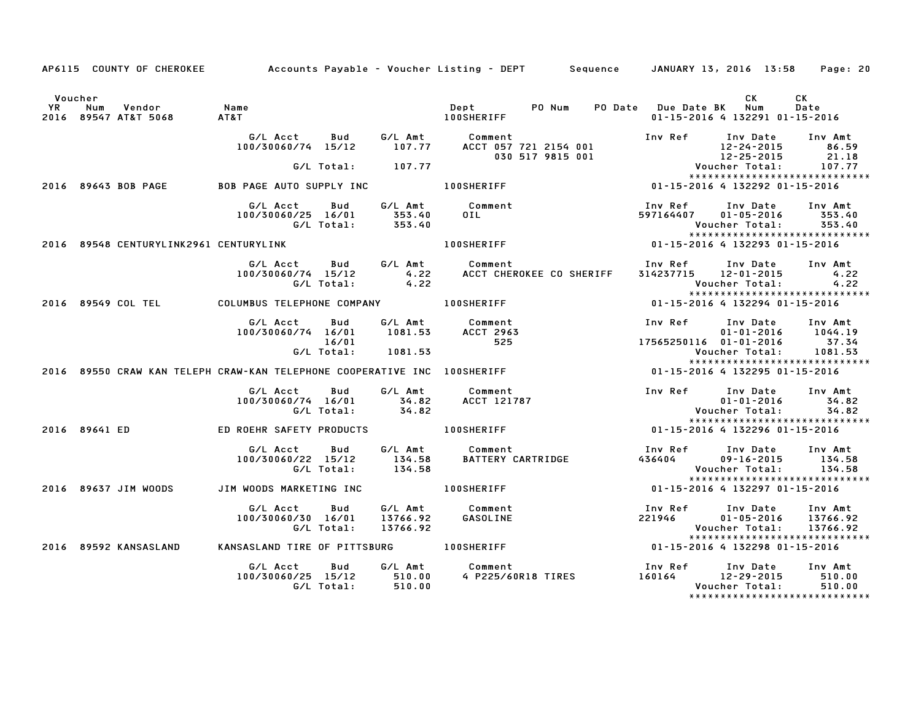|                      |               | AP6115 COUNTY OF CHEROKEE              |                                                                          |                            |                           | Accounts Payable – Voucher Listing – DEPT         Sequence     JANUARY 13, 2016  13:58 |                                |                                               |                                                                                 | Page: 20                                                |  |
|----------------------|---------------|----------------------------------------|--------------------------------------------------------------------------|----------------------------|---------------------------|----------------------------------------------------------------------------------------|--------------------------------|-----------------------------------------------|---------------------------------------------------------------------------------|---------------------------------------------------------|--|
| Voucher<br><b>YR</b> | Num           | Vendor<br>2016 89547 AT&T 5068         | Name<br>AT&T                                                             |                            |                           | Dept PONum<br><b>100SHERIFF</b>                                                        |                                | PO Date Due Date BK                           | CK<br>Num<br>01-15-2016 4 132291 01-15-2016                                     | CK<br>Date                                              |  |
|                      |               |                                        | G/L Acct<br>100/30060/74 15/12                                           | Bud                        | G/L Amt<br>107.77         | Comment<br>ACCT 057 721 2154 001<br>030 517 9815 001                                   |                                | Inv Ref                                       | Inv Date                                                                        | Inv Amt<br>86.59<br>21.18                               |  |
|                      |               |                                        |                                                                          |                            | G/L Total: 107.77         |                                                                                        |                                | 12-24-2015<br>12-25-2015<br>Voucher Total:    | *****************************                                                   | 107.77                                                  |  |
|                      |               | 2016 89643 BOB PAGE                    | BOB PAGE AUTO SUPPLY INC                                                 |                            |                           | <b>100SHERIFF</b>                                                                      |                                |                                               | 01-15-2016 4 132292 01-15-2016                                                  |                                                         |  |
|                      |               |                                        | G/L Acct<br>100/30060/25 16/01<br>G/L Total:                             | Bud                        | 353.40<br>353.40          | G/L Amt Comment<br>OIL                                                                 |                                | Inv Ref<br>597164407                          | Inv Date<br>$01 - 05 - 2016$<br>Voucher Total:<br>***************************** | Inv Amt<br>353.40<br>353.40                             |  |
|                      |               | 2016 89548 CENTURYLINK2961 CENTURYLINK |                                                                          |                            |                           | <b>100SHERIFF</b>                                                                      |                                | 01-15-2016 4 132293 01-15-2016                |                                                                                 |                                                         |  |
|                      |               |                                        | G/L Acct Bud<br>100/30060/74 15/12                                       | G/L Total:                 | 4.22<br>4.22              | G/L Amt Comment<br>4.22 ACCT CHER<br>ACCT CHEROKEE CO SHERIFF                          |                                | Inv Ref      Inv Date<br>314237715 12-01-2015 | Voucher Total:                                                                  | Inv Amt<br>4.22<br>4.22                                 |  |
|                      |               | 2016 89549 COL TEL                     | COLUMBUS TELEPHONE COMPANY 100SHERIFF                                    |                            |                           |                                                                                        |                                |                                               | *****************************<br>01-15-2016 4 132294 01-15-2016                 |                                                         |  |
|                      |               |                                        | G/L Acct<br>100/30060/74 16/01                                           | Bud<br>16/01<br>G/L Total: | 1081.53<br>1081.53        | G/L Amt Comment<br><b>ACCT 2963</b><br>525                                             |                                | Inv Ref<br>17565250116 01-01-2016             | Inv Date<br>Voucher Total:                                                      | Inv Amt<br>$01 - 01 - 2016$ 1044.19<br>37.34<br>1081.53 |  |
|                      |               |                                        | 2016 89550 CRAW KAN TELEPH CRAW-KAN TELEPHONE COOPERATIVE INC 100SHERIFF |                            |                           |                                                                                        |                                |                                               | *****************************<br>01-15-2016 4 132295 01-15-2016                 |                                                         |  |
|                      |               |                                        | G/L Acct<br>100/30060/74 16/01                                           | Bud<br>G/L Total:          | G/L Amt<br>34.82<br>34.82 | Comment<br>ACCT 121787                                                                 |                                | Inv Ref      Inv Date                         | $01 - 01 - 2016$<br>Voucher Total:                                              | Inv Amt<br>34.82<br>34.82                               |  |
|                      | 2016 89641 ED |                                        | ED ROEHR SAFETY PRODUCTS                                                 |                            |                           | 100SHERIFF                                                                             | 01-15-2016 4 132296 01-15-2016 |                                               | ******************************                                                  |                                                         |  |
|                      |               |                                        | G/L Acct<br>100/30060/22 15/12                                           | Bud<br>G/L Total:          | 134.58<br>134.58          | G/L Amt Comment<br>BATTERY CARTRIDGE                                                   |                                | 436404                                        | Inv Ref     Inv Date<br>$09 - 16 - 2015$<br>Voucher Total:                      | Inv Amt<br>134.58<br>134.58                             |  |
|                      |               | 2016 89637 JIM WOODS                   | JIM WOODS MARKETING INC                                                  |                            |                           | <b>100SHERIFF</b>                                                                      |                                |                                               | *****************************<br>01-15-2016 4 132297 01-15-2016                 |                                                         |  |
|                      |               |                                        | G/L Acct<br>100/30060/30 16/01                                           | Bud<br>G/L Total:          | 13766.92<br>13766.92      | G/L Amt Comment<br>GASOLINE                                                            |                                | Inv Ref<br>221946                             | Inv Date<br>$01 - 05 - 2016$<br>Voucher Total:<br>***************************** | Inv Amt<br>13766.92<br>13766.92                         |  |
|                      |               | 2016 89592 KANSASLAND                  | KANSASLAND TIRE OF PITTSBURG                                             |                            |                           | <b>100SHERIFF</b>                                                                      |                                | 01-15-2016 4 132298 01-15-2016                |                                                                                 |                                                         |  |
|                      |               |                                        | G/L Acct<br>100/30060/25 15/12                                           | Bud<br>G/L Total:          | 510.00<br>510.00          | G/L Amt Comment<br>510.00    4 P225/60R18 TIRES                                        |                                | Inv Ref<br>160164 12-29-2015                  | Inv Date<br>Voucher Total:<br>*****************************                     | Inv Amt<br>510.00<br>510.00                             |  |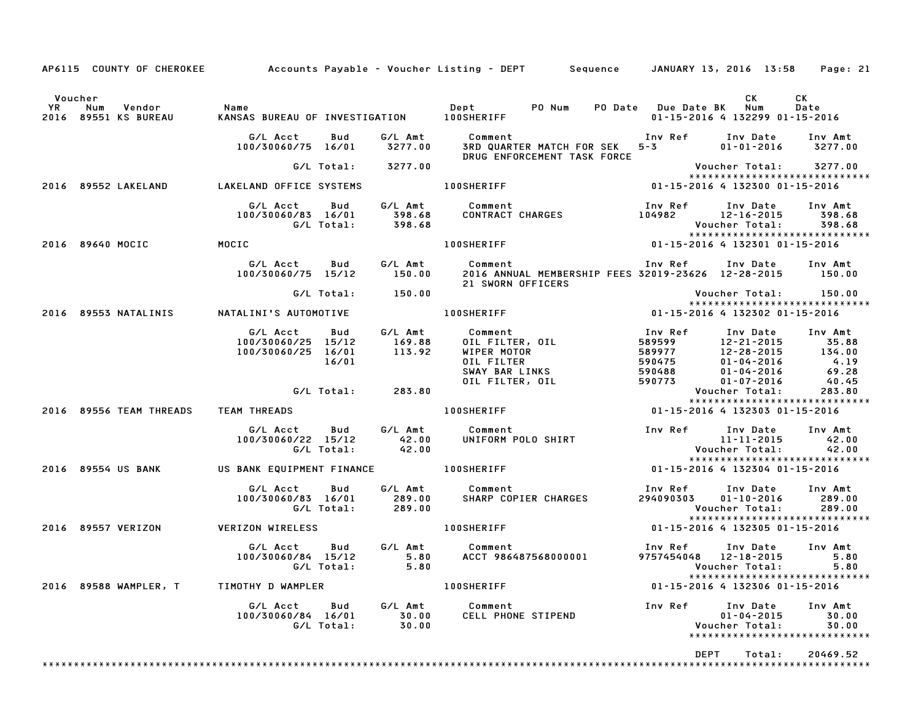|                        |                                                                           |                           | AP6115 COUNTY OF CHEROKEE Accounts Payable - Voucher Listing - DEPT Sequence JANUARY 13, 2016 13:58 Page: 21                                                                                    |                                                                                                                                                                         |                                                                                  |                                                        |
|------------------------|---------------------------------------------------------------------------|---------------------------|-------------------------------------------------------------------------------------------------------------------------------------------------------------------------------------------------|-------------------------------------------------------------------------------------------------------------------------------------------------------------------------|----------------------------------------------------------------------------------|--------------------------------------------------------|
| Voucher                |                                                                           |                           | v. U. Num Vendor – Name – Name – Dept – PO Num PO Date Due Date BK – VR<br>2016 89551 KS BUREAU – KANSAS BUREAU OF INVESTIGATION – 100SHERIFF – – – – – – – 01-15-2016 4 132299 01              |                                                                                                                                                                         | CK<br>01-15-2016 4 132299 01-15-2016                                             | CK<br>Date                                             |
|                        | G/L Acct Bud                                                              |                           | G/L Amt Comment<br>100/30060/75 16/01 3277.00 3RD QUARTER MATCH FOR SEK 5-3<br>DRUG ENFORCEMENT TASK FORCE                                                                                      | Inv Ref      Inv Date     Inv Amt                                                                                                                                       | $01 - 01 - 2016$ 3277.00                                                         |                                                        |
|                        | G/L Total: 3277.00                                                        |                           |                                                                                                                                                                                                 |                                                                                                                                                                         |                                                                                  | Voucher Total: 3277.00<br>**************************** |
|                        |                                                                           |                           | 2016 89552 LAKELAND LAKELAND OFFICE SYSTEMS 100SHERIFF                                                                                                                                          | 01-15-2016 4 132300 01-15-2016                                                                                                                                          |                                                                                  |                                                        |
|                        |                                                                           |                           | G/LAcct Bud G/LAmt Comment Inv Ref Inv Date Inv Amt<br>100/30060/83 16/01 398.68 CONTRACT CHARGES 104982 12-16-2015 398.68<br>G/LTotal: 398.68 100SHERIFF 101-15-2016 4 132301 01-15-2016       |                                                                                                                                                                         |                                                                                  |                                                        |
| 2016 89640 MOCIC MOCIC |                                                                           |                           |                                                                                                                                                                                                 |                                                                                                                                                                         |                                                                                  |                                                        |
|                        | G/L Acct Bud<br>100/30060/75 15/12                                        |                           | G/L Amt        Comment                                 Inv Ref       Inv Date     Inv Amt<br>150.00       2016 ANNUAL MEMBERSHIP FEES 32019–23626  12–28–2015       150.00<br>21 SWORN OFFICERS |                                                                                                                                                                         |                                                                                  |                                                        |
|                        | G/L Total: 150.00                                                         |                           |                                                                                                                                                                                                 |                                                                                                                                                                         | Voucher Total: 150.00                                                            |                                                        |
| 2016 89553 NATALINIS   |                                                                           |                           |                                                                                                                                                                                                 |                                                                                                                                                                         |                                                                                  |                                                        |
|                        | G/L Acct Bud<br>100/30060/25 15/12<br>100/30060/25 16/01<br>16/01         |                           |                                                                                                                                                                                                 | Inv Ref      Inv Date     Inv Amt<br>989997 12-21-2015 35.88<br>589977 12-28-2015 35.88<br>590475 01-04-2016 4.19<br>590488 01-04-2016 69.28<br>590773 01-07-2016 40.45 |                                                                                  |                                                        |
|                        | G/L Total: 283.80                                                         |                           |                                                                                                                                                                                                 |                                                                                                                                                                         | Voucher Total:                                                                   | 283.80                                                 |
|                        |                                                                           |                           | 2016 89556 TEAM THREADS TEAM THREADS 100SHERIFF 1999 1120-15-2016 4 132303 11-15-2016                                                                                                           |                                                                                                                                                                         | *****************************                                                    |                                                        |
|                        | G/L Total: 42.00                                                          |                           |                                                                                                                                                                                                 |                                                                                                                                                                         |                                                                                  |                                                        |
|                        |                                                                           |                           | 2016 89554 US BANK US BANK EQUIPMENT FINANCE 100SHERIFF 1988 1000 1-15-2016 4 132304 01-15-2016                                                                                                 |                                                                                                                                                                         |                                                                                  | *****************************                          |
|                        | G/L Total: 289.00                                                         |                           |                                                                                                                                                                                                 | Inv Ref Inv Date Inv Amt<br>294090303  01-10-2016  289.00<br>Voucher Total: 289.00<br>****************************                                                      |                                                                                  |                                                        |
| 2016 89557 VERIZON     | <b>VERIZON WIRELESS</b>                                                   |                           | <b>100SHERIFF</b>                                                                                                                                                                               | 01-15-2016 4 132305 01-15-2016                                                                                                                                          |                                                                                  |                                                        |
|                        | G/L Acct Bud G/L Amt Comment<br>100/30060/84 15/12<br>$G/L$ Total: $5.80$ |                           | 5.80 ACCT 986487568000001                                                                                                                                                                       | Inv Ref      Inv Date     Inv Amt<br>9757454048  12-18-2015<br><b>Voucher Total:</b>                                                                                    |                                                                                  | 5.80<br>5.80                                           |
| 2016 89588 WAMPLER, T  | TIMOTHY D WAMPLER                                                         |                           | <b>100SHERIFF</b>                                                                                                                                                                               |                                                                                                                                                                         | 01-15-2016 4 132306 01-15-2016                                                   | *****************************                          |
|                        | G/L Acct Bud<br>100/30060/84 16/01<br>G/L Total:                          | G/L Amt<br>30.00<br>30.00 | Comment<br><b>CELL PHONE STIPEND</b>                                                                                                                                                            | Inv Ref                                                                                                                                                                 | Inv Date<br>$01 - 04 - 2015$<br>Voucher Total:<br>****************************** | Inv Amt<br>30.00<br>30.00                              |
|                        |                                                                           |                           |                                                                                                                                                                                                 | DEPT                                                                                                                                                                    | Total:                                                                           | 20469.52                                               |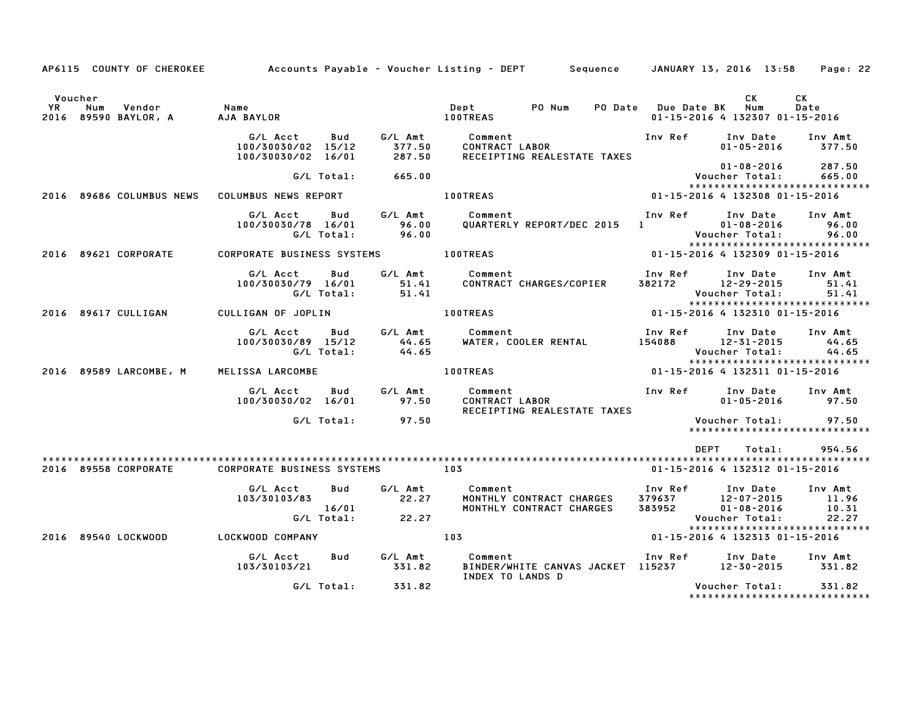|         |                        |                                                             |                  | AP6115 COUNTY OF CHEROKEE Accounts Payable – Voucher Listing – DEPT Sequence JANUARY 13, 2016 13:58                                                                                                                                                                                                                        |                                                                 | Page: 22                                                             |
|---------|------------------------|-------------------------------------------------------------|------------------|----------------------------------------------------------------------------------------------------------------------------------------------------------------------------------------------------------------------------------------------------------------------------------------------------------------------------|-----------------------------------------------------------------|----------------------------------------------------------------------|
| Voucher |                        | YR Num Vendor – Name<br>2016 89590 BAYLOR, A – AJA-BAYLOR   |                  | Dept PO Num<br><b>100TREAS</b>                                                                                                                                                                                                                                                                                             | CK<br>PO Date Due Date BK Num<br>01-15-2016 4 132307 01-15-2016 | CK<br>Date                                                           |
|         |                        | G/L Acct<br>Bud<br>100/30030/02 15/12<br>100/30030/02 16/01 | 377.50<br>287.50 | RECEIPTING REALESTATE TAXES                                                                                                                                                                                                                                                                                                |                                                                 | 377.50                                                               |
|         |                        | G/L Total:                                                  | 665.00           |                                                                                                                                                                                                                                                                                                                            | $01 - 08 - 2016$<br>Voucher Total:                              | 287.50<br>665.00<br>*****************************                    |
|         |                        | 2016 89686 COLUMBUS NEWS COLUMBUS NEWS REPORT               |                  | 100TREAS                                                                                                                                                                                                                                                                                                                   | 01-15-2016 4 132308 01-15-2016                                  |                                                                      |
|         |                        | G/L Acct<br>100/30030/78 16/01 96.00<br>G/L Total: 96.00    |                  | Bud G/L Amt Comment<br>QUARTERLY REPORT/DEC 2015 1 01-08-2016<br>Voucher Total:                                                                                                                                                                                                                                            | Inv Ref<br>Inv Date                                             | Inv Amt<br>96.00<br>96.00                                            |
|         | 2016 89621 CORPORATE   | CORPORATE BUSINESS SYSTEMS <b>100TREAS</b>                  |                  |                                                                                                                                                                                                                                                                                                                            | 01-15-2016 4 132309 01-15-2016                                  |                                                                      |
|         |                        | G/L Total:                                                  | 51.41            | G/L Acct Bud G/L Amt Comment<br>100/30030/79 16/01 51.41 CONTRACT CHARGES/COPIER                                                                                                                                                                                                                                           | Inv Ref<br>382172 12-29-2015<br>Voucher Total:                  | Inv Date Inv Amt<br>51.41<br>51.41<br>*****************************  |
|         | 2016 89617 CULLIGAN    | CULLIGAN OF JOPLIN                                          |                  | <b>100TREAS</b>                                                                                                                                                                                                                                                                                                            |                                                                 |                                                                      |
|         |                        | G/L Acct<br>$100/30030/89$ $15/12$ 44.65<br>G/L Total:      | 44.65            | Bud G/L Amt Comment<br>WATER, COOLER RENTAL 154088 12-31-2015                                                                                                                                                                                                                                                              | Inv Ref                                                         | Inv Date Inv Amt<br>44.65<br>44.65<br>****************************** |
|         | 2016 89589 LARCOMBE, M | MELISSA LARCOMBE                                            |                  | <b>100TREAS</b>                                                                                                                                                                                                                                                                                                            |                                                                 |                                                                      |
|         |                        | G/L Acct<br><b>Bud</b><br>100/30030/02 16/01                | 97.50            | RECEIPTING REALESTATE TAXES                                                                                                                                                                                                                                                                                                |                                                                 | 97.50                                                                |
|         |                        | $G/L$ Total: $97.50$                                        |                  |                                                                                                                                                                                                                                                                                                                            |                                                                 | Voucher Total: 97.50<br>*****************************                |
|         |                        |                                                             |                  |                                                                                                                                                                                                                                                                                                                            |                                                                 |                                                                      |
|         |                        |                                                             |                  |                                                                                                                                                                                                                                                                                                                            | DEPT                                                            | 954.56<br>Total:                                                     |
|         | 2016 89558 CORPORATE   | <b>CORPORATE BUSINESS SYSTEMS</b>                           | 103              |                                                                                                                                                                                                                                                                                                                            | 01-15-2016 4 132312 01-15-2016                                  |                                                                      |
|         |                        | G/L Acct<br>Bud<br>103/30103/83                             |                  | G/L Amt Comment Commet Comment Commet Superson Comment Comment Communication Communication Communication Communication Communication Communication Communication Communication Communication Communication Communication Commu<br>MONTHLY CONTRACT CHARGES 379637 12-07-2015<br>MONTHLY CONTRACT CHARGES 383952 01-08-2016 | Voucher Total:                                                  | 11.96<br>10.31<br>22.27<br>******************************            |
|         | 2016 89540 LOCKWOOD    | LOCKWOOD COMPANY                                            |                  | 103                                                                                                                                                                                                                                                                                                                        | 01-15-2016 4 132313 01-15-2016                                  |                                                                      |
|         |                        | G/L Acct<br><b>Bud</b><br>103/30103/21                      |                  | G/L Amt          Comment<br>331.82       BINDER/WHI<br>BINDER/WHITE CANVAS JACKET 115237 12-30-2015<br>INDEX TO LANDS D                                                                                                                                                                                                    | Inv Ref Inv Date                                                | Inv Amt<br>331.82                                                    |
|         |                        | G/L Total: 331.82                                           |                  |                                                                                                                                                                                                                                                                                                                            | Voucher Total:                                                  | 331.82<br>*****************************                              |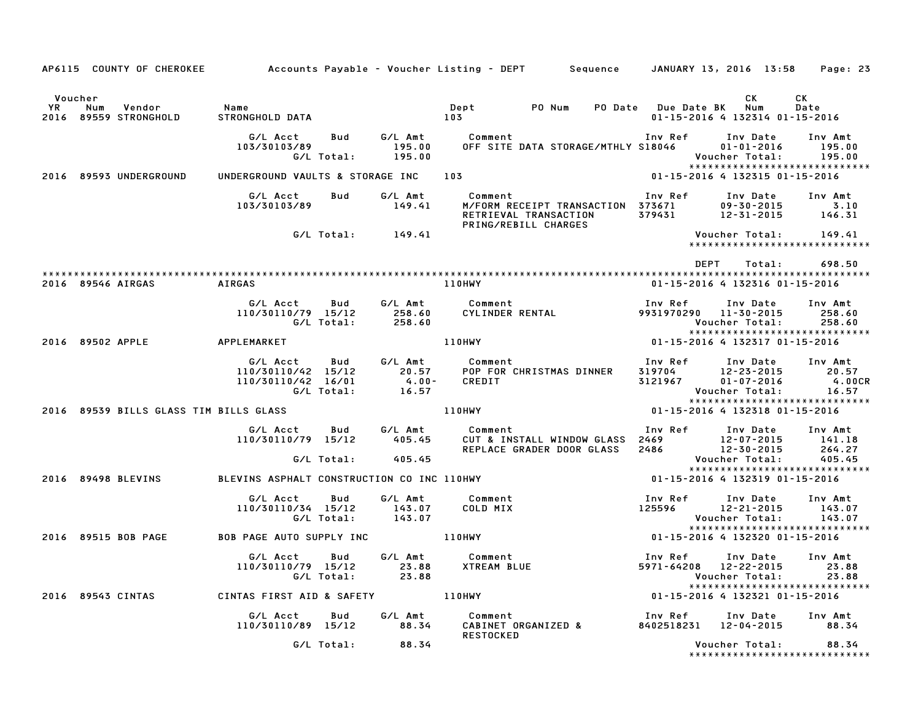|                                                                |                                                                           |                             | AP6115 COUNTY OF CHEROKEE Accounts Payable - Voucher Listing - DEPT Sequence JANUARY 13, 2016 13:58 Page: 23 |                                         |                                                                                         |                                       |
|----------------------------------------------------------------|---------------------------------------------------------------------------|-----------------------------|--------------------------------------------------------------------------------------------------------------|-----------------------------------------|-----------------------------------------------------------------------------------------|---------------------------------------|
|                                                                |                                                                           |                             |                                                                                                              |                                         |                                                                                         |                                       |
| Voucher<br><b>YR</b><br>Vendor<br>Num<br>2016 89559 STRONGHOLD | Name<br>STRONGHOLD DATA                                                   |                             | Dept<br>PO Num<br>103                                                                                        | PO Date Due Date BK                     | CK<br>Num<br>01-15-2016 4 132314 01-15-2016                                             | CK<br>Date                            |
|                                                                | G/L Acct<br>Bud<br>103/30103/89<br>G/L Total:                             | G/L Amt<br>195.00<br>195.00 | Comment<br>OFF SITE DATA STORAGE/MTHLY S18046                                                                |                                         | Inv Ref Inv Date<br>$01 - 01 - 2016$<br>Voucher Total:<br>***************************** | Inv Amt<br>195.00<br>195.00           |
| 2016 89593 UNDERGROUND                                         | UNDERGROUND VAULTS & STORAGE INC                                          |                             | 103                                                                                                          |                                         | 01-15-2016 4 132315 01-15-2016                                                          |                                       |
|                                                                | G/L Acct<br>Bud<br>103/30103/89                                           | G/L Amt<br>149.41           | Comment<br>M/FORM RECEIPT TRANSACTION 373671<br>RETRIEVAL TRANSACTION<br>PRING/REBILL CHARGES                | Inv Ref                                 | Inv Date<br>$09 - 30 - 2015$<br>379431 12-31-2015                                       | Inv Amt<br>3.10<br>146.31             |
|                                                                | $G/L$ Total: $149.41$                                                     |                             |                                                                                                              |                                         | Voucher Total:<br>*****************************                                         | 149.41                                |
|                                                                |                                                                           |                             |                                                                                                              | DEPT                                    | Total:                                                                                  | 698.50                                |
| 2016 89546 AIRGAS                                              | AIRGAS                                                                    |                             | 110HWY                                                                                                       |                                         | 01-15-2016 4 132316 01-15-2016                                                          |                                       |
|                                                                | G/L Acct<br>Bud<br>110/30110/79 15/12<br>G/L Total:                       | 258.60<br>258.60            | G/L Amt Comment<br>CYLINDER RENTAL                                                                           | Inv Ref                                 | Inv Date<br>9931970290 11-30-2015<br>Voucher Total:<br>*****************************    | Inv Amt<br>258.60<br>258.60           |
| 2016 89502 APPLE                                               | APPLEMARKET                                                               |                             | <b>110HWY</b>                                                                                                |                                         | 01-15-2016 4 132317 01-15-2016                                                          |                                       |
|                                                                | G/L Acct<br>Bud<br>110/30110/42 15/12<br>110/30110/42 16/01<br>G/L Total: | $4.00 - 16.57$              | G/L Amt<br>20.57 POP FOR CHRISTMAS DINNER<br>CREDIT                                                          | Inv Ref<br>тим кет<br>319704<br>3121967 | Inv Date<br>12-23-2015<br>$01 - 07 - 2016$<br>Voucher Total:                            | Inv Amt<br>20.57<br>4.00CR<br>16.57   |
| 2016 89539 BILLS GLASS TIM BILLS GLASS                         |                                                                           |                             | 110HWY                                                                                                       |                                         | *****************************<br>01-15-2016 4 132318 01-15-2016                         |                                       |
|                                                                | G/L Acct<br>Bud<br>110/30110/79 15/12<br>G/L Total:                       | G/L Amt<br>405.45<br>405.45 | Comment<br>CUT & INSTALL WINDOW GLASS 2469<br>REPLACE GRADER DOOR GLASS                                      | Inv Ref<br>2486                         | Inv Date<br>12-07-2015<br>12-30-2015<br>Voucher Total:                                  | Inv Amt<br>141.18<br>264.27<br>405.45 |
| 2016 89498 BLEVINS                                             | BLEVINS ASPHALT CONSTRUCTION CO INC 110HWY                                |                             |                                                                                                              |                                         | *****************************<br>01-15-2016 4 132319 01-15-2016                         |                                       |
|                                                                |                                                                           |                             |                                                                                                              |                                         |                                                                                         |                                       |
|                                                                | Bud<br>G/L Acct<br>110/30110/34 15/12<br>G/L Total:                       | G/L Amt<br>143.07<br>143.07 | Comment<br>COLD MIX                                                                                          | Inv Ref                                 | Inv Date<br>125596 12-21-2015<br>Voucher Total:                                         | Inv Amt<br>143.07<br>143.07           |
| 2016 89515 BOB PAGE                                            | <b>BOB PAGE AUTO SUPPLY INC</b>                                           | 110HWY                      |                                                                                                              |                                         | *****************************<br>01-15-2016 4 132320 01-15-2016                         |                                       |
|                                                                | G/L Acct<br>Bud<br>110/30110/79 15/12 23.88 XTREAM BLUE<br>G/L Total:     | 23.88                       | G/L Amt Comment                                                                                              | Inv Ref                                 | Inv Date<br>5971-64208 12-22-2015 23.88<br><b>Voucher Total:</b>                        | Inv Amt<br>23.88                      |
| 2016 89543 CINTAS                                              | CINTAS FIRST AID & SAFETY                                                 |                             | 110HWY                                                                                                       |                                         | *****************************<br>01-15-2016 4 132321 01-15-2016                         |                                       |
|                                                                | G/L Acct Bud<br>110/30110/89 15/12                                        | G/L Amt<br>88.34            | Comment<br>CABINET ORGANIZED &<br><b>RESTOCKED</b>                                                           | Inv Ref                                 | Inv Date<br>8402518231 12-04-2015                                                       | Inv Amt<br>88.34                      |
|                                                                | G/L Total:                                                                | 88.34                       |                                                                                                              |                                         | Voucher Total:<br>******************************                                        | 88.34                                 |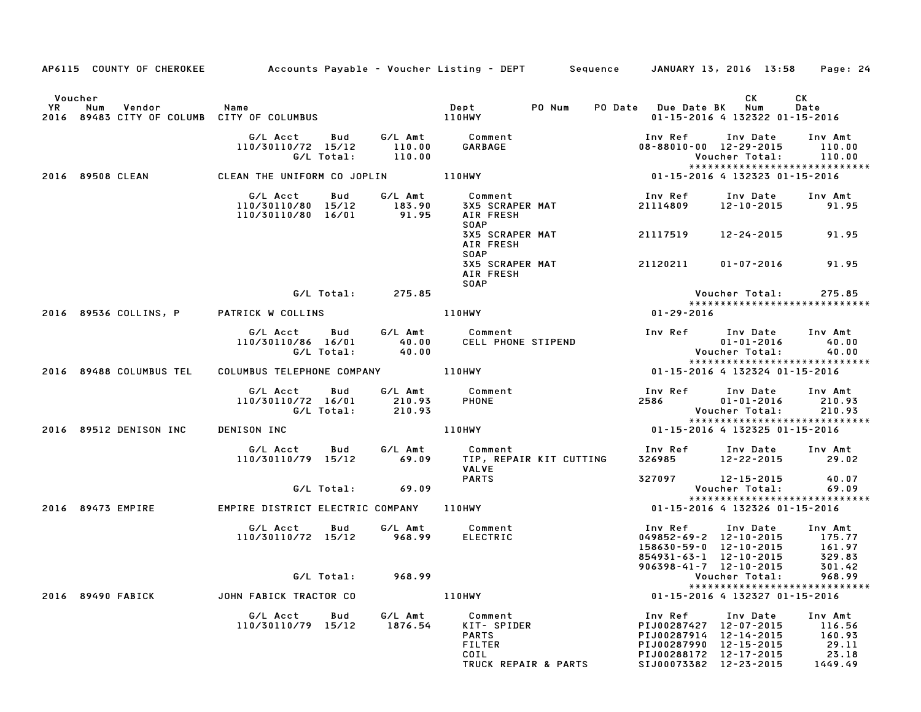|           |                         |                                                             |                            | AP6115 COUNTY OF CHEROKEE Accounts Payable - Voucher Listing - DEPT Sequence JANUARY 13, 2016 13:58 Page: 24 |                                                                                                                                           |                                                        |                                                              |
|-----------|-------------------------|-------------------------------------------------------------|----------------------------|--------------------------------------------------------------------------------------------------------------|-------------------------------------------------------------------------------------------------------------------------------------------|--------------------------------------------------------|--------------------------------------------------------------|
| Voucher   |                         |                                                             |                            |                                                                                                              |                                                                                                                                           | CK.                                                    | CK                                                           |
| <b>YR</b> | Num<br>Vendor           | Name<br>2016 89483 CITY OF COLUMB CITY OF COLUMBUS          |                            | Dept PONum<br>110HWY                                                                                         | PO Date Due Date BK Num                                                                                                                   | 01-15-2016 4 132322 01-15-2016                         | Date                                                         |
|           |                         | G/L Acct<br>Bud<br>110/30110/72 15/12<br>G/L Total:         | 110.00<br>110.00           | G/L Amt Comment<br>GARBAGE                                                                                   | Inv Ref<br>08-88010-00 12-29-2015                                                                                                         | Inv Date<br>Voucher Total:                             | Inv Amt<br>110.00<br>110.00<br>***************************** |
|           | 2016 89508 CLEAN        | CLEAN THE UNIFORM CO JOPLIN 110HWY                          |                            |                                                                                                              | 01-15-2016 4 132323 01-15-2016                                                                                                            |                                                        |                                                              |
|           |                         | G/L Acct<br>Bud<br>110/30110/80 15/12<br>110/30110/80 16/01 | G/L Amt<br>183.90<br>91.95 | Comment<br>3X5 SCRAPER MAT<br>AIR FRESH<br><b>SOAP</b>                                                       | Inv Ref<br>21114809                                                                                                                       | Inv Date<br>12-10-2015                                 | Inv Amt<br>91.95                                             |
|           |                         |                                                             |                            | 3X5 SCRAPER MAT<br>AIR FRESH                                                                                 | 21117519                                                                                                                                  | 12-24-2015                                             | 91.95                                                        |
|           |                         |                                                             |                            | <b>SOAP</b><br>3X5 SCRAPER MAT<br>AIR FRESH<br><b>SOAP</b>                                                   | 21120211                                                                                                                                  | 01-07-2016                                             | 91.95                                                        |
|           |                         | G/L Total:                                                  | 275.85                     |                                                                                                              |                                                                                                                                           | Voucher Total:                                         | 275.85                                                       |
|           | 2016 89536 COLLINS, P   | PATRICK W COLLINS                                           |                            | <b>110HWY</b>                                                                                                | 01-29-2016                                                                                                                                |                                                        | *****************************                                |
|           |                         | G/L Acct Bud<br>110/30110/86 16/01<br>G/L Total:            | G/L Amt<br>40.00<br>40.00  | Comment<br>CELL PHONE STIPEND                                                                                |                                                                                                                                           | Inv Ref Inv Date<br>$01 - 01 - 2016$<br>Voucher Total: | Inv Amt<br>40.00<br>40.00                                    |
|           | 2016 89488 COLUMBUS TEL | COLUMBUS TELEPHONE COMPANY 110HWY                           |                            |                                                                                                              | 01-15-2016 4 132324 01-15-2016                                                                                                            |                                                        | *****************************                                |
|           |                         | G/L Acct<br>Bud<br>110/30110/72 16/01<br>G/L Total:         | 210.93<br>210.93           | G/L Amt Comment<br><b>PHONE</b>                                                                              | Inv Ref<br>2586                                                                                                                           | Inv Date<br>$01 - 01 - 2016$<br>Voucher Total:         | Inv Amt<br>210.93<br>210.93<br>***************************** |
|           | 2016 89512 DENISON INC  | DENISON INC                                                 |                            | 110HWY                                                                                                       | 01-15-2016 4 132325 01-15-2016                                                                                                            |                                                        |                                                              |
|           |                         | G/L Acct<br>Bud<br>110/30110/79 15/12                       | G/L Amt<br>69.09           | Comment<br>TIP, REPAIR KIT CUTTING<br><b>VALVE</b>                                                           | Inv Ref      Inv Date<br>326985 12-22-2015                                                                                                |                                                        | Inv Amt<br>29.02                                             |
|           |                         | G/L Total:                                                  | 69.09                      | <b>PARTS</b>                                                                                                 | 327097                                                                                                                                    | 12-15-2015<br>Voucher Total:                           | 40.07<br>69.09                                               |
|           | 2016 89473 EMPIRE       | EMPIRE DISTRICT ELECTRIC COMPANY 110HWY                     |                            |                                                                                                              |                                                                                                                                           | 01-15-2016 4 132326 01-15-2016                         | *****************************                                |
|           |                         | G/L Acct<br>Bud<br>110/30110/72 15/12                       | G/L Amt<br>968.99          | Comment<br><b>ELECTRIC</b>                                                                                   | Inv Ref<br>049852-69-2 12-10-2015<br>158630-59-0 12-10-2015<br>854931-63-1 12-10-2015<br>906398-41-7 12-10-2015                           | Inv Date                                               | Inv Amt<br>175.77<br>161.97<br>329.83<br>301.42              |
|           |                         | G/L Total:                                                  | 968.99                     |                                                                                                              |                                                                                                                                           | Voucher Total:                                         | 968.99                                                       |
|           | 2016 89490 FABICK       | JOHN FABICK TRACTOR CO                                      |                            | 110HWY                                                                                                       |                                                                                                                                           | 01-15-2016 4 132327 01-15-2016                         | *****************************                                |
|           |                         | G/L Acct<br>Bud<br>110/30110/79 15/12                       | G/L Amt<br>1876.54         | Comment<br>KIT- SPIDER<br><b>PARTS</b><br><b>FILTER</b><br>COIL<br>TRUCK REPAIR & PARTS                      | Inv Ref<br>PIJ00287427 12-07-2015<br>PIJ00287914 12-14-2015<br>PIJ00287990 12-15-2015<br>PIJ00288172 12-17-2015<br>SIJ00073382 12-23-2015 | Inv Date                                               | Inv Amt<br>116.56<br>160.93<br>29.11<br>23.18<br>1449.49     |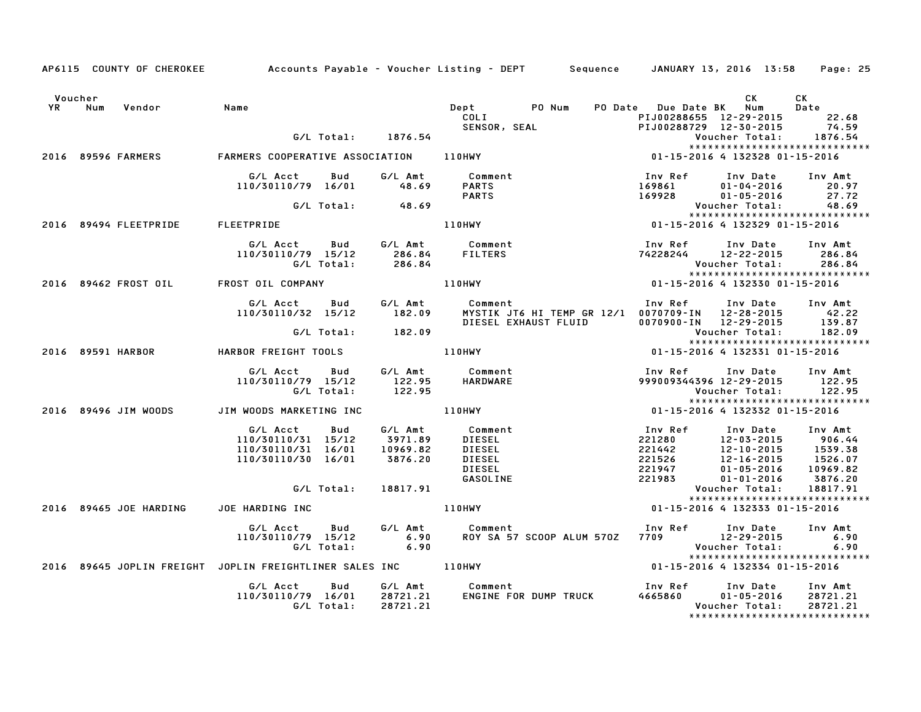|                   |                                  | AP6115 COUNTY OF CHEROKEE Accounts Payable - Voucher Listing - DEPT Sequence JANUARY 13, 2016 13:58 Page: 25 |            |                    |                                                    |                       |                                                                    |                          |                                           |
|-------------------|----------------------------------|--------------------------------------------------------------------------------------------------------------|------------|--------------------|----------------------------------------------------|-----------------------|--------------------------------------------------------------------|--------------------------|-------------------------------------------|
| Voucher<br>YR Num | Vendor                           | Name                                                                                                         |            |                    | COLI                                               | Dept PO Num           | PO Date Due Date BK Num                                            | CK                       | CK<br>Date                                |
|                   |                                  |                                                                                                              |            |                    |                                                    | SENSOR, SEAL          | PIJ00288655 12-29-2015 22.68<br>PIJ00288729 12-30-2015 74.59       |                          |                                           |
|                   |                                  |                                                                                                              |            | G/L Total: 1876.54 |                                                    |                       |                                                                    |                          | Voucher Total: 1876.54                    |
|                   |                                  |                                                                                                              |            |                    |                                                    |                       |                                                                    |                          | *****************************             |
|                   | 2016 89596 FARMERS               | FARMERS COOPERATIVE ASSOCIATION 110HWY                                                                       |            |                    |                                                    |                       |                                                                    |                          |                                           |
|                   |                                  | G/L Acct                                                                                                     |            | Bud G/LAmt         | Comment                                            |                       | Inv Ref                                                            | Inv Date                 | Inv Amt                                   |
|                   |                                  | 110/30110/79 16/01                                                                                           |            | 48.69              | <b>PARTS</b>                                       |                       | 169861                                                             | $01 - 04 - 2016$         | 20.97                                     |
|                   |                                  |                                                                                                              |            |                    | <b>PARTS</b>                                       |                       | 169928                                                             | $01 - 05 - 2016$         | 27.72                                     |
|                   |                                  |                                                                                                              |            | G/L Total: 48.69   |                                                    |                       |                                                                    | Voucher Total:           | 48.69                                     |
|                   |                                  |                                                                                                              |            |                    |                                                    |                       |                                                                    |                          | *****************************             |
|                   | 2016 89494 FLEETPRIDE FLEETPRIDE |                                                                                                              |            |                    |                                                    |                       |                                                                    |                          |                                           |
|                   |                                  | G/L Acct Bud                                                                                                 |            |                    | G/L Amt Comment                                    |                       | Inv Ref                                                            | Inv Date                 | Inv Amt                                   |
|                   |                                  | 110/30110/79 15/12                                                                                           |            |                    | <b>FILTERS</b>                                     |                       |                                                                    |                          | 286.84                                    |
|                   |                                  |                                                                                                              | G/L Total: | 286.84<br>286.84   |                                                    |                       |                                                                    | Voucher Total:           | 286.84                                    |
|                   |                                  |                                                                                                              |            |                    |                                                    |                       |                                                                    |                          | *****************************             |
|                   |                                  | 2016 89462 FROST OIL FROST OIL COMPANY                                                                       |            |                    | 110HWY                                             |                       | $01 - 15 - 2016$ $4 \overline{)132330}$ $01 - 15 - 2016$           |                          |                                           |
|                   |                                  | G/L Acct                                                                                                     | Bud        |                    |                                                    |                       | Inv Ref Inv Date                                                   |                          | Inv Amt                                   |
|                   |                                  | 110/30110/32 15/12                                                                                           |            |                    | G/L Amt          Comment<br>182.09       MYSTIK JT |                       | MYSTIK JT6 HI TEMP GR 12/1 0070709-IN 12-28-2015 42.22             |                          |                                           |
|                   |                                  |                                                                                                              |            |                    |                                                    | DIESEL EXHAUST FLUID  | 0070900-IN 12-29-2015                                              |                          | 139.87                                    |
|                   |                                  |                                                                                                              | G/L Total: | 182.09             |                                                    |                       |                                                                    | Voucher Total:           | 182.09                                    |
|                   |                                  |                                                                                                              |            |                    |                                                    |                       |                                                                    |                          | *****************************             |
|                   | 2016 89591 HARBOR                | HARBOR FREIGHT TOOLS                                                                                         |            |                    | 110HWY                                             |                       | 01-15-2016 4 132331 01-15-2016                                     |                          |                                           |
|                   |                                  | G/L Acct                                                                                                     | Bud        |                    | G/L Amt Comment                                    |                       | Inv Ref                                                            | Inv Date                 | Inv Amt                                   |
|                   |                                  | 110/30110/79 15/12                                                                                           |            | 122.95             | HARDWARE                                           |                       |                                                                    |                          | 999009344396 12-29-2015 122.95            |
|                   |                                  |                                                                                                              | G/L Total: | 122.95             |                                                    |                       |                                                                    |                          | Voucher Total: 122.95                     |
|                   |                                  |                                                                                                              |            |                    |                                                    |                       |                                                                    |                          | *****************************             |
|                   | 2016 89496 JIM WOODS             | JIM WOODS MARKETING INC                                                                                      |            |                    | 110HWY                                             |                       | 01-15-2016 4 132332 01-15-2016                                     |                          |                                           |
|                   |                                  | G/L Acct                                                                                                     | Bud        | G/L Amt            | Comment                                            |                       | Inv Ref                                                            | Inv Date                 | Inv Amt                                   |
|                   |                                  | 110/30110/31 15/12                                                                                           |            | 3971.89            | DIESEL                                             |                       | 221280                                                             | 12-03-2015               | 906.44                                    |
|                   |                                  | 110/30110/31 16/01                                                                                           |            | 10969.82           | DIESEL                                             |                       | 221442                                                             | $12 - 10 - 2015$         | 1539.38                                   |
|                   |                                  | 110/30110/30 16/01                                                                                           |            | 3876.20            | DIESEL                                             |                       | 221526                                                             | 12-10-2015<br>12-16-2015 | 1526.07                                   |
|                   |                                  |                                                                                                              |            |                    | DIESEL                                             |                       | 221947                                                             | $01 - 05 - 2016$         | 10969.82                                  |
|                   |                                  |                                                                                                              |            |                    | GASOLINE                                           |                       | 221983                                                             | $01 - 01 - 2016$         | 3876.20                                   |
|                   |                                  |                                                                                                              | G/L Total: | 18817.91           |                                                    |                       |                                                                    | Voucher Total:           | 18817.91<br>***************************** |
|                   | 2016 89465 JOE HARDING           | JOE HARDING INC                                                                                              |            |                    | 110HWY                                             |                       | 01-15-2016 4 132333 01-15-2016                                     |                          |                                           |
|                   |                                  |                                                                                                              |            |                    |                                                    |                       |                                                                    |                          |                                           |
|                   |                                  | G/L Acct<br>110/30110/79 15/12                                                                               | Bud        | G/L Amt<br>6.90    | Comment                                            |                       | Inv Ref      Inv Date<br>ROY SA 57 SCOOP ALUM 570Z 7709 12-29-2015 |                          | Inv Amt<br>6.90                           |
|                   |                                  |                                                                                                              | G/L Total: | 6.90               |                                                    |                       |                                                                    | Voucher Total:           | 6.90                                      |
|                   |                                  |                                                                                                              |            |                    |                                                    |                       |                                                                    |                          | *****************************             |
|                   |                                  | 2016 89645 JOPLIN FREIGHT JOPLIN FREIGHTLINER SALES INC 110HWY                                               |            |                    |                                                    |                       | 01-15-2016 4 132334 01-15-2016                                     |                          |                                           |
|                   |                                  | G/L Acct                                                                                                     | <b>Bud</b> |                    | G/L Amt Comment                                    |                       | Inv Ref      Inv Date                                              |                          | Inv Amt                                   |
|                   |                                  | 110/30110/79 16/01 28721.21                                                                                  |            |                    |                                                    | ENGINE FOR DUMP TRUCK | 4665860                                                            | $01 - 05 - 2016$         | 28721.21                                  |
|                   |                                  |                                                                                                              | G/L Total: | 28721.21           |                                                    |                       |                                                                    | Voucher Total:           | 28721.21                                  |
|                   |                                  |                                                                                                              |            |                    |                                                    |                       |                                                                    |                          | *****************************             |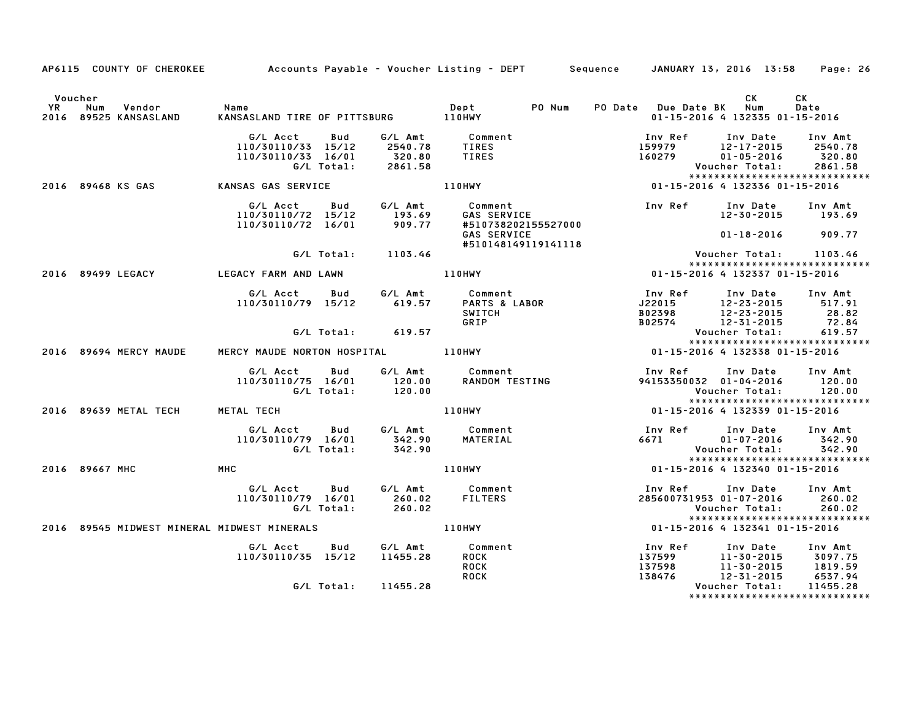|                      | AP6115 COUNTY OF CHEROKEE Accounts Payable - Voucher Listing - DEPT Sequence JANUARY 13, 2016 13:58 Page: 26 |                                                                          |            |                                          |                                                                                                                              |        |                                |                                                           |                       |                                           |
|----------------------|--------------------------------------------------------------------------------------------------------------|--------------------------------------------------------------------------|------------|------------------------------------------|------------------------------------------------------------------------------------------------------------------------------|--------|--------------------------------|-----------------------------------------------------------|-----------------------|-------------------------------------------|
| Voucher<br><b>YR</b> | Vendor Name<br>ANSASLAND KANSAS<br>Num<br>2016 89525 KANSASLAND                                              |                                                                          |            |                                          |                                                                                                                              | PO Num |                                | PO Date Due Date BK Num<br>01-15-2016 4 132335 01-15-2016 | CK                    | CK<br>Date                                |
|                      |                                                                                                              |                                                                          |            |                                          | G/L Amt Comment                                                                                                              |        |                                | Inv Ref Inv Date                                          |                       |                                           |
|                      |                                                                                                              | G/L Acct Bud<br>110/30110/33 15/12 2540.78                               |            |                                          | <b>TIRES</b>                                                                                                                 |        |                                | $159979$ $12-17-2015$                                     |                       | Inv Amt<br>2540.78                        |
|                      |                                                                                                              | 110/30110/33 16/01                                                       |            |                                          | <b>TIRES</b>                                                                                                                 |        |                                | 160279                                                    |                       |                                           |
|                      |                                                                                                              |                                                                          | G/L Total: | 320.80<br>2861.58                        |                                                                                                                              |        |                                |                                                           |                       |                                           |
|                      |                                                                                                              |                                                                          |            |                                          |                                                                                                                              |        |                                |                                                           |                       | *****************************             |
|                      | 2016 89468 KS GAS                                                                                            | <b>KANSAS GAS SERVICE</b>                                                |            |                                          |                                                                                                                              |        |                                |                                                           |                       |                                           |
|                      |                                                                                                              |                                                                          |            |                                          | 110/30110/72 15/12 6/L Amt Comment<br>110/30110/72 15/12 193.69 GAS SERVICE<br>110/30110/72 16/01 909.77 #510738202155527000 |        |                                | Inv Ref Inv Date Inv Amt                                  |                       |                                           |
|                      |                                                                                                              |                                                                          |            |                                          |                                                                                                                              |        |                                |                                                           |                       | 12-30-2015 193.69                         |
|                      |                                                                                                              |                                                                          |            |                                          |                                                                                                                              |        |                                |                                                           |                       |                                           |
|                      |                                                                                                              |                                                                          |            |                                          |                                                                                                                              |        |                                |                                                           |                       | $01 - 18 - 2016$ 909.77                   |
|                      |                                                                                                              |                                                                          |            | G/L Total: 1103.46                       | #510148149119141118                                                                                                          |        |                                |                                                           |                       | Voucher Total: 1103.46                    |
|                      |                                                                                                              |                                                                          |            |                                          |                                                                                                                              |        |                                |                                                           |                       | *****************************             |
|                      | 2016 89499 LEGACY                                                                                            | LEGACY FARM AND LAWN                                                     |            |                                          | 110HWY                                                                                                                       |        | 01-15-2016 4 132337 01-15-2016 |                                                           |                       |                                           |
|                      |                                                                                                              |                                                                          |            |                                          |                                                                                                                              |        |                                | Inv Ref                                                   |                       | Inv Date Inv Amt                          |
|                      |                                                                                                              |                                                                          |            |                                          |                                                                                                                              |        |                                | $J22015$<br>B02398 12-23-2015                             |                       | 517.91                                    |
|                      |                                                                                                              |                                                                          |            |                                          | SWITCH                                                                                                                       |        |                                |                                                           |                       | 28.82                                     |
|                      |                                                                                                              |                                                                          |            |                                          | GRIP                                                                                                                         |        |                                | $\frac{222576}{12-31-2015}$                               |                       | 72.84                                     |
|                      |                                                                                                              |                                                                          |            |                                          |                                                                                                                              |        |                                |                                                           | Voucher Total:        | 619.57                                    |
|                      |                                                                                                              |                                                                          |            |                                          |                                                                                                                              |        |                                |                                                           |                       | ******************************            |
|                      | 2016 89694 MERCY MAUDE                                                                                       | MERCY MAUDE NORTON HOSPITAL 110HWY                                       |            |                                          |                                                                                                                              |        |                                | 01-15-2016 4 132338 01-15-2016                            |                       |                                           |
|                      |                                                                                                              | G/L Acct Bud                                                             |            |                                          | G/L Amt Comment<br>120.00 RANDOM TE                                                                                          |        |                                | Inv Ref Inv Date Inv Amt                                  |                       |                                           |
|                      |                                                                                                              | 110/30110/75 16/01                                                       |            |                                          | Comment<br>RANDOM TESTING                                                                                                    |        |                                | 94153350032 01-04-2016 120.00                             |                       |                                           |
|                      |                                                                                                              |                                                                          |            | 110/75 16/01 120.00<br>G/L Total: 120.00 |                                                                                                                              |        |                                |                                                           |                       | Voucher Total: 120.00                     |
|                      |                                                                                                              |                                                                          |            |                                          |                                                                                                                              |        |                                |                                                           |                       | *****************************             |
|                      | 2016 89639 METAL TECH                                                                                        | METAL TECH                                                               |            |                                          | 110HWY                                                                                                                       |        |                                | 01-15-2016 4 132339 01-15-2016                            |                       |                                           |
|                      |                                                                                                              | G/L Acct  Bud  G/L Amt  Comment<br>110/30110/79  16/01  342.90  MATERIAL |            |                                          |                                                                                                                              |        |                                | Inv Ref Inv Date                                          |                       | Inv Amt                                   |
|                      |                                                                                                              |                                                                          |            |                                          |                                                                                                                              |        |                                | 6671                                                      | $01 - 07 - 2016$      | 342.90                                    |
|                      |                                                                                                              | G/L Total:                                                               |            | 342.90                                   |                                                                                                                              |        |                                |                                                           | <b>Voucher Total:</b> | 342.90                                    |
|                      |                                                                                                              |                                                                          |            |                                          |                                                                                                                              |        |                                |                                                           |                       | *****************************             |
|                      | 2016 89667 MHC                                                                                               | MHC                                                                      |            |                                          | <b>110HWY</b>                                                                                                                |        |                                | 01-15-2016 4 132340 01-15-2016                            |                       |                                           |
|                      |                                                                                                              | G/L Acct Bud                                                             |            |                                          | G/L Amt Comment                                                                                                              |        |                                | Inv Ref                                                   |                       | Inv Date Inv Amt                          |
|                      |                                                                                                              | 110/30110/79 16/01                                                       |            |                                          | 260.02 FILTERS                                                                                                               |        |                                | 285600731953 01-07-2016 260.02                            |                       |                                           |
|                      |                                                                                                              |                                                                          | G/L Total: | 260.02                                   |                                                                                                                              |        |                                |                                                           | Voucher Total:        | 260.02                                    |
|                      |                                                                                                              |                                                                          |            |                                          |                                                                                                                              |        |                                |                                                           |                       | *****************************             |
|                      | 2016 89545 MIDWEST MINERAL MIDWEST MINERALS                                                                  |                                                                          |            |                                          | 110HWY                                                                                                                       |        |                                | 01-15-2016 4 132341 01-15-2016                            |                       |                                           |
|                      |                                                                                                              | G/L Acct                                                                 |            |                                          | Bud G/L Amt Comment                                                                                                          |        |                                | Inv Ref                                                   |                       | Inv Date Inv Amt                          |
|                      |                                                                                                              | 110/30110/35 15/12                                                       |            | 11455.28                                 | ROCK                                                                                                                         |        |                                |                                                           |                       |                                           |
|                      |                                                                                                              |                                                                          |            |                                          | <b>ROCK</b>                                                                                                                  |        |                                |                                                           |                       |                                           |
|                      |                                                                                                              |                                                                          |            |                                          | <b>ROCK</b>                                                                                                                  |        |                                |                                                           |                       |                                           |
|                      |                                                                                                              |                                                                          |            | G/L Total: 11455.28                      |                                                                                                                              |        |                                |                                                           | Voucher Total:        | 11455.28<br>***************************** |
|                      |                                                                                                              |                                                                          |            |                                          |                                                                                                                              |        |                                |                                                           |                       |                                           |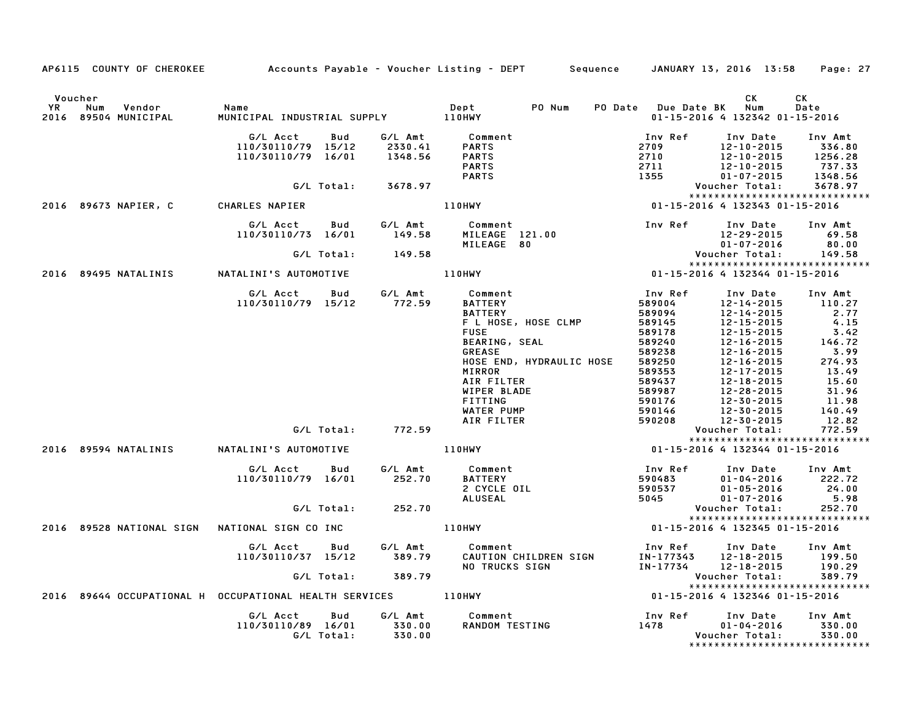|                      |                                                               |                                                      |                   |                               | AP6115 COUNTY OF CHEROKEE Accounts Payable - Voucher Listing - DEPT Sequence JANUARY 13, 2016 13:58                   |                              |                                 |                                                                              | Page: 27                                                     |
|----------------------|---------------------------------------------------------------|------------------------------------------------------|-------------------|-------------------------------|-----------------------------------------------------------------------------------------------------------------------|------------------------------|---------------------------------|------------------------------------------------------------------------------|--------------------------------------------------------------|
| Voucher<br><b>YR</b> | Num<br>Vendor<br>2016 89504 MUNICIPAL                         | Name<br>MUNICIPAL INDUSTRIAL SUPPLY 110HWY           |                   |                               | PO Num<br>Dept                                                                                                        |                              | PO Date Due Date BK Num         | CK<br>01-15-2016 4 132342 01-15-2016                                         | CK<br>Date                                                   |
|                      |                                                               | G/L Acct<br>110/30110/79 15/12<br>110/30110/79 16/01 | Bud               | G/L Amt<br>2330.41<br>1348.56 | Comment<br><b>PARTS</b><br><b>PARTS</b><br><b>PARTS</b><br><b>PARTS</b>                                               | 2709<br>2710<br>2711<br>1355 | Inv Ref                         | Inv Date<br>$12 - 10 - 2015$<br>12-10-2015<br>12-10-2015<br>$01 - 07 - 2015$ | Inv Amt<br>336.80<br>1256.28<br>737.33<br>1348.56            |
|                      |                                                               |                                                      | G/L Total:        | 3678.97                       |                                                                                                                       |                              |                                 | Voucher Total:                                                               | 3678.97                                                      |
|                      |                                                               |                                                      |                   |                               |                                                                                                                       |                              |                                 |                                                                              | *****************************                                |
|                      | 2016 89673 NAPIER, C                                          | CHARLES NAPIER                                       |                   |                               | <b>110HWY</b>                                                                                                         |                              |                                 | 01-15-2016 4 132343 01-15-2016                                               |                                                              |
|                      |                                                               | G/L Acct<br>110/30110/73 16/01 149.58                | Bud               | G/L Amt                       | Comment<br>MILEAGE 121.00<br>MILEAGE 80<br>OHWY 01-15-2016 4 132344 01-15-2016<br>MINY 01-15-2016 4 132344 01-15-2016 |                              |                                 |                                                                              | Inv Date Inv Amt<br>69.58<br>80.00                           |
|                      |                                                               |                                                      |                   | G/L Total: 149.58             |                                                                                                                       |                              |                                 |                                                                              | 149.58                                                       |
|                      | 2016 89495 NATALINIS NATALINI'S AUTOMOTIVE                    |                                                      |                   |                               | 110HWY                                                                                                                |                              |                                 |                                                                              | *****************************                                |
|                      |                                                               | G/L Acct<br>110/30110/79 15/12 772.59                | Bud               | G/L Amt                       | Comment<br><b>BATTERY</b>                                                                                             |                              | Inv Ref<br>589004               | Inv Date<br>12-14-2015                                                       | Inv Amt<br>110.27                                            |
|                      |                                                               |                                                      |                   |                               | <b>BATTERY</b>                                                                                                        |                              | 589094                          | $12 - 14 - 2015$                                                             | 2.77                                                         |
|                      |                                                               |                                                      |                   |                               | F L HOSE, HOSE CLMP                                                                                                   |                              | 589145                          | 12-15-2015                                                                   | 4.15                                                         |
|                      |                                                               |                                                      |                   |                               | <b>FUSE</b>                                                                                                           |                              | 589178                          | 12-15-2015                                                                   | 3.42                                                         |
|                      |                                                               |                                                      |                   |                               | <b>BEARING, SEAL</b>                                                                                                  |                              | 589240                          | 12-16-2015                                                                   | 146.72                                                       |
|                      |                                                               |                                                      |                   |                               | <b>GREASE</b>                                                                                                         |                              | 589238                          | $12 - 16 - 2015$                                                             | 3.99                                                         |
|                      |                                                               |                                                      |                   |                               | HOSE END, HYDRAULIC HOSE<br>MIRROR                                                                                    |                              | 589250<br>589353                | 12-16-2015<br>12-17-2015                                                     | 274.93<br>13.49                                              |
|                      |                                                               |                                                      |                   |                               | AIR FILTER                                                                                                            |                              | 589437                          | 12-18-2015                                                                   | 15.60                                                        |
|                      |                                                               |                                                      |                   |                               | WIPER BLADE                                                                                                           |                              | 589987                          | 12-28-2015                                                                   | 31.96                                                        |
|                      |                                                               |                                                      |                   |                               | <b>FITTING</b>                                                                                                        |                              | 590176                          | 12-30-2015                                                                   | 11.98                                                        |
|                      |                                                               |                                                      |                   |                               | WATER PUMP                                                                                                            |                              | 590146                          | 12-30-2015                                                                   | 140.49                                                       |
|                      |                                                               |                                                      |                   |                               | AIR FILTER                                                                                                            |                              | 590208                          | 12-30-2015                                                                   | 12.82                                                        |
|                      |                                                               |                                                      |                   | G/L Total: 772.59             |                                                                                                                       |                              |                                 | Voucher Total:                                                               | 772.59                                                       |
|                      |                                                               |                                                      |                   |                               |                                                                                                                       |                              |                                 |                                                                              | *****************************                                |
|                      | 2016 89594 NATALINIS NATALINI'S AUTOMOTIVE                    |                                                      |                   |                               |                                                                                                                       |                              |                                 |                                                                              |                                                              |
|                      |                                                               | G/L Acct<br>110/30110/79 16/01                       | <b>Bud</b>        | G⁄L Amt<br>252.70             | Comment<br>BATTERY<br>2 CYCLE OIL                                                                                     |                              | Inv Ref<br>$\frac{lnv}{590483}$ | Inv Date<br>$01 - 04 - 2016$<br>$01 - 05 - 2016$                             | Inv Amt<br>222.72<br>24.00                                   |
|                      |                                                               |                                                      |                   |                               | ALUSEAL                                                                                                               |                              | 5045                            | $01 - 07 - 2016$                                                             | 5.98                                                         |
|                      |                                                               |                                                      | G/L Total:        | 252.70                        |                                                                                                                       |                              |                                 | Voucher Total:                                                               | 252.70                                                       |
|                      | 2016 89528 NATIONAL SIGN   NATIONAL SIGN CO INC               |                                                      |                   |                               | 110HWY                                                                                                                |                              |                                 | 01-15-2016 4 132345 01-15-2016                                               | ******************************                               |
|                      |                                                               | G/L Acct Bud                                         |                   | G/L Amt                       | Comment                                                                                                               |                              | Inv Ref                         |                                                                              | Inv Date Inv Amt                                             |
|                      |                                                               | 110/30110/37 15/12                                   |                   | 389.79                        | CAUTION CHILDREN SIGN                                                                                                 |                              | IN-177343                       | 12-18-2015                                                                   | 199.50                                                       |
|                      |                                                               |                                                      |                   |                               | <b>NO TRUCKS SIGN</b>                                                                                                 |                              | IN-17734                        | 12-18-2015                                                                   | 190.29                                                       |
|                      |                                                               |                                                      |                   | G/L Total: 389.79             |                                                                                                                       |                              |                                 | Voucher Total:                                                               | 389.79<br>*****************************                      |
|                      | 2016 89644 OCCUPATIONAL H OCCUPATIONAL HEALTH SERVICES 110HWY |                                                      |                   |                               |                                                                                                                       |                              |                                 | 01-15-2016 4 132346 01-15-2016                                               |                                                              |
|                      |                                                               | G/L Acct<br>110/30110/89 16/01                       | Bud<br>G/L Total: | G/L Amt<br>330.00<br>330.00   | Comment<br><b>RANDOM TESTING</b>                                                                                      | 1478                         | Inv Ref                         | Inv Date<br>01-04-2016<br>Voucher Total:                                     | Inv Amt<br>330.00<br>330.00<br>***************************** |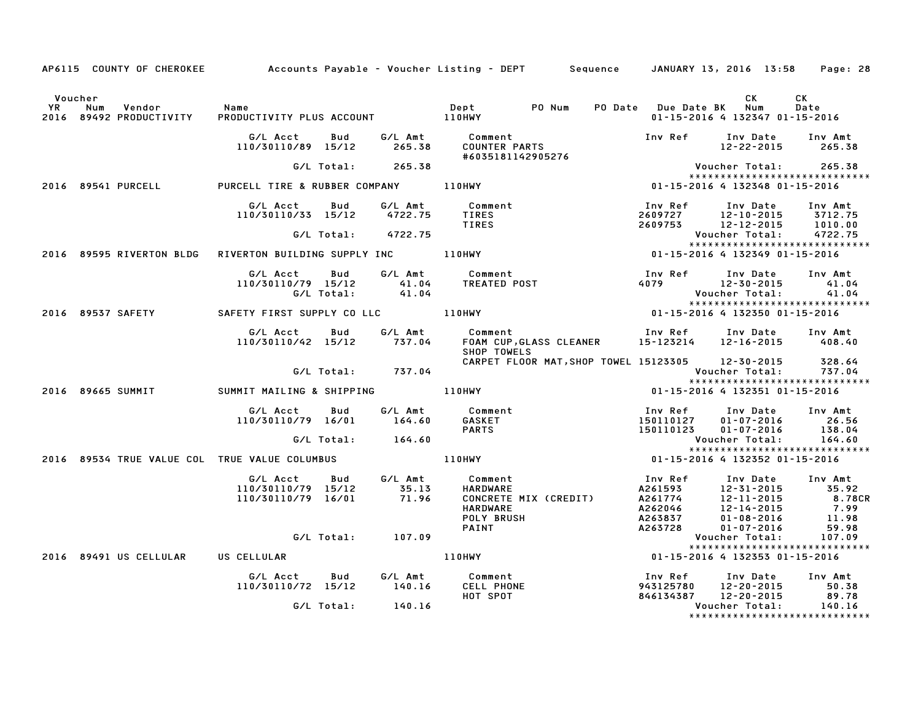|                      |                                          |                                                           |                   |                           | AP6115 COUNTY OF CHEROKEE Accounts Payable - Voucher Listing - DEPT Sequence JANUARY 13, 2016 13:58 Page: 28 |                                                                                                 |                                                                      |                                             |
|----------------------|------------------------------------------|-----------------------------------------------------------|-------------------|---------------------------|--------------------------------------------------------------------------------------------------------------|-------------------------------------------------------------------------------------------------|----------------------------------------------------------------------|---------------------------------------------|
| Voucher<br><b>YR</b> | Num<br>Vendor<br>2016 89492 PRODUCTIVITY | Name                                                      |                   |                           | Dept PONum                                                                                                   | PO Date Due Date BK                                                                             | CK<br>Num<br>01-15-2016 4 132347 01-15-2016                          | СK<br>Date                                  |
|                      |                                          | G/L Acct<br>110/30110/89 15/12                            | Bud               | 265.38                    | G/L Amt Comment<br>COUNTER PARTS<br>#6035181142905276                                                        |                                                                                                 | Inv Ref Inv Date Inv Amt<br>$12 - 22 - 2015$ 265.38                  |                                             |
|                      |                                          |                                                           |                   | G/L Total: 265.38         |                                                                                                              |                                                                                                 |                                                                      |                                             |
|                      | 2016 89541 PURCELL                       |                                                           |                   |                           | PURCELL TIRE & RUBBER COMPANY 110HWY                                                                         | 01-15-2016 4 132348 01-15-2016                                                                  | *****************************                                        |                                             |
|                      |                                          | G/L Acct Bud<br>110/30110/33 15/12 4722.75                |                   | G/L Amt                   | Comment<br>TIRES<br><b>TIRES</b>                                                                             | 2609727 12-10-2015<br>2609753 12-12-2015                                                        | Inv Ref      Inv Date     Inv Amt<br>12-10-2015 3712.75              | 1010.00                                     |
|                      |                                          |                                                           | G/L Total:        | 4722.75                   |                                                                                                              |                                                                                                 | Voucher Total:                                                       | 4722.75                                     |
|                      | 2016 89595 RIVERTON BLDG                 | RIVERTON BUILDING SUPPLY INC 110HWY                       |                   |                           | **************************<br>11-15-2016 4 132349 01-15-2016                                                 |                                                                                                 | *****************************                                        |                                             |
|                      |                                          | G/L Acct<br>110/30110/79 15/12                            | Bud<br>G/L Total: | G/L Amt<br>41.04<br>41.04 | Comment<br>TREATED POST                                                                                      | Inv Ref      Inv Date<br>4079 12-30-2015                                                        | Voucher Total:                                                       | Inv Amt<br>41.04<br>41.04                   |
|                      | 2016 89537 SAFETY                        | SAFETY FIRST SUPPLY CO LLC <b>110HWY</b>                  |                   |                           |                                                                                                              |                                                                                                 | *****************************                                        |                                             |
|                      |                                          |                                                           |                   |                           |                                                                                                              |                                                                                                 |                                                                      |                                             |
|                      |                                          | G/L Acct<br>110/30110/42 15/12                            | Bud               | 737.04                    | G/L Amt Comment<br>FOAM CUP, GLASS CLEANER 15-123214 12-16-2015<br>SHOP TOWELS                               | Inv Ref                                                                                         | Inv Date                                                             | Inv Amt<br>408.40                           |
|                      |                                          |                                                           |                   |                           | CARPET FLOOR MAT, SHOP TOWEL 15123305 12-30-2015                                                             |                                                                                                 |                                                                      | 328.64<br>737.04                            |
|                      |                                          |                                                           |                   | G/L Total: 737.04         |                                                                                                              |                                                                                                 | Voucher Total:                                                       |                                             |
|                      | 2016 89665 SUMMIT                        | SUMMIT MAILING & SHIPPING <b>The Research Summit Mail</b> |                   |                           |                                                                                                              | 01-15-2016 4 132351 01-15-2016                                                                  |                                                                      |                                             |
|                      |                                          | G/L Acct<br>110/30110/79 16/01                            | Bud               | 164.60                    | G/L Amt Comment<br>GASKET                                                                                    | Inv Ref<br>150110127                                                                            | Inv Date Inv Amt<br>01-07-2016                                       | 26.56                                       |
|                      |                                          |                                                           | G/L Total:        | 164.60                    | <b>PARTS</b>                                                                                                 | 150110123                                                                                       | 01-07-2016<br>Voucher Total:                                         | 138.04<br>164.60                            |
|                      |                                          |                                                           |                   |                           |                                                                                                              |                                                                                                 | *****************************                                        |                                             |
|                      |                                          |                                                           |                   |                           | 2016 89534 TRUE VALUE COL TRUE VALUE COLUMBUS   110HWY                                                       |                                                                                                 | 01-15-2016 4 132352 01-15-2016                                       |                                             |
|                      |                                          | G/L Acct Bud<br>110/30110/79 15/12<br>110/30110/79 16/01  |                   | 35.13<br>71.96            | G/L Amt Comment<br>HARDWARE<br>CONCRETE MIX (CREDIT)<br><b>HARDWARE</b><br><b>POLY BRUSH</b><br>PAINT        | Inv Ref<br>A261593 12-31-2015<br>A261774 12-11-2015<br>A262046 12-14-2015<br>A263837<br>A263728 | Inv Date<br>12-31-2015 35.92<br>$01 - 08 - 2016$<br>$01 - 07 - 2016$ | Inv Amt<br>8.78CR<br>7.99<br>11.98<br>59.98 |
|                      |                                          |                                                           |                   | G/L Total: 107.09         |                                                                                                              |                                                                                                 | Voucher Total:                                                       | 107.09                                      |
|                      |                                          |                                                           |                   |                           | 110HWY                                                                                                       |                                                                                                 | *****************************                                        |                                             |
|                      | 2016 89491 US CELLULAR US CELLULAR       |                                                           |                   |                           |                                                                                                              | 01-15-2016 4 132353 01-15-2016                                                                  |                                                                      |                                             |
|                      |                                          | G/L Acct<br>110/30110/72 15/12                            | Bud               | 140.16                    | G/L Amt Comment<br><b>CELL PHONE</b><br>HOT SPOT                                                             | Inv Ref<br>943125780<br>846134387 12-20-2015                                                    | Inv Date<br>12-20-2015                                               | Inv Amt<br>50.38<br>89.78                   |
|                      |                                          |                                                           | G/L Total:        | 140.16                    |                                                                                                              |                                                                                                 | Voucher Total:                                                       | 140.16                                      |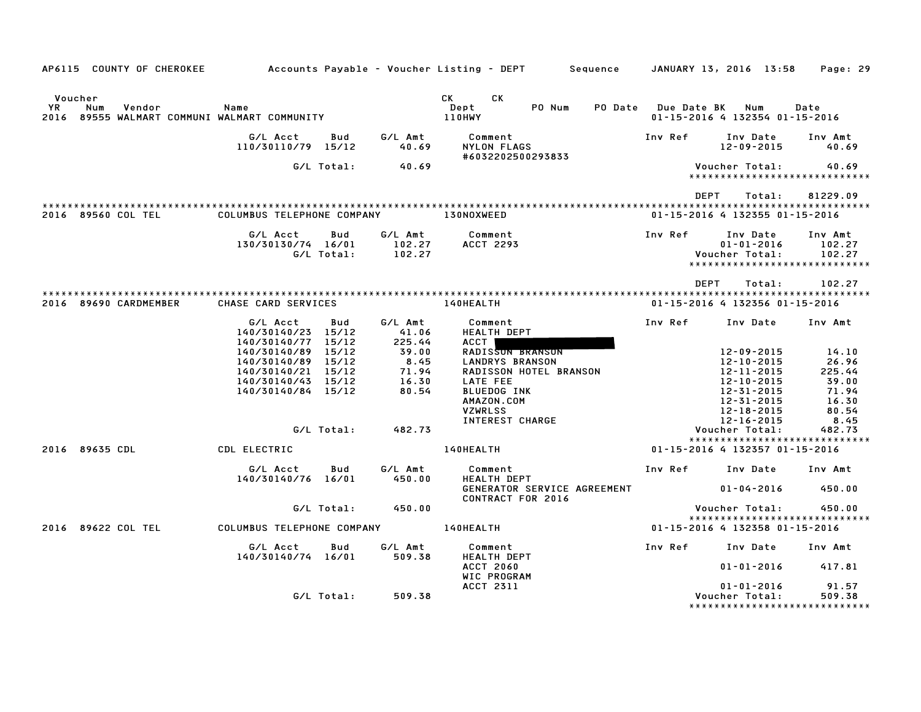| AP6115 COUNTY OF CHEROKEE Accounts Payable – Voucher Listing – DEPT Sequence JANUARY 13, 2016 13:58 Page: 29 |                                          |            |                     |                                                         |                         |                                   |                                         |
|--------------------------------------------------------------------------------------------------------------|------------------------------------------|------------|---------------------|---------------------------------------------------------|-------------------------|-----------------------------------|-----------------------------------------|
| Voucher                                                                                                      |                                          |            |                     | CK CK                                                   |                         |                                   |                                         |
| YR<br>Vendor<br>Num<br>2016 89555 WALMART COMMUNI WALMART COMMUNITY                                          | Name                                     |            |                     | PO Num<br>Dept<br>110HWY                                | PO Date Due Date BK Num | 01-15-2016 4 132354 01-15-2016    | Date                                    |
|                                                                                                              | G/L Acct<br>110/30110/79 15/12           |            | Bud G/LAmt<br>40.69 | Comment<br>NYLON FLAGS                                  | Inv Ref                 | Inv Date<br>12-09-2015            | Inv Amt<br>40.69                        |
|                                                                                                              |                                          | G/L Total: | 40.69               | #6032202500293833                                       |                         | Voucher Total:                    | 40.69                                   |
|                                                                                                              |                                          |            |                     |                                                         |                         |                                   | *****************************           |
|                                                                                                              |                                          |            |                     |                                                         | <b>DEPT</b>             | Total:                            | 81229.09                                |
| 2016 89560 COL TEL                                                                                           | COLUMBUS TELEPHONE COMPANY               |            |                     | 130NOXWEED                                              |                         | 01-15-2016 4 132355 01-15-2016    |                                         |
|                                                                                                              | G/L Acct<br>130/30130/74 16/01           | Bud        | 102.27              | G/L Amt Comment<br>ACCT 2293                            | Inv Ref                 | Inv Date<br>$01 - 01 - 2016$      | Inv Amt<br>102.27                       |
|                                                                                                              |                                          | G/L Total: | 102.27              |                                                         |                         | Voucher Total:                    | 102.27<br>***************************** |
|                                                                                                              |                                          |            |                     |                                                         | DEPT                    | Total:                            | 102.27                                  |
| 2016 89690 CARDMEMBER                                                                                        |                                          |            |                     |                                                         |                         | 01-15-2016 4 132356 01-15-2016    |                                         |
|                                                                                                              | G/L Acct                                 |            | Bud G/LAmt          | Comment                                                 |                         | Inv Ref      Inv Date     Inv Amt |                                         |
|                                                                                                              | 140/30140/23 15/12<br>140/30140/77 15/12 |            | 41.06<br>225.44     | <b>HEALTH DEPT</b><br>ACCT                              |                         |                                   |                                         |
|                                                                                                              | 140/30140/89 15/12                       |            | 39.00               | RADISSON BRANSON                                        |                         | 12-09-2015                        | 14.10                                   |
|                                                                                                              | 140/30140/89 15/12<br>140/30140/21 15/12 |            | 8.45                | <b>LANDRYS BRANSON</b><br><b>RADISSON HOTEL BRANSON</b> |                         | 12-10-2015<br>12-11-2015          | 26.96<br>225.44                         |
|                                                                                                              | 140/30140/43 15/12                       |            | $71.94$<br>$16.30$  | LATE FEE                                                |                         | 12-10-2015                        | 39.00                                   |
|                                                                                                              | 140/30140/84 15/12                       |            | 80.54               | <b>BLUEDOG INK</b>                                      |                         | 12-31-2015                        | 71.94                                   |
|                                                                                                              |                                          |            |                     | AMAZON.COM                                              |                         | 12-31-2015                        | 16.30                                   |
|                                                                                                              |                                          |            |                     | <b>VZWRLSS</b>                                          |                         | 12-18-2015                        | 80.54                                   |
|                                                                                                              |                                          |            |                     | INTEREST CHARGE                                         |                         | 12-16-2015                        | 8.45                                    |
|                                                                                                              |                                          | G/L Total: | 482.73              |                                                         |                         | Voucher Total:                    | 482.73<br>***************************** |
| 2016 89635 CDL                                                                                               | CDL ELECTRIC                             |            |                     | <b>140HEALTH</b>                                        |                         | 01-15-2016 4 132357 01-15-2016    |                                         |
|                                                                                                              | G/L Acct<br>140/30140/76 16/01           | Bud        | G/L Amt<br>450.00   | Comment<br>---<br>HEALTH DEPT                           |                         | Inv Ref      Inv Date             | Inv Amt                                 |
|                                                                                                              |                                          |            |                     | GENERATOR SERVICE AGREEMENT<br>CONTRACT FOR 2016        |                         | 01-04-2016 450.00                 |                                         |
|                                                                                                              |                                          | G/L Total: | 450.00              |                                                         |                         | Voucher Total:                    | 450.00                                  |
|                                                                                                              |                                          |            |                     |                                                         |                         |                                   | *****************************           |
| 2016 89622 COL TEL                                                                                           |                                          |            |                     |                                                         |                         | 01-15-2016 4 132358 01-15-2016    |                                         |
|                                                                                                              | G/L Acct<br>140/30140/74 16/01           | Bud        | G/L Amt<br>509.38   | Comment<br><b>HEALTH DEPT</b>                           |                         | Inv Ref      Inv Date     Inv Amt |                                         |
|                                                                                                              |                                          |            |                     | <b>ACCT 2060</b><br>WIC PROGRAM                         |                         | $01 - 01 - 2016$ 417.81           |                                         |
|                                                                                                              |                                          |            |                     | ACCT 2311                                               |                         | $01 - 01 - 2016$                  | 91.57                                   |
|                                                                                                              |                                          | G/L Total: | 509.38              |                                                         |                         | Voucher Total:                    | 509.38                                  |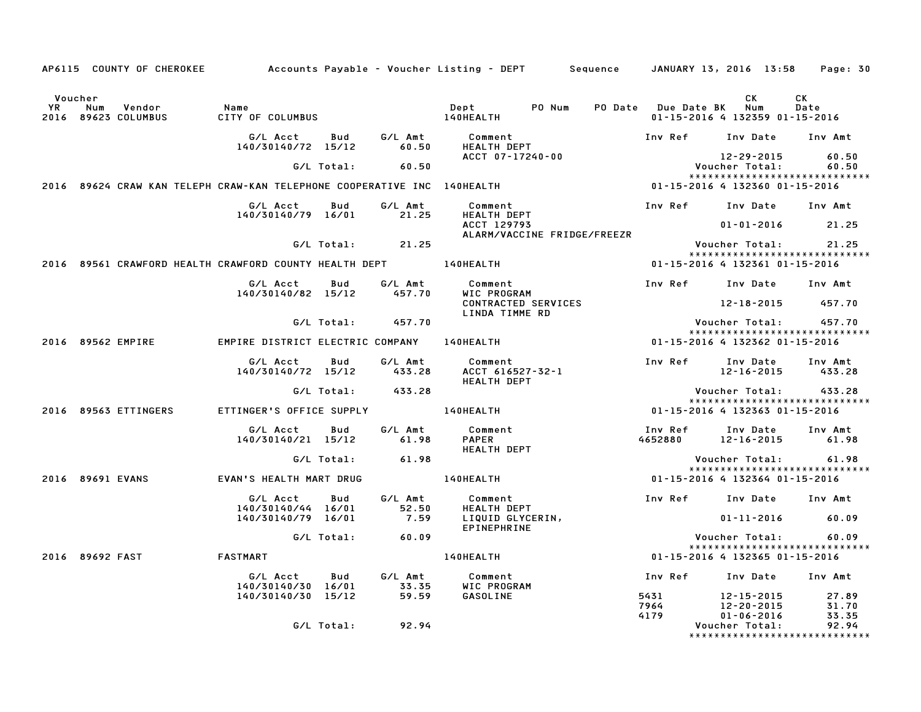|           |                                                                         |                                            |            |                      | AP6115 COUNTY OF CHEROKEE Accounts Payable – Voucher Listing – DEPT Sequence JANUARY 13, 2016 13:58 Page: 30 |                                                               |                                    |                                                               |
|-----------|-------------------------------------------------------------------------|--------------------------------------------|------------|----------------------|--------------------------------------------------------------------------------------------------------------|---------------------------------------------------------------|------------------------------------|---------------------------------------------------------------|
| Voucher   |                                                                         |                                            |            |                      |                                                                                                              |                                                               | СK                                 | <b>CK</b>                                                     |
| <b>YR</b> | Num<br>Vendor<br>2016 89623 COLUMBUS                                    | Name<br>CITY OF COLUMBUS                   |            |                      | Dept PO Num<br><b>140HEALTH</b>                                                                              | PO Date Due Date BK Num                                       | 01-15-2016 4 132359 01-15-2016     | Date                                                          |
|           |                                                                         | G/L Acct<br>140/30140/72 15/12             |            | Bud G/L Amt<br>60.50 | Comment<br><b>HEALTH DEPT</b>                                                                                | Inv Ref Inv Date Inv Amt                                      |                                    |                                                               |
|           |                                                                         |                                            | G/L Total: | 60.50                | ACCT 07-17240-00                                                                                             |                                                               | 12-29-2015<br>Voucher Total:       | 60.50<br>60.50                                                |
|           | 2016 89624 CRAW KAN TELEPH CRAW-KAN TELEPHONE COOPERATIVE INC 140HEALTH |                                            |            |                      |                                                                                                              | 01-15-2016 4 132360 01-15-2016                                |                                    | ******************************                                |
|           |                                                                         | G/L Acct<br>140/30140/79 16/01             | Bud        | G/L Amt<br>21.25     | Comment<br>HEALTH DEPT                                                                                       | Inv Ref      Inv Date     Inv Amt                             |                                    |                                                               |
|           |                                                                         |                                            |            |                      | ACCT 129793<br>ALARM/VACCINE FRIDGE/FREEZR                                                                   |                                                               | $01 - 01 - 2016$ 21.25             |                                                               |
|           |                                                                         |                                            |            | G/L Total: 21.25     |                                                                                                              |                                                               |                                    | Voucher Total: 21.25<br>*****************************         |
|           | 2016 89561 CRAWFORD HEALTH CRAWFORD COUNTY HEALTH DEPT 140HEALTH        |                                            |            |                      |                                                                                                              | 01-15-2016 4 132361 01-15-2016                                |                                    |                                                               |
|           |                                                                         | G/L Acct<br>140/30140/82 15/12             | <b>Bud</b> | G/L Amt<br>457.70    | Comment<br>WIC PROGRAM                                                                                       | Inv Ref      Inv Date     Inv Amt                             |                                    |                                                               |
|           |                                                                         |                                            |            |                      | CONTRACTED SERVICES<br>LINDA TIMME RD                                                                        |                                                               | 12-18-2015 457.70                  |                                                               |
|           |                                                                         |                                            |            | G/L Total: 457.70    |                                                                                                              |                                                               |                                    | Voucher Total:        457.70<br>***************************** |
|           | 2016 89562 EMPIRE                                                       | EMPIRE DISTRICT ELECTRIC COMPANY 140HEALTH |            |                      |                                                                                                              | 01-15-2016 4 132362 01-15-2016                                |                                    |                                                               |
|           |                                                                         | G/L Acct Bud                               |            | G/L Amt              | Comment<br>140/30140/72 15/12 433.28 ACCT 616527-32-1<br><b>HEALTH DEPT</b>                                  | Inv Ref Inv Date Inv Amt                                      |                                    | 12-16-2015 433.28                                             |
|           |                                                                         |                                            |            | G/L Total: 433.28    |                                                                                                              |                                                               |                                    | Voucher Total: 433.28                                         |
|           | 2016 89563 ETTINGERS                                                    | ETTINGER'S OFFICE SUPPLY <b>140HEALTH</b>  |            |                      |                                                                                                              | 01-15-2016 4 132363 01-15-2016                                |                                    | *****************************                                 |
|           |                                                                         | G/L Acct Bud<br>140/30140/21 15/12         |            | G/L Amt<br>61.98     | Comment<br>PAPER<br>HEALTH DEPT                                                                              | Inv Ref      Inv Date     Inv Amt<br>4652880 12-16-2015 61.98 |                                    |                                                               |
|           |                                                                         |                                            | G/L Total: | 61.98                |                                                                                                              |                                                               |                                    |                                                               |
|           | 2016 89691 EVANS                                                        | EVAN'S HEALTH MART DRUG                    |            |                      | <b>140HEALTH</b>                                                                                             | 01-15-2016 4 132364 01-15-2016                                |                                    | *****************************                                 |
|           |                                                                         | G/L Acct<br>140/30140/44 16/01             | Bud        | G/L Amt<br>52.50     | Comment<br><b>HEALTH DEPT</b>                                                                                | Inv Ref Inv Date Inv Amt                                      |                                    |                                                               |
|           |                                                                         | 140/30140/79 16/01                         |            | 7.59                 | LIQUID GLYCERIN,<br>EPINEPHRINE                                                                              |                                                               | $01 - 11 - 2016$ 60.09             |                                                               |
|           |                                                                         |                                            | G/L Total: | 60.09                |                                                                                                              |                                                               |                                    | Voucher Total: 60.09<br>*****************************         |
|           | 2016 89692 FAST                                                         | FASTMART                                   |            |                      | <b>140HEALTH</b>                                                                                             | 01-15-2016 4 132365 01-15-2016                                |                                    |                                                               |
|           |                                                                         | G/L Acct<br>140/30140/30 16/01             | Bud        | G/L Amt<br>33.35     | Comment<br>WIC PROGRAM                                                                                       | Inv Ref Inv Date Inv Amt                                      |                                    |                                                               |
|           |                                                                         | 140/30140/30 15/12                         |            | 59.59                | GASOLINE                                                                                                     | 5431<br>7964                                                  | 12-15-2015<br>12-20-2015           | 27.89<br>31.70                                                |
|           |                                                                         |                                            | G/L Total: | 92.94                |                                                                                                              | 4179                                                          | $01 - 06 - 2016$<br>Voucher Total: | 33.35<br>92.94                                                |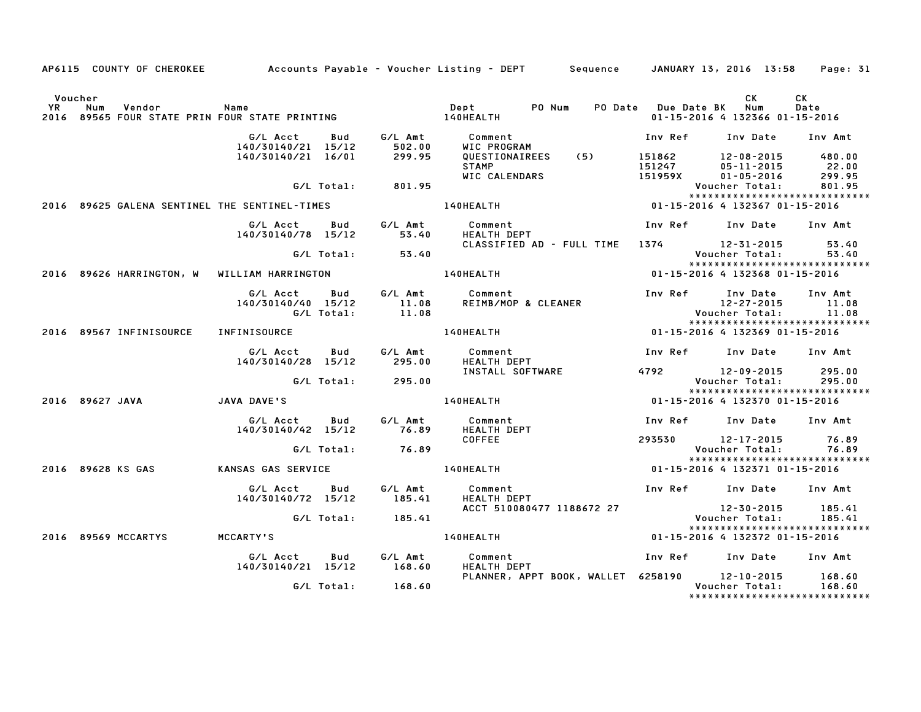|         | AP6115 COUNTY OF CHEROKEE         Accounts Payable – Voucher Listing – DEPT     Sequence    JANUARY 13, 2016 13:58 |                                              |            |                     |                                               |                  |                                          | Page: 31                                                         |  |
|---------|--------------------------------------------------------------------------------------------------------------------|----------------------------------------------|------------|---------------------|-----------------------------------------------|------------------|------------------------------------------|------------------------------------------------------------------|--|
| Voucher | YR Num Vendor – Name<br>2016 89565 FOUR STATE PRIN FOUR STATE PRINTING                                             |                                              |            |                     | Dept PO Num<br>140HEALTH                      |                  | CK<br>PO Date Due Date BK Num            | CK.<br>Date<br>01-15-2016 4 132366 01-15-2016                    |  |
|         |                                                                                                                    | G/L Acct<br>140/30140/21 15/12               | Bud        | G/L Amt<br>502.00   | Comment<br>WIC PROGRAM                        | Inv Ref          |                                          | Inv Date Inv Amt                                                 |  |
|         |                                                                                                                    | 140/30140/21 16/01                           |            | 299.95              | QUESTIONAIREES (5)<br><b>STAMP</b>            | 151862<br>151247 | 12-08-2015<br>05-11-2015                 | 480.00<br>22.00                                                  |  |
|         |                                                                                                                    |                                              | G/L Total: | 801.95              | WIC CALENDARS                                 | 151959X          | $01 - 05 - 2016$<br>Voucher Total:       | 299.95<br>801.95<br>******************************               |  |
|         | 2016 89625 GALENA SENTINEL THE SENTINEL-TIMES                                                                      |                                              |            |                     | 140HEALTH                                     |                  |                                          | 01-15-2016 4 132367 01-15-2016                                   |  |
|         |                                                                                                                    | G/L Acct<br>140/30140/78 15/12               | Bud        | G/L Amt<br>53.40    | Comment<br>HEALTH DEPT                        |                  | Inv Ref Inv Date                         | Inv Amt                                                          |  |
|         |                                                                                                                    |                                              |            | $G/L$ Total: 53.40  | CLASSIFIED AD - FULL TIME 1374 12-31-2015     |                  | Voucher Total:                           | 53.40<br>53.40<br>*****************************                  |  |
|         | 2016 89626 HARRINGTON, W WILLIAM HARRINGTON                                                                        |                                              |            |                     | 140HEALTH                                     |                  |                                          | 01-15-2016 4 132368 01-15-2016                                   |  |
|         |                                                                                                                    | G/L Acct<br>140/30140/40 15/12<br>G/L Total: | <b>Bud</b> | $11.08$<br>$11.08$  | G/L Amt Comment<br>REIMB/MOP & CLEANER        | Inv Ref          | Inv Date<br>12-27-2015<br>Voucher Total: | Inv Amt<br>11.08<br>11.08<br>*****************************       |  |
|         | 2016 89567 INFINISOURCE                                                                                            | <b>INFINISOURCE</b>                          |            |                     | 140HEALTH                                     |                  |                                          | 01-15-2016 4 132369 01-15-2016                                   |  |
|         |                                                                                                                    | G/L Acct<br>140/30140/28 15/12               | Bud        | G/L Amt<br>295.00   | Comment<br><b>HEALTH DEPT</b>                 |                  |                                          | Inv Ref Inv Date Inv Amt                                         |  |
|         |                                                                                                                    |                                              |            | G/L Total: 295.00   | INSTALL SOFTWARE                              | 4792             | 12-09-2015<br>Voucher Total:             | 295.00<br>295.00<br>*****************************                |  |
|         | 2016 89627 JAVA                                                                                                    | JAVA DAVE'S                                  |            |                     | <b>140HEALTH</b>                              |                  |                                          | 01-15-2016 4 132370 01-15-2016                                   |  |
|         |                                                                                                                    | G/L Acct<br>140/30140/42 15/12               | Bud        | G/L Amt<br>76.89    | Comment<br><b>HEALTH DEPT</b>                 |                  |                                          | Inv Ref Inv Date Inv Amt                                         |  |
|         |                                                                                                                    |                                              | G/L Total: | 76.89               | <b>COFFEE</b>                                 |                  | 293530 12-17-2015<br>Voucher Total:      | 76.89<br>76.89<br>*****************************                  |  |
|         | 2016 89628 KS GAS                                                                                                  | KANSAS GAS SERVICE                           |            |                     | 140HEALTH                                     |                  |                                          | 01-15-2016 4 132371 01-15-2016                                   |  |
|         |                                                                                                                    | G/L Acct<br>140/30140/72 15/12               | Bud        | G/L Amt<br>185.41   | Comment<br><b>HEALTH DEPT</b>                 |                  |                                          | Inv Ref Inv Date Inv Amt                                         |  |
|         |                                                                                                                    |                                              |            | $G/L$ Total: 185.41 | ACCT 510080477 1188672 27                     |                  | $12 - 30 - 2015$<br>Voucher Total:       | 185.41<br>185.41                                                 |  |
|         | 2016 89569 MCCARTYS                                                                                                | MCCARTY'S                                    |            |                     | 140HEALTH <b>Andrew Strutter</b>              |                  |                                          | ******************************<br>01-15-2016 4 132372 01-15-2016 |  |
|         |                                                                                                                    | G/L Acct<br>140/30140/21 15/12               | Bud        | G/L Amt<br>168.60   | Comment<br>HEALTH DEPT                        | Inv Ref          | Inv Date                                 | Inv Amt                                                          |  |
|         |                                                                                                                    |                                              |            | G/L Total: 168.60   | PLANNER, APPT BOOK, WALLET 6258190 12-10-2015 |                  | Voucher Total:                           | 168.60<br>168.60<br>*******************************              |  |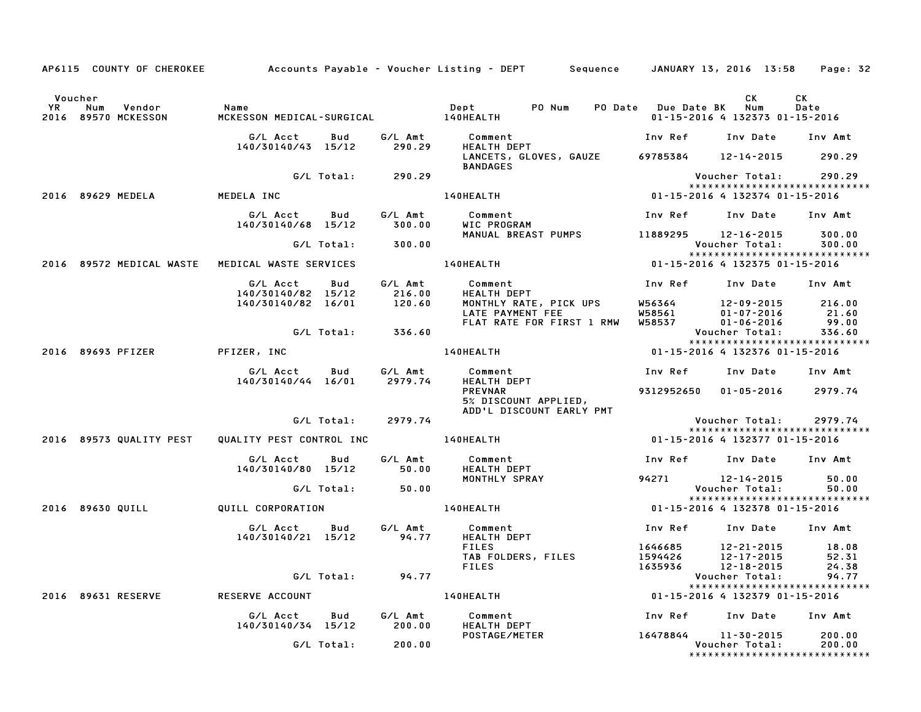|                      |                                   |                                                                                                                   | AP6115 COUNTY OF CHEROKEE Accounts Payable - Voucher Listing - DEPT Sequence JANUARY 13, 2016 13:58 Page: 32                                                                                                                               |                                                                                      |                                                        |            |
|----------------------|-----------------------------------|-------------------------------------------------------------------------------------------------------------------|--------------------------------------------------------------------------------------------------------------------------------------------------------------------------------------------------------------------------------------------|--------------------------------------------------------------------------------------|--------------------------------------------------------|------------|
| Voucher<br><b>YR</b> | Num Vendor<br>2016 89570 MCKESSON | Name<br>MCKESS                                                                                                    |                                                                                                                                                                                                                                            |                                                                                      | CK L<br>01-15-2016 4 132373 01-15-2016                 | CK<br>Date |
|                      |                                   | G/L Acct        Bud         G/L Amt            Comment<br>140/30140/43   15/12         290.29        HEALTH  DEPT | Comment                                Inv Ref     Inv Date    Inv Amt<br>HEALTH DEPT                       Inv Ref    Inv Date    Inv Amt                                                                                                 |                                                                                      |                                                        |            |
|                      |                                   |                                                                                                                   | LANCETS, GLOVES, GAUZE 69785384 12-14-2015 290.29<br><b>BANDAGES</b>                                                                                                                                                                       |                                                                                      |                                                        |            |
|                      |                                   | G/L Total: 290.29                                                                                                 |                                                                                                                                                                                                                                            |                                                                                      |                                                        |            |
|                      | 2016 89629 MEDELA MEDELA INC      |                                                                                                                   |                                                                                                                                                                                                                                            |                                                                                      | *****************************                          |            |
|                      |                                   |                                                                                                                   | G/L Acct  Bud  G/L Amt  Comment<br>140/30140/68 15/12  300.00  WIC  PROGRAM                                                                                                                                                                | Inv Ref     Inv Date    Inv Amt                                                      |                                                        |            |
|                      |                                   | 140/30140/68 15/12 300.00                                                                                         |                                                                                                                                                                                                                                            |                                                                                      |                                                        |            |
|                      |                                   | G/L Total: 300.00                                                                                                 | MANUAL BREAST PUMPS 11889295 12-16-2015 300.00                                                                                                                                                                                             |                                                                                      | Voucher Total: 300.00<br>***************************** |            |
|                      |                                   | 2016 89572 MEDICAL WASTE  MEDICAL WASTE SERVICES                                                                  |                                                                                                                                                                                                                                            |                                                                                      |                                                        |            |
|                      |                                   |                                                                                                                   | G/L Acct Bud G/L Amt Comment Inv Ref Inv Date Inv Amt<br>140/30140/82 15/12 216.00 HEALTH DEPT<br>140/30140/82 16/01 120.60 MONTHLY RATE, PICK UPS W56364 12–09–2015 216.00<br>140/30140/82 16/01 120.60 MONTHLY RATE PAYMENT FEE<br>11-06 |                                                                                      |                                                        |            |
|                      |                                   |                                                                                                                   |                                                                                                                                                                                                                                            |                                                                                      |                                                        |            |
|                      |                                   |                                                                                                                   |                                                                                                                                                                                                                                            |                                                                                      |                                                        |            |
|                      |                                   | G/L Total: 336.60                                                                                                 |                                                                                                                                                                                                                                            |                                                                                      |                                                        |            |
|                      |                                   |                                                                                                                   |                                                                                                                                                                                                                                            |                                                                                      | *****************************                          |            |
|                      | 2016 89693 PFIZER                 | PFIZER, INC                                                                                                       | 140HEALTH                                                                                                                                                                                                                                  | 01-15-2016 4 132376 01-15-2016                                                       |                                                        |            |
|                      |                                   | G/L Acct  Bud  G/L Amt  Comment<br>140/30140/44 16/01  2979.74  HEALTH DEPT                                       | Comment<br>HEALTH DEPT<br>Comman                                                                                                                                                                                                           | Inv Ref Inv Date Inv Amt                                                             |                                                        |            |
|                      |                                   |                                                                                                                   | 5% DISCOUNT APPLIED,                                                                                                                                                                                                                       | 9312952650  01-05-2016  2979.74                                                      |                                                        |            |
|                      |                                   | G/L Total: 2979.74                                                                                                | ADD'L DISCOUNT EARLY PMT                                                                                                                                                                                                                   |                                                                                      | Voucher Total:                                         | 2979.74    |
|                      |                                   |                                                                                                                   |                                                                                                                                                                                                                                            |                                                                                      | *****************************                          |            |
|                      | 2016 89573 QUALITY PEST           |                                                                                                                   |                                                                                                                                                                                                                                            |                                                                                      |                                                        |            |
|                      |                                   | G/L Acct      Bud      G/L Amt        Comment<br>140/30140/80 15/12 50.00 HEALTH DEPT                             |                                                                                                                                                                                                                                            | Inv Ref      Inv Date     Inv Amt                                                    |                                                        |            |
|                      |                                   | G/L Total: 50.00                                                                                                  | MONTHLY SPRAY 94271 12-14-2015 50.00                                                                                                                                                                                                       |                                                                                      |                                                        |            |
|                      |                                   |                                                                                                                   |                                                                                                                                                                                                                                            |                                                                                      | Voucher Total:                                         | 50.00      |
|                      |                                   |                                                                                                                   |                                                                                                                                                                                                                                            | 0.1 Voucher Total: 50<br>*************************<br>11-15-2016 4 132378 01-15-2016 |                                                        |            |
|                      |                                   | G/L Acct  Bud  G/L Amt  Comment<br>140/30140/21  15/12  94.77  HEALTH DEPT                                        | HEALTH DEPT                                                                                                                                                                                                                                | Inv Ref Inv Date Inv Amt                                                             |                                                        |            |
|                      |                                   |                                                                                                                   |                                                                                                                                                                                                                                            |                                                                                      |                                                        |            |
|                      |                                   |                                                                                                                   | FILES 1646685 12-21-2015 18.08<br>TABFOLDERS,FILES 1594426 12-17-2015 52.31<br>FILES 1635936 12-18-2015 24.38                                                                                                                              |                                                                                      |                                                        |            |
|                      |                                   |                                                                                                                   |                                                                                                                                                                                                                                            |                                                                                      |                                                        |            |
|                      |                                   | G/L Total: 94.77                                                                                                  |                                                                                                                                                                                                                                            |                                                                                      | *****************************                          | 94.77      |
|                      | 2016 89631 RESERVE                | RESERVE ACCOUNT                                                                                                   | $140\text{HEALTH}$                                                                                                                                                                                                                         | .94 .<br>***************************<br>11-15-2016 4 132379 01-15-2016               |                                                        |            |
|                      |                                   | <b>Bud</b>                                                                                                        |                                                                                                                                                                                                                                            | Inv Ref     Inv Date    Inv Amt                                                      |                                                        |            |
|                      |                                   |                                                                                                                   |                                                                                                                                                                                                                                            |                                                                                      |                                                        |            |
|                      |                                   | G/L Total: 200.00                                                                                                 |                                                                                                                                                                                                                                            |                                                                                      | *****************************                          |            |
|                      |                                   |                                                                                                                   |                                                                                                                                                                                                                                            |                                                                                      |                                                        |            |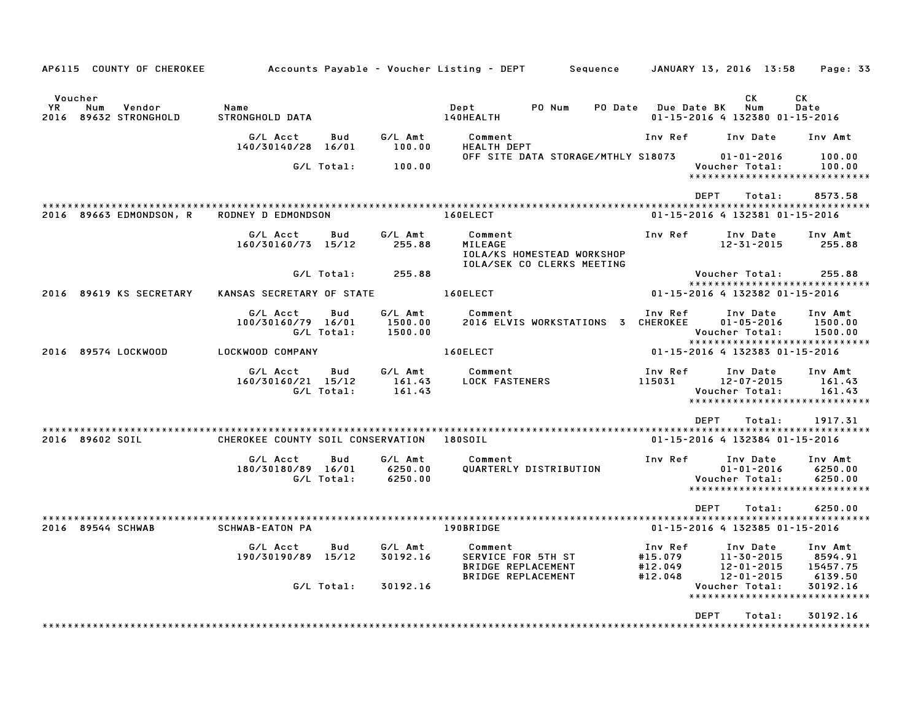| AP6115 COUNTY OF CHEROKEE                                |                                                    |                   |                               | Accounts Payable – Voucher Listing – DEPT         Sequence                              |         | JANUARY 13, 2016 13:58                        |                                                    | Page: 33                                                       |
|----------------------------------------------------------|----------------------------------------------------|-------------------|-------------------------------|-----------------------------------------------------------------------------------------|---------|-----------------------------------------------|----------------------------------------------------|----------------------------------------------------------------|
| Voucher<br>YR.<br>Num<br>Vendor<br>2016 89632 STRONGHOLD | Name<br>STRONGHOLD DATA                            |                   |                               | PO Num<br>Dept<br>140HEALTH                                                             | PO Date | Due Date BK<br>01-15-2016 4 132380 01-15-2016 | СK<br>Num                                          | СK<br>Date                                                     |
|                                                          | G/L Acct<br>140/30140/28                           | Bud<br>16/01      | G/L Amt<br>100.00             | Comment<br><b>HEALTH DEPT</b>                                                           |         | Inv Ref                                       | Inv Date                                           | Inv Amt                                                        |
|                                                          |                                                    | G/L Total:        | 100.00                        | OFF SITE DATA STORAGE/MTHLY S18073                                                      |         |                                               | $01 - 01 - 2016$<br>Voucher Total:                 | 100.00<br>100.00<br>******************************             |
| 2016 89663 EDMONDSON, R                                  | ****************************<br>RODNEY D EDMONDSON |                   |                               | 160ELECT                                                                                |         | <b>DFPT</b><br>01-15-2016 4 132381 01-15-2016 | Total:                                             | 8573.58                                                        |
|                                                          | G/L Acct<br>160/30160/73 15/12                     | Bud               | G/L Amt<br>255.88             | Comment<br>MILEAGE<br>IOLA/KS HOMESTEAD WORKSHOP<br>IOLA/SEK CO CLERKS MEETING          |         | Inv Ref                                       | Inv Date<br>$12 - 31 - 2015$                       | Inv Amt<br>255.88                                              |
|                                                          |                                                    | G/L Total:        | 255.88                        |                                                                                         |         |                                               | Voucher Total:                                     | 255.88<br>*****************************                        |
| 2016 89619 KS SECRETARY                                  | KANSAS SECRETARY OF STATE                          |                   |                               | 160ELECT                                                                                |         | 01-15-2016 4 132382 01-15-2016                |                                                    |                                                                |
|                                                          | G/L Acct<br>100/30160/79 16/01                     | Bud<br>G/L Total: | G/L Amt<br>1500.00<br>1500.00 | Comment<br>2016 ELVIS WORKSTATIONS 3 CHEROKEE                                           |         | Inv Ref                                       | Inv Date<br>$01 - 05 - 2016$<br>Voucher Total:     | Inv Amt<br>1500.00<br>1500.00<br>***************************** |
| 2016 89574 LOCKWOOD                                      | LOCKWOOD COMPANY                                   |                   |                               | 160ELECT                                                                                |         | 01-15-2016 4 132383 01-15-2016                |                                                    |                                                                |
|                                                          | G/L Acct<br>160/30160/21 15/12                     | Bud<br>G/L Total: | G/L Amt<br>161.43<br>161.43   | Comment<br><b>LOCK FASTENERS</b>                                                        |         | Inv Ref<br>115031                             | Inv Date<br>$12 - 07 - 2015$<br>Voucher Total:     | Inv Amt<br>161.43<br>161.43<br>*****************************   |
| 2016 89602 SOIL                                          | CHEROKEE COUNTY SOIL CONSERVATION                  |                   |                               | 180SOIL                                                                                 |         | <b>DEPT</b><br>01-15-2016 4 132384 01-15-2016 | Total:                                             | 1917.31                                                        |
|                                                          | G/L Acct<br>180/30180/89 16/01                     | Bud<br>G/L Total: | G/L Amt<br>6250.00<br>6250.00 | Comment<br>QUARTERLY DISTRIBUTION                                                       |         | Inv Ref                                       | Inv Date<br>$01 - 01 - 2016$<br>Voucher Total:     | Inv Amt<br>6250.00<br>6250.00<br>***************************** |
|                                                          |                                                    |                   |                               |                                                                                         |         | <b>DEPT</b>                                   | Total:                                             | 6250.00                                                        |
| 2016 89544 SCHWAB                                        | <b>SCHWAB-EATON PA</b>                             |                   |                               | 190BRIDGE                                                                               |         | 01-15-2016 4 132385 01-15-2016                |                                                    |                                                                |
|                                                          | G/L Acct<br>190/30190/89 15/12                     | Bud               | G/L Amt<br>30192.16           | Comment<br>SERVICE FOR 5TH ST<br><b>BRIDGE REPLACEMENT</b><br><b>BRIDGE REPLACEMENT</b> |         | Inv Ref<br>#15.079<br>#12.049<br>#12.048      | Inv Date<br>11-30-2015<br>12-01-2015<br>12-01-2015 | Inv Amt<br>8594.91<br>15457.75<br>6139.50                      |
|                                                          |                                                    | G/L Total:        | 30192.16                      |                                                                                         |         |                                               | Voucher Total:                                     | 30192.16<br>******************************                     |
|                                                          |                                                    |                   |                               |                                                                                         |         | <b>DEPT</b>                                   | Total:                                             | 30192.16                                                       |
|                                                          |                                                    |                   |                               |                                                                                         |         |                                               |                                                    |                                                                |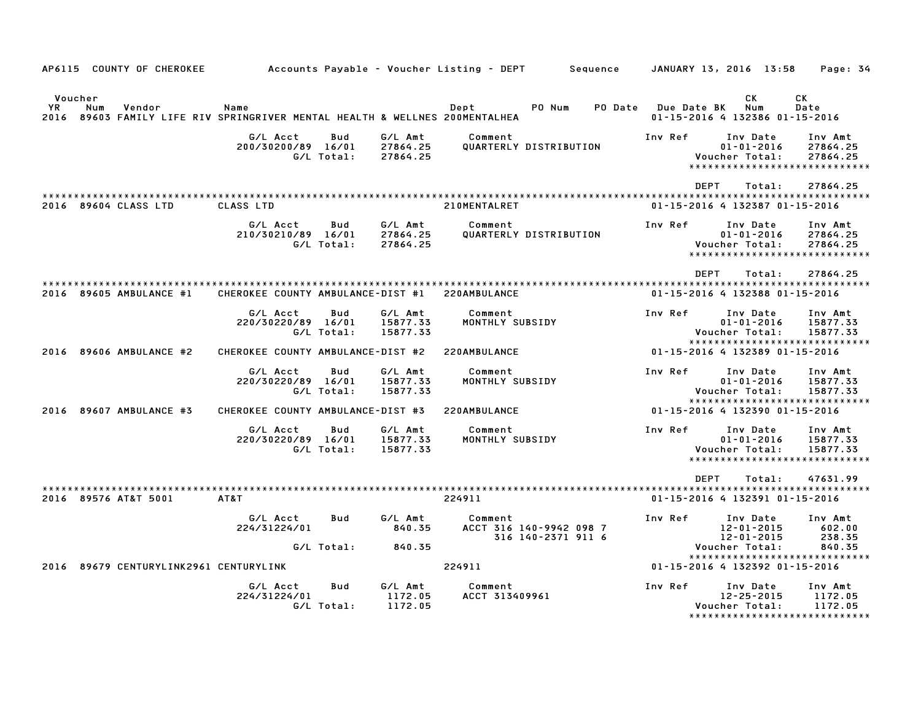|            |                | AP6115 COUNTY OF CHEROKEE         |                                                                                |                          |                                 | Accounts Payable - Voucher Listing - DEPT                | Sequence |             | JANUARY 13, 2016 13:58                                                          | Page: 34                        |
|------------|----------------|-----------------------------------|--------------------------------------------------------------------------------|--------------------------|---------------------------------|----------------------------------------------------------|----------|-------------|---------------------------------------------------------------------------------|---------------------------------|
| YR<br>2016 | Voucher<br>Num | Vendor                            | Name<br>89603 FAMILY LIFE RIV SPRINGRIVER MENTAL HEALTH & WELLNES 200MENTALHEA |                          |                                 | Dept<br>PO Num                                           | PO Date  | Due Date BK | СK<br>Num<br>01-15-2016 4 132386 01-15-2016                                     | СK<br>Date                      |
|            |                |                                   | G/L Acct<br>200/30200/89 16/01                                                 | Bud<br>G/L Total:        | G/L Amt<br>27864.25<br>27864.25 | Comment<br>QUARTERLY DISTRIBUTION                        |          | Inv Ref     | Inv Date<br>$01 - 01 - 2016$<br>Voucher Total:<br>***************************** | Inv Amt<br>27864.25<br>27864.25 |
|            |                |                                   |                                                                                |                          |                                 |                                                          |          | <b>DEPT</b> | Total:                                                                          | 27864.25                        |
|            |                | 2016 89604 CLASS LTD              | <b>CLASS LTD</b>                                                               |                          |                                 | 210MENTALRET                                             |          |             | 01-15-2016 4 132387 01-15-2016                                                  |                                 |
|            |                |                                   | G/L Acct<br>210/30210/89 16/01                                                 | Bud<br>G/L Total:        | G/L Amt<br>27864.25<br>27864.25 | Comment<br>QUARTERLY DISTRIBUTION                        |          | Inv Ref     | Inv Date<br>$01 - 01 - 2016$<br>Voucher Total:<br>***************************** | Inv Amt<br>27864.25<br>27864.25 |
|            |                |                                   |                                                                                |                          |                                 |                                                          |          | <b>DEPT</b> | Total:                                                                          | 27864.25                        |
|            |                | 2016 89605 AMBULANCE #1           | CHEROKEE COUNTY AMBULANCE-DIST #1                                              |                          |                                 | 220AMBULANCE                                             |          |             | 01-15-2016 4 132388 01-15-2016                                                  |                                 |
|            |                |                                   | G/L Acct<br>220/30220/89 16/01                                                 | Bud<br>G/L Total:        | G/L Amt<br>15877.33<br>15877.33 | Comment<br>MONTHLY SUBSIDY                               |          | Inv Ref     | Inv Date<br>$01 - 01 - 2016$<br>Voucher Total:<br>***************************** | Inv Amt<br>15877.33<br>15877.33 |
|            |                | 2016 89606 AMBULANCE #2           | CHEROKEE COUNTY AMBULANCE-DIST #2                                              |                          |                                 | 220AMBULANCE                                             |          |             | 01-15-2016 4 132389 01-15-2016                                                  |                                 |
|            |                |                                   | G/L Acct<br>220/30220/89 16/01                                                 | Bud<br>G/L Total:        | G/L Amt<br>15877.33<br>15877.33 | Comment<br>MONTHLY SUBSIDY                               |          | Inv Ref     | Inv Date<br>$01 - 01 - 2016$<br>Voucher Total:                                  | Inv Amt<br>15877.33<br>15877.33 |
|            |                | 2016 89607 AMBULANCE #3           | CHEROKEE COUNTY AMBULANCE-DIST #3                                              |                          |                                 | 220AMBULANCE                                             |          |             | *****************************<br>01-15-2016 4 132390 01-15-2016                 |                                 |
|            |                |                                   | G/L Acct<br>220/30220/89 16/01                                                 | Bud<br>G/L Total:        | G/L Amt<br>15877.33<br>15877.33 | Comment<br>MONTHLY SUBSIDY                               |          | Inv Ref     | Inv Date<br>$01 - 01 - 2016$<br>Voucher Total:<br>***************************** | Inv Amt<br>15877.33<br>15877.33 |
|            |                |                                   |                                                                                |                          |                                 |                                                          |          | <b>DEPT</b> | Total:                                                                          | 47631.99                        |
|            |                | 2016 89576 AT&T 5001              | AT&T                                                                           |                          |                                 | 224911                                                   |          |             | 01-15-2016 4 132391 01-15-2016                                                  |                                 |
|            |                |                                   | G/L Acct<br>224/31224/01                                                       | Bud                      | G/L Amt<br>840.35               | Comment<br>ACCT 316 140-9942 098 7<br>316 140-2371 911 6 |          | Inv Ref     | Inv Date<br>$12 - 01 - 2015$<br>12-01-2015                                      | Inv Amt<br>602.00<br>238.35     |
|            |                |                                   |                                                                                | G/L Total:               | 840.35                          |                                                          |          |             | Voucher Total:<br>*****************************                                 | 840.35                          |
| 2016       |                | 89679 CENTURYLINK2961 CENTURYLINK |                                                                                |                          |                                 | 224911                                                   |          |             | 01-15-2016 4 132392 01-15-2016                                                  |                                 |
|            |                |                                   | G/L Acct<br>224/31224/01                                                       | <b>Bud</b><br>G/L Total: | G/L Amt<br>1172.05<br>1172.05   | Comment<br>ACCT 313409961                                |          | Inv Ref     | Inv Date<br>$12 - 25 - 2015$<br>Voucher Total:<br>***************************** | Inv Amt<br>1172.05<br>1172.05   |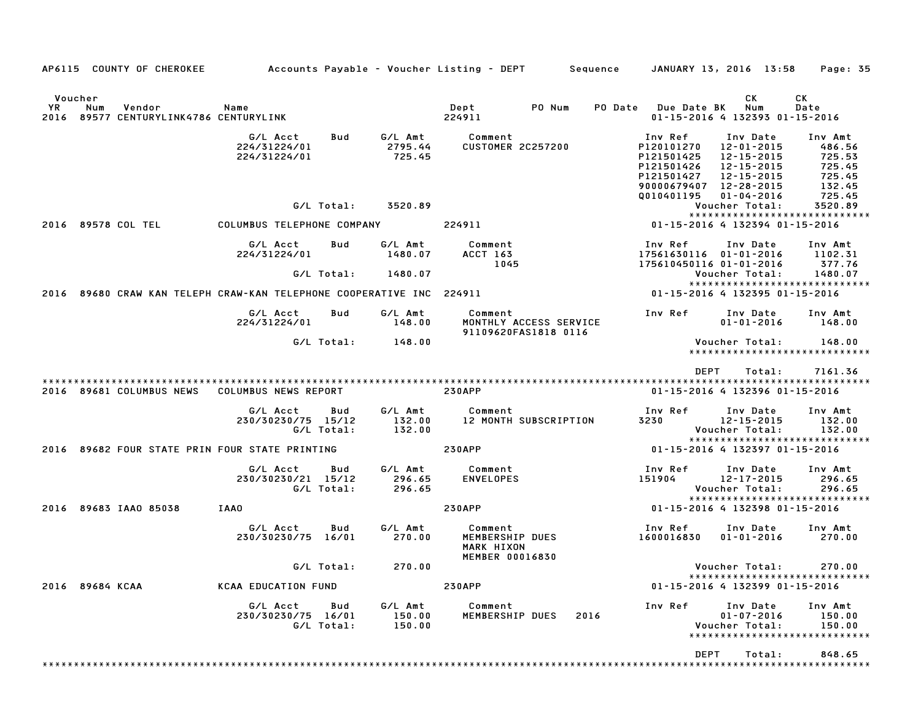| AP6115 COUNTY OF CHEROKEE                                                       |                                                     |                               | Accounts Payable – Voucher Listing – DEPT         Sequence     JANUARY 13, 2016  13:58 |                                                                                                         |                                                                                      | Page: 35                                                            |
|---------------------------------------------------------------------------------|-----------------------------------------------------|-------------------------------|----------------------------------------------------------------------------------------|---------------------------------------------------------------------------------------------------------|--------------------------------------------------------------------------------------|---------------------------------------------------------------------|
| Voucher<br><b>YR</b><br>Num<br>Vendor<br>2016 89577 CENTURYLINK4786 CENTURYLINK | Name                                                |                               | Dept<br>PO Num<br>224911                                                               | PO Date Due Date BK                                                                                     | СK<br>Num<br>01-15-2016 4 132393 01-15-2016                                          | СK<br>Date                                                          |
|                                                                                 | G/L Acct<br>Bud<br>224/31224/01<br>224/31224/01     | G/L Amt<br>2795.44<br>725.45  | Comment<br><b>CUSTOMER 2C257200</b>                                                    | Inv Ref<br>P120101270<br>P121501425<br>P121501426<br>P121501427<br>90000679407 12-28-2015<br>Q010401195 | Inv Date<br>12-01-2015<br>12-15-2015<br>12-15-2015<br>12-15-2015<br>$01 - 04 - 2016$ | Inv Amt<br>486.56<br>725.53<br>725.45<br>725.45<br>132.45<br>725.45 |
|                                                                                 | G/L Total:                                          | 3520.89                       |                                                                                        |                                                                                                         | Voucher Total:<br>*****************************                                      | 3520.89                                                             |
| 2016 89578 COL TEL                                                              | COLUMBUS TELEPHONE COMPANY                          |                               | 224911                                                                                 |                                                                                                         | 01-15-2016 4 132394 01-15-2016                                                       |                                                                     |
|                                                                                 | Bud<br>G/L Acct<br>224/31224/01<br>G/L Total:       | G/L Amt<br>1480.07<br>1480.07 | Comment<br>ACCT 163<br>1045                                                            | Inv Ref<br>17561630116 01-01-2016<br>175610450116 01-01-2016                                            | Inv Date<br>Voucher Total:                                                           | Inv Amt<br>1102.31<br>377.76<br>1480.07                             |
| 2016 89680 CRAW KAN TELEPH CRAW-KAN TELEPHONE COOPERATIVE INC 224911            |                                                     |                               |                                                                                        |                                                                                                         | *****************************<br>01-15-2016 4 132395 01-15-2016                      |                                                                     |
|                                                                                 | G/L Acct<br>Bud                                     | G/L Amt                       | Comment                                                                                | Inv Ref                                                                                                 | Inv Date                                                                             | Inv Amt                                                             |
|                                                                                 | 224/31224/01                                        | 148.00                        | MONTHLY ACCESS SERVICE<br>91109620FAS1818 0116                                         |                                                                                                         | $01 - 01 - 2016$                                                                     | 148.00                                                              |
|                                                                                 | G/L Total:                                          | 148.00                        |                                                                                        |                                                                                                         | Voucher Total:<br>*****************************                                      | 148.00                                                              |
| 2016 89681 COLUMBUS NEWS                                                        | COLUMBUS NEWS REPORT                                |                               | <b>230APP</b>                                                                          | <b>DEPT</b>                                                                                             | Total:<br>01-15-2016 4 132396 01-15-2016                                             | 7161.36                                                             |
|                                                                                 | G/L Acct<br>Bud<br>230/30230/75 15/12<br>G/L Total: | G/L Amt<br>132.00<br>132.00   | Comment<br>12 MONTH SUBSCRIPTION                                                       | Inv Ref<br>3230                                                                                         | Inv Date<br>12-15-2015<br>Voucher Total:<br>*****************************            | Inv Amt<br>132.00<br>132.00                                         |
| 2016 89682 FOUR STATE PRIN FOUR STATE PRINTING                                  |                                                     |                               | <b>230APP</b>                                                                          |                                                                                                         | 01-15-2016 4 132397 01-15-2016                                                       |                                                                     |
|                                                                                 | G/L Acct<br>Bud<br>230/30230/21 15/12<br>G/L Total: | G/L Amt<br>296.65<br>296.65   | Comment<br><b>ENVELOPES</b>                                                            | Inv Ref<br>151904                                                                                       | Inv Date<br>12-17-2015<br>Voucher Total:<br>*****************************            | Inv Amt<br>296.65<br>296.65                                         |
| 2016 89683 IAA0 85038                                                           | IAAO                                                |                               | <b>230APP</b>                                                                          | 01-15-2016 4 132398 01-15-2016                                                                          |                                                                                      |                                                                     |
|                                                                                 | G/L Acct<br>Bud<br>230/30230/75 16/01               | G/L Amt<br>270.00             | Comment<br>MEMBERSHIP DUES<br>MARK HIXON<br><b>MEMBER 00016830</b>                     | Inv Ref<br>1600016830                                                                                   | Inv Date<br>$01 - 01 - 2016$                                                         | Inv Amt<br>270.00                                                   |
|                                                                                 | G/L Total:                                          | 270.00                        |                                                                                        |                                                                                                         | Voucher Total:<br>*****************************                                      | 270.00                                                              |
| 2016 89684 KCAA                                                                 | <b>KCAA EDUCATION FUND</b>                          |                               | <b>230APP</b>                                                                          |                                                                                                         | 01-15-2016 4 132399 01-15-2016                                                       |                                                                     |
|                                                                                 | G/L Acct<br>Bud<br>230/30230/75 16/01<br>G/L Total: | G/L Amt<br>150.00<br>150.00   | Comment<br>MEMBERSHIP DUES<br>2016                                                     | Inv Ref                                                                                                 | Inv Date<br>$01 - 07 - 2016$<br>Voucher Total:<br>*****************************      | Inv Amt<br>150.00<br>150.00                                         |
|                                                                                 |                                                     |                               |                                                                                        | DEPT                                                                                                    | Total:                                                                               | 848.65                                                              |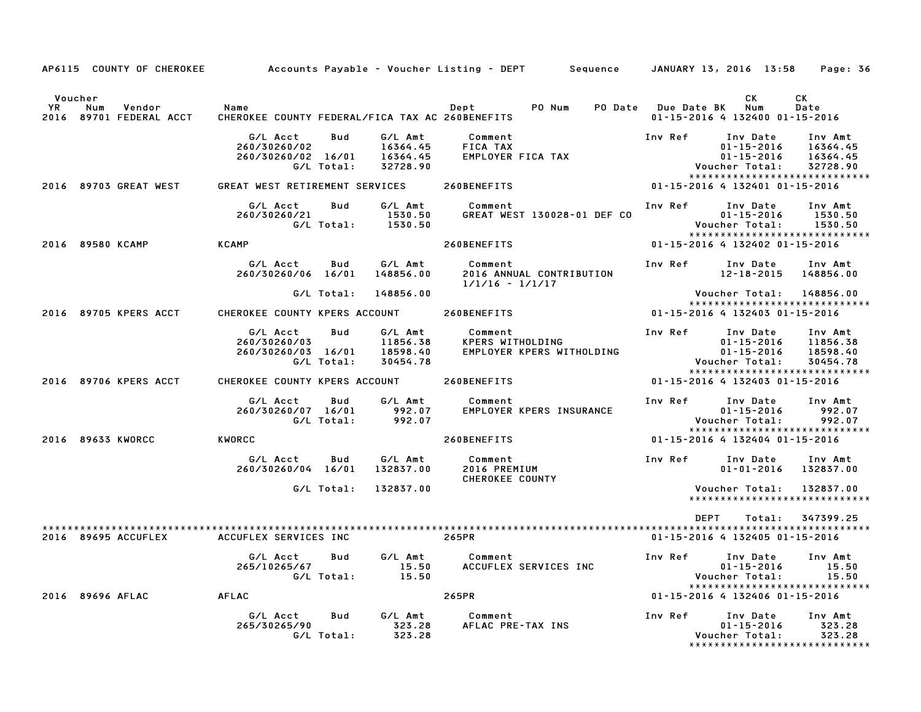| AP6115 COUNTY OF CHEROKEE      |                                                 |                   |                                             | Accounts Payable – Voucher Listing – DEPT         Sequence |         | JANUARY 13, 2016 13:58                                                                  | Page: 36                                    |
|--------------------------------|-------------------------------------------------|-------------------|---------------------------------------------|------------------------------------------------------------|---------|-----------------------------------------------------------------------------------------|---------------------------------------------|
| Voucher<br>YR<br>Num<br>Vendor | Name                                            |                   |                                             | Dept<br>PO Num                                             |         | <b>CK</b><br>PO Date Due Date BK Num                                                    | CK<br>Date                                  |
| 2016<br>89701 FEDERAL ACCT     | CHEROKEE COUNTY FEDERAL/FICA TAX AC 260BENEFITS |                   |                                             |                                                            |         | 01-15-2016 4 132400 01-15-2016                                                          |                                             |
|                                | G/L Acct<br>260/30260/02<br>260/30260/02 16/01  | Bud<br>G/L Total: | G/L Amt<br>16364.45<br>16364.45<br>32728.90 | Comment<br>FICA TAX<br>EMPLOYER FICA TAX                   | Inv Ref | Inv Date<br>$01 - 15 - 2016$<br>$01 - 15 - 2016$<br>Voucher Total:                      | Inv Amt<br>16364.45<br>16364.45<br>32728.90 |
| 2016 89703 GREAT WEST          | GREAT WEST RETIREMENT SERVICES                  |                   |                                             | 260BENEFITS                                                |         | *****************************<br>01-15-2016 4 132401 01-15-2016                         |                                             |
|                                | G/L Acct<br>260/30260/21                        | Bud               | G/L Amt<br>1530.50<br>G/L Total: 1530.50    | Comment<br>GREAT WEST 130028-01 DEF CO                     | Inv Ref | Inv Date<br>$01 - 15 - 2016$<br>Voucher Total:<br>*****************************         | Inv Amt<br>1530.50<br>1530.50               |
| 2016 89580 KCAMP               | KCAMP                                           |                   |                                             | 260BENEFITS                                                |         | 01-15-2016 4 132402 01-15-2016                                                          |                                             |
|                                | G/L Acct<br>260/30260/06 16/01                  | Bud               | G/L Amt<br>148856.00                        | Comment<br>2016 ANNUAL CONTRIBUTION<br>$1/1/16 - 1/1/17$   | Inv Ref | Inv Date<br>12-18-2015 148856.00                                                        | Inv Amt                                     |
|                                |                                                 | G/L Total:        | 148856.00                                   |                                                            |         | Voucher Total: 148856.00                                                                |                                             |
| 2016 89705 KPERS ACCT          | CHEROKEE COUNTY KPERS ACCOUNT                   |                   |                                             | 260BENEFITS                                                |         | *****************************<br>01-15-2016 4 132403 01-15-2016                         |                                             |
|                                | G/L Acct<br>260/30260/03<br>260/30260/03 16/01  | Bud<br>G/L Total: | G/L Amt<br>11856.38<br>18598.40<br>30454.78 | Comment<br>KPERS WITHOLDING<br>EMPLOYER KPERS WITHOLDING   | Inv Ref | Inv Date<br>01-15-2016<br>$01 - 15 - 2016$<br>Voucher Total:                            | Inv Amt<br>11856.38<br>18598.40<br>30454.78 |
| 2016 89706 KPERS ACCT          | CHEROKEE COUNTY KPERS ACCOUNT                   |                   |                                             | 260BENEFITS                                                |         | ******************************<br>01-15-2016 4 132403 01-15-2016                        |                                             |
|                                | G/L Acct<br>260/30260/07 16/01                  | Bud<br>G/L Total: | G/L Amt<br>992.07<br>992.07                 | Comment<br>EMPLOYER KPERS INSURANCE                        | Inv Ref | Inv Date<br>$01 - 15 - 2016$<br>Voucher Total:<br>*****************************         | Inv Amt<br>992.07<br>992.07                 |
| 2016 89633 KWORCC              | KWORCC                                          |                   |                                             | 260BENEFITS                                                |         | 01-15-2016 4 132404 01-15-2016                                                          |                                             |
|                                | G/L Acct<br>260/30260/04 16/01                  | Bud               | G/L Amt<br>132837.00                        | Comment<br>2016 PREMIUM<br><b>CHEROKEE COUNTY</b>          | Inv Ref | Inv Date<br>$01 - 01 - 2016$                                                            | Inv Amt<br>132837.00                        |
|                                |                                                 | G/L Total:        | 132837.00                                   |                                                            |         | Voucher Total:<br>******************************                                        | 132837.00                                   |
|                                |                                                 |                   |                                             |                                                            |         |                                                                                         |                                             |
| 2016 89695 ACCUFLEX            | ACCUFLEX SERVICES INC                           |                   |                                             | 265PR                                                      |         | DEPT<br>Total:<br>01-15-2016 4 132405 01-15-2016                                        | 347399.25                                   |
|                                | G/L Acct<br>265/10265/67                        | Bud<br>G/L Total: | G/L Amt<br>15.50<br>15.50                   | Comment<br>ACCUFLEX SERVICES INC                           |         | Inv Ref Inv Date<br>$01 - 15 - 2016$<br>Voucher Total:<br>***************************** | Inv Amt<br>15.50<br>15.50                   |
| 2016 89696 AFLAC               | AFLAC                                           |                   |                                             | 265PR                                                      |         | 01-15-2016 4 132406 01-15-2016                                                          |                                             |
|                                | G/L Acct<br>265/30265/90                        | Bud<br>G/L Total: | G/L Amt<br>323.28<br>323.28                 | Comment<br>AFLAC PRE-TAX INS                               | Inv Ref | Inv Date<br>$01 - 15 - 2016$<br>Voucher Total:<br>*****************************         | Inv Amt<br>323.28<br>323.28                 |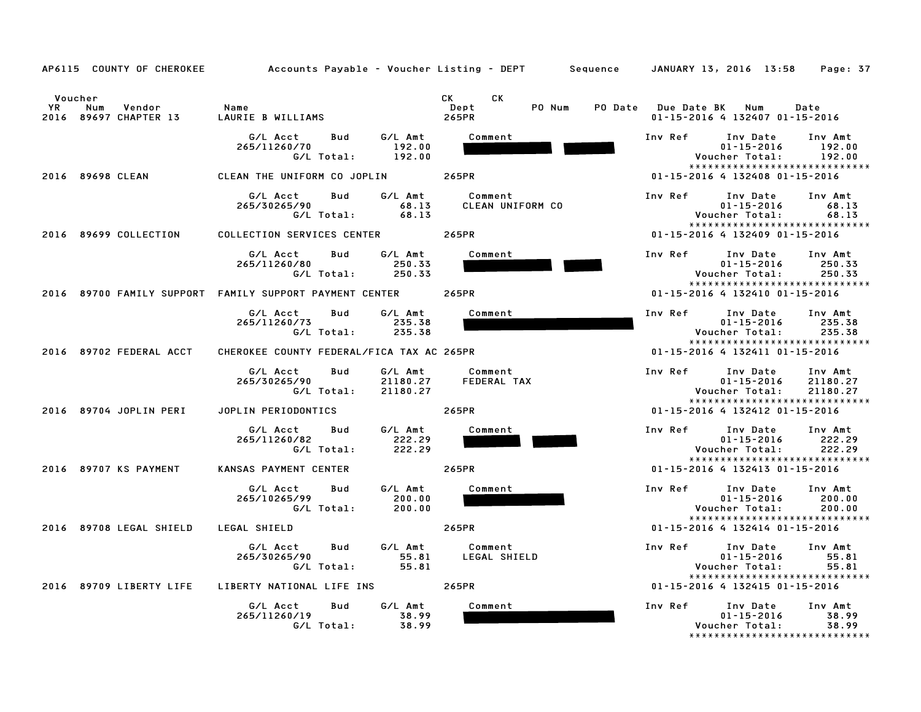| AP6115 COUNTY OF CHEROKEE                                      | Accounts Payable – Voucher Listing – DEPT         Sequence     JANUARY 13, 2016  13:58 |                                                                                                                                                                                                                                                                 | Page: 37                                                                                                                      |
|----------------------------------------------------------------|----------------------------------------------------------------------------------------|-----------------------------------------------------------------------------------------------------------------------------------------------------------------------------------------------------------------------------------------------------------------|-------------------------------------------------------------------------------------------------------------------------------|
| Voucher<br><b>YR</b><br>Num<br>Vendor<br>2016 89697 CHAPTER 13 | Name<br>LAURIE B WILLIAMS                                                              | CK and the set of the set of the set of the set of the set of the set of the set of the set of the set of the set of the set of the set of the set of the set of the set of the set of the set of the set of the set of the se<br>CK<br>PO Num<br>Dept<br>265PR | PO Date Due Date BK Num<br>Date<br>01-15-2016 4 132407 01-15-2016                                                             |
|                                                                | G/L Amt<br>G/L Acct<br>Bud<br>265/11260/70<br>192.00<br>G/L Total:<br>192.00           | Comment                                                                                                                                                                                                                                                         | Inv Ref<br>Inv Date<br>Inv Amt<br>$01 - 15 - 2016$<br>192.00<br>Voucher Total:<br>192.00<br>*****************************     |
| 2016 89698 CLEAN                                               | CLEAN THE UNIFORM CO JOPLIN                                                            | 265PR                                                                                                                                                                                                                                                           | 01-15-2016 4 132408 01-15-2016                                                                                                |
|                                                                | G/L Acct<br>Bud<br>G/L Amt<br>265/30265/90<br>68.13<br>G/L Total:<br>68.13             | Comment<br><b>CLEAN UNIFORM CO</b>                                                                                                                                                                                                                              | Inv Ref<br>Inv Date<br>Inv Amt<br>$01 - 15 - 2016$<br>68.13<br>68.13<br>Voucher Total:<br>*****************************       |
| 2016 89699 COLLECTION                                          | COLLECTION SERVICES CENTER                                                             | 265PR                                                                                                                                                                                                                                                           | 01-15-2016 4 132409 01-15-2016                                                                                                |
|                                                                | G/L Acct<br>Bud<br>G/L Amt<br>265/11260/80<br>250.33<br>G/L Total:<br>250.33           | Comment                                                                                                                                                                                                                                                         | Inv Ref<br>Inv Date<br>Inv Amt<br>$01 - 15 - 2016$<br>250.33<br>250.33<br>Voucher Total:<br>*****************************     |
|                                                                | 2016 89700 FAMILY SUPPORT FAMILY SUPPORT PAYMENT CENTER                                | 265PR                                                                                                                                                                                                                                                           | 01-15-2016 4 132410 01-15-2016                                                                                                |
|                                                                | G/L Acct<br>Bud<br>G/L Amt<br>265/11260/73<br>235.38<br>G/L Total:<br>235.38           | Comment                                                                                                                                                                                                                                                         | Inv Ref<br>Inv Date<br>Inv Amt<br>$01 - 15 - 2016$<br>235.38<br>Voucher Total:<br>235.38                                      |
| 2016 89702 FEDERAL ACCT                                        | CHEROKEE COUNTY FEDERAL/FICA TAX AC 265PR                                              |                                                                                                                                                                                                                                                                 | *****************************<br>01-15-2016 4 132411 01-15-2016                                                               |
|                                                                | G/L Acct<br>Bud<br>G/L Amt<br>265/30265/90<br>21180.27<br>G/L Total:<br>21180.27       | Comment<br>FEDERAL TAX                                                                                                                                                                                                                                          | Inv Ref<br>Inv Date<br>Inv Amt<br>$01 - 15 - 2016$<br>21180.27<br>Voucher Total:<br>21180.27<br>***************************** |
| 2016 89704 JOPLIN PERI                                         | JOPLIN PERIODONTICS                                                                    | 265PR                                                                                                                                                                                                                                                           | 01-15-2016 4 132412 01-15-2016                                                                                                |
|                                                                | G/L Amt<br>G/L Acct<br>Bud<br>265/11260/82<br>222.29<br>G/L Total:<br>222.29           | Comment                                                                                                                                                                                                                                                         | Inv Ref<br>Inv Date<br>Inv Amt<br>$01 - 15 - 2016$<br>222.29<br>Voucher Total:<br>222.29<br>*****************************     |
| 2016 89707 KS PAYMENT                                          | KANSAS PAYMENT CENTER                                                                  | 265PR                                                                                                                                                                                                                                                           | 01-15-2016 4 132413 01-15-2016                                                                                                |
|                                                                | G/L Acct<br>G/L Amt<br>Bud<br>265/10265/99<br>200.00<br>G/L Total:<br>200.00           | Comment                                                                                                                                                                                                                                                         | Inv Ref<br>Inv Date<br>Inv Amt<br>$01 - 15 - 2016$<br>200.00<br>Voucher Total:<br>200.00<br>*****************************     |
| 2016 89708 LEGAL SHIELD                                        | LEGAL SHIELD                                                                           | 265PR                                                                                                                                                                                                                                                           | 01-15-2016 4 132414 01-15-2016                                                                                                |
|                                                                | G/L Acct<br>Bud<br>G/L Amt<br>265/30265/90<br>55.81<br>G/L Total:<br>55.81             | Comment<br>LEGAL SHIELD                                                                                                                                                                                                                                         | Inv Ref<br>Inv Date<br>Inv Amt<br>$01 - 15 - 2016$<br>55.81<br>Voucher Total:<br>55.81<br>*****************************       |
| 2016 89709 LIBERTY LIFE                                        | LIBERTY NATIONAL LIFE INS                                                              | 265PR                                                                                                                                                                                                                                                           | 01-15-2016 4 132415 01-15-2016                                                                                                |
|                                                                | G/L Acct<br>G/L Amt<br>Bud<br>265/11260/19<br>38.99<br>G/L Total:<br>38.99             | Comment                                                                                                                                                                                                                                                         | Inv Ref<br>Inv Date<br>Inv Amt<br>$01 - 15 - 2016$<br>38.99<br>Voucher Total:<br>38.99<br>*****************************       |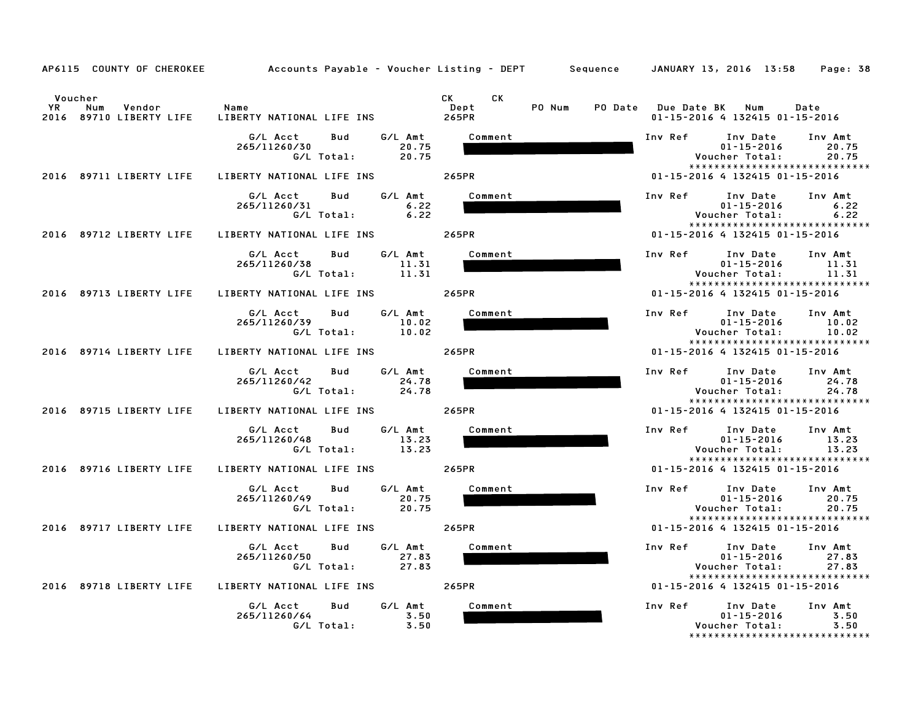|                      | AP6115 COUNTY OF CHEROKEE                     |                                                                            | Accounts Payable – Voucher Listing – DEPT         Sequence     JANUARY 13, 2016 13:58 | Page: 38                                                                                                             |
|----------------------|-----------------------------------------------|----------------------------------------------------------------------------|---------------------------------------------------------------------------------------|----------------------------------------------------------------------------------------------------------------------|
| Voucher<br><b>YR</b> | Vendor Name<br>Num<br>2016 89710 LIBERTY LIFE | LIBERTY NATIONAL LIFE INS 265PR                                            | CK C<br>CK<br>PO Num<br>Dept                                                          | PO Date Due Date BK Num<br>Date<br>01-15-2016 4 132415 01-15-2016                                                    |
|                      |                                               | G/L Acct<br>Bud<br>G⁄L Amt<br>20.75<br>265/11260/30<br>G/L Total:<br>20.75 | Comment                                                                               | Inv Ref<br>Inv Date Inv Amt<br>$01 - 15 - 2016$<br>20.75<br>20.75<br>Voucher Total:                                  |
|                      | 2016 89711 LIBERTY LIFE                       | LIBERTY NATIONAL LIFE INS 265PR                                            |                                                                                       | *****************************<br>01-15-2016 4 132415 01-15-2016                                                      |
|                      |                                               | G/L Amt<br>G/L Acct<br>Bud<br>6.22<br>265/11260/31<br>$G/L$ Total: 6.22    | Comment                                                                               | Inv Ref Inv Date<br>Inv Amt<br>$01 - 15 - 2016$<br>6.22<br>Voucher Total:<br>6.22<br>*****************************   |
|                      | 2016 89712 LIBERTY LIFE                       | LIBERTY NATIONAL LIFE INS 265PR                                            |                                                                                       | 01-15-2016 4 132415 01-15-2016                                                                                       |
|                      |                                               | G/L Acct Bud<br>G/L Amt<br>265/11260/38<br>11.31<br>G/L Total: 11.31       | Comment                                                                               | Inv Ref Inv Date<br>Inv Amt<br>$01 - 15 - 2016$<br>11.31<br>Voucher Total:<br>11.31<br>***************************** |
|                      | 2016 89713 LIBERTY LIFE                       | LIBERTY NATIONAL LIFE INS 265PR                                            |                                                                                       | 01-15-2016 4 132415 01-15-2016                                                                                       |
|                      |                                               | G/L Amt<br>G/L Acct<br>Bud<br>10.02<br>265/11260/39<br>G/L Total:<br>10.02 | Comment                                                                               | Inv Ref Inv Date Inv Amt<br>10.02<br>$01 - 15 - 2016$<br>10.02<br>Voucher Total:<br>*****************************    |
|                      | 2016 89714 LIBERTY LIFE                       | LIBERTY NATIONAL LIFE INS 265PR                                            |                                                                                       | 01-15-2016 4 132415 01-15-2016                                                                                       |
|                      |                                               | G/L Amt<br>G/L Acct<br>Bud<br>265/11260/42<br>24.78<br>G/L Total:<br>24.78 | Comment                                                                               | Inv Ref Inv Date<br>Inv Amt<br>24.78<br>$01 - 15 - 2016$<br>24.78<br>Voucher Total:<br>***************************** |
|                      | 2016 89715 LIBERTY LIFE                       | LIBERTY NATIONAL LIFE INS                                                  | 265PR                                                                                 | 01-15-2016 4 132415 01-15-2016                                                                                       |
|                      |                                               | G/L Acct<br>G/L Amt<br>Bud<br>265/11260/48<br>13.23<br>G/L Total:<br>13.23 | Comment                                                                               | Inv Ref Inv Date Inv Amt<br>01-15-2016<br>13.23<br>13.23<br>Voucher Total:<br>*****************************          |
|                      | 2016 89716 LIBERTY LIFE                       | LIBERTY NATIONAL LIFE INS                                                  | 265PR                                                                                 | 01-15-2016 4 132415 01-15-2016                                                                                       |
|                      |                                               | G/L Acct<br>Bud<br>G/L Amt<br>265/11260/49<br>20.75<br>G/L Total:<br>20.75 | Comment                                                                               | Inv Ref Inv Date<br>Inv Amt<br>$01 - 15 - 2016$<br>20.75<br>Voucher Total:<br>20.75<br>***************************** |
|                      | 2016 89717 LIBERTY LIFE                       | LIBERTY NATIONAL LIFE INS                                                  | 265PR                                                                                 | 01-15-2016 4 132415 01-15-2016                                                                                       |
|                      |                                               | G/L Amt<br>G/L Acct Bud<br>265/11260/50<br>27.83<br>G/L Total: 27.83       | Comment                                                                               | Inv Ref Inv Date<br>Inv Amt<br>$01 - 15 - 2016$<br>27.83<br>Voucher Total:<br>27.83                                  |
|                      |                                               | 2016 89718 LIBERTY LIFE LIBERTY NATIONAL LIFE INS 265PR                    |                                                                                       | *****************************<br>01-15-2016 4 132415 01-15-2016                                                      |
|                      |                                               | G/L Amt<br>G/L Acct<br>Bud<br>265/11260/64<br>3.50<br>G/L Total:<br>3.50   | Comment                                                                               | Inv Ref Inv Date Inv Amt<br>3.50<br>01-15-2016<br>3.50<br>Voucher Total:<br>*****************************            |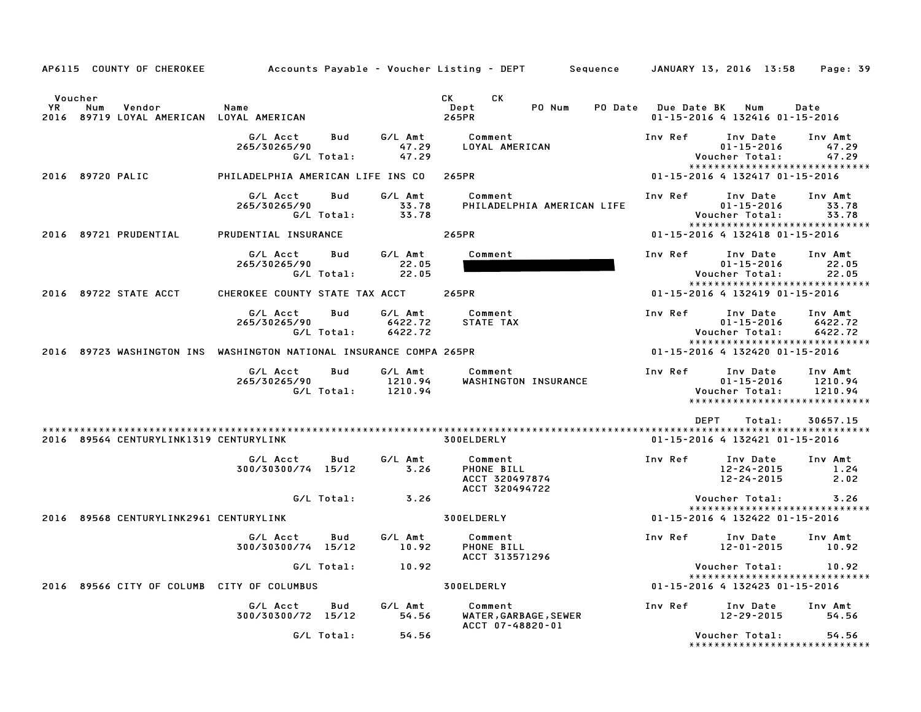| AP6115 COUNTY OF CHEROKEE                                                     | Accounts Payable – Voucher Listing – DEPT         Sequence     JANUARY 13, 2016  13:58 |                   |                               |                                                                                                                                                                                                                                                        |                            |                     |                                                                                  | Page: 39                      |
|-------------------------------------------------------------------------------|----------------------------------------------------------------------------------------|-------------------|-------------------------------|--------------------------------------------------------------------------------------------------------------------------------------------------------------------------------------------------------------------------------------------------------|----------------------------|---------------------|----------------------------------------------------------------------------------|-------------------------------|
| Voucher<br>YR<br>Num<br>Vendor<br>89719 LOYAL AMERICAN LOYAL AMERICAN<br>2016 | Name                                                                                   |                   |                               | CK and the set of the set of the set of the set of the set of the set of the set of the set of the set of the set of the set of the set of the set of the set of the set of the set of the set of the set of the set of the se<br>CK.<br>Dept<br>265PR | PO Num                     | PO Date Due Date BK | Num<br>01-15-2016 4 132416 01-15-2016                                            | Date                          |
|                                                                               | G/L Acct<br>265/30265/90                                                               | Bud<br>G/L Total: | G/L Amt<br>47.29<br>47.29     | Comment<br>LOYAL AMERICAN                                                                                                                                                                                                                              |                            | Inv Ref             | Inv Date<br>$01 - 15 - 2016$<br>Voucher Total:<br>*****************************  | Inv Amt<br>47.29<br>47.29     |
| 2016 89720 PALIC                                                              | PHILADELPHIA AMERICAN LIFE INS CO                                                      |                   |                               | 265PR                                                                                                                                                                                                                                                  |                            |                     | 01-15-2016 4 132417 01-15-2016                                                   |                               |
|                                                                               | G/L Acct<br>265/30265/90                                                               | Bud<br>G/L Total: | G/L Amt<br>33.78<br>33.78     | Comment                                                                                                                                                                                                                                                | PHILADELPHIA AMERICAN LIFE | Inv Ref             | Inv Date<br>$01 - 15 - 2016$<br>Voucher Total:<br>*****************************  | Inv Amt<br>33.78<br>33.78     |
| 2016 89721 PRUDENTIAL                                                         | PRUDENTIAL INSURANCE                                                                   |                   |                               | 265PR                                                                                                                                                                                                                                                  |                            |                     | 01-15-2016 4 132418 01-15-2016                                                   |                               |
|                                                                               | G/L Acct<br>265/30265/90                                                               | Bud<br>G/L Total: | G/L Amt<br>22.05<br>22.05     | Comment                                                                                                                                                                                                                                                |                            | Inv Ref             | Inv Date<br>$01 - 15 - 2016$<br>Voucher Total:<br>*****************************  | Inv Amt<br>22.05<br>22.05     |
| 2016 89722 STATE ACCT                                                         | CHEROKEE COUNTY STATE TAX ACCT                                                         |                   |                               | 265PR                                                                                                                                                                                                                                                  |                            |                     | 01-15-2016 4 132419 01-15-2016                                                   |                               |
|                                                                               | G/L Acct<br>265/30265/90                                                               | Bud<br>G/L Total: | G/L Amt<br>6422.72<br>6422.72 | Comment<br>STATE TAX                                                                                                                                                                                                                                   |                            | Inv Ref             | Inv Date<br>$01 - 15 - 2016$<br>Voucher Total:<br>*****************************  | Inv Amt<br>6422.72<br>6422.72 |
| 2016 89723 WASHINGTON INS WASHINGTON NATIONAL INSURANCE COMPA 265PR           |                                                                                        |                   |                               |                                                                                                                                                                                                                                                        |                            |                     | 01-15-2016 4 132420 01-15-2016                                                   |                               |
|                                                                               | G/L Acct<br>265/30265/90                                                               | Bud<br>G/L Total: | G/L Amt<br>1210.94<br>1210.94 | Comment<br>WASHINGTON INSURANCE                                                                                                                                                                                                                        |                            | Inv Ref             | Inv Date<br>$01 - 15 - 2016$<br>Voucher Total:<br>****************************** | Inv Amt<br>1210.94<br>1210.94 |
|                                                                               |                                                                                        |                   |                               |                                                                                                                                                                                                                                                        |                            | <b>DEPT</b>         | Total:                                                                           | 30657.15                      |
| 2016 89564 CENTURYLINK1319 CENTURYLINK                                        |                                                                                        |                   |                               | 300ELDERLY                                                                                                                                                                                                                                             |                            |                     | 01-15-2016 4 132421 01-15-2016                                                   |                               |
|                                                                               | G/L Acct<br>300/30300/74 15/12                                                         | Bud               | G/L Amt<br>3.26               | Comment<br>PHONE BILL<br>ACCT 320497874<br>ACCT 320494722                                                                                                                                                                                              |                            | Inv Ref             | Inv Date<br>12-24-2015<br>12-24-2015                                             | Inv Amt<br>1.24<br>2.02       |
|                                                                               |                                                                                        | G/L Total:        | 3.26                          |                                                                                                                                                                                                                                                        |                            |                     | Voucher Total:<br>*****************************                                  | 3.26                          |
| 2016 89568 CENTURYLINK2961 CENTURYLINK                                        |                                                                                        |                   |                               | <b>300ELDERLY</b>                                                                                                                                                                                                                                      |                            |                     | 01-15-2016 4 132422 01-15-2016                                                   |                               |
|                                                                               | G/L Acct<br>300/30300/74 15/12                                                         | Bud               | G/L Amt<br>10.92              | Comment<br>PHONE BILL<br>ACCT 313571296                                                                                                                                                                                                                |                            | Inv Ref             | Inv Date<br>12-01-2015                                                           | Inv Amt<br>10.92              |
|                                                                               |                                                                                        | G/L Total:        | 10.92                         |                                                                                                                                                                                                                                                        |                            |                     | Voucher Total:<br>*****************************                                  | 10.92                         |
| 2016 89566 CITY OF COLUMB CITY OF COLUMBUS                                    |                                                                                        |                   |                               | <b>300ELDERLY</b>                                                                                                                                                                                                                                      |                            |                     | 01-15-2016 4 132423 01-15-2016                                                   |                               |
|                                                                               | G/L Acct<br>300/30300/72 15/12                                                         | Bud               | G/L Amt<br>54.56              | Comment<br>WATER, GARBAGE, SEWER<br>ACCT 07-48820-01                                                                                                                                                                                                   |                            | Inv Ref             | Inv Date<br>12-29-2015                                                           | Inv Amt<br>54.56              |
|                                                                               |                                                                                        | G/L Total:        | 54.56                         |                                                                                                                                                                                                                                                        |                            |                     | Voucher Total:                                                                   | 54.56                         |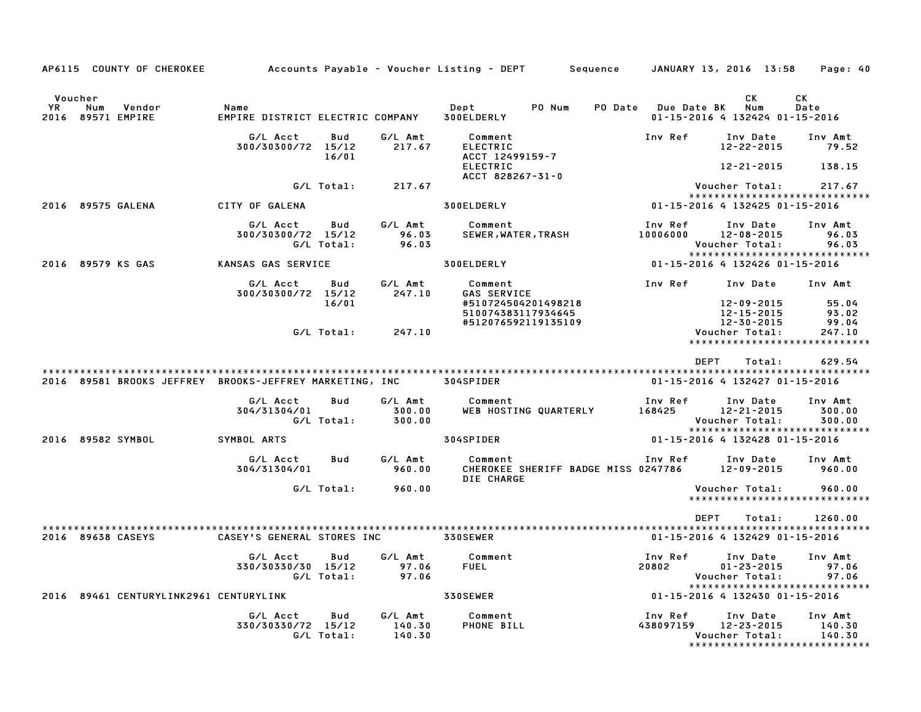|                        |     | AP6115 COUNTY OF CHEROKEE              |                                                         |                   |                             | Accounts Payable – Voucher Listing – DEPT         Sequence   |                     |                      | JANUARY 13, 2016 13:58                         | Page: 40                                                       |
|------------------------|-----|----------------------------------------|---------------------------------------------------------|-------------------|-----------------------------|--------------------------------------------------------------|---------------------|----------------------|------------------------------------------------|----------------------------------------------------------------|
|                        |     |                                        |                                                         |                   |                             |                                                              |                     |                      |                                                |                                                                |
| Voucher<br>YR.<br>2016 | Num | Vendor<br>89571 EMPIRE                 | Name<br>EMPIRE DISTRICT ELECTRIC COMPANY                |                   |                             | Dept<br>PO Num<br>300ELDERLY                                 | PO Date Due Date BK |                      | СK<br>Num<br>01-15-2016 4 132424 01-15-2016    | <b>CK</b><br>Date                                              |
|                        |     |                                        | G/L Acct<br>300/30300/72 15/12                          | Bud<br>16/01      | G/L Amt<br>217.67           | Comment<br><b>ELECTRIC</b><br>ACCT 12499159-7                |                     | Inv Ref              | Inv Date<br>12-22-2015                         | Inv Amt<br>79.52                                               |
|                        |     |                                        |                                                         |                   |                             | <b>ELECTRIC</b><br>ACCT 828267-31-0                          |                     |                      | 12-21-2015                                     | 138.15                                                         |
|                        |     |                                        |                                                         | G/L Total:        | 217.67                      |                                                              |                     |                      | Voucher Total:                                 | 217.67<br>*****************************                        |
|                        |     | 2016 89575 GALENA                      | CITY OF GALENA                                          |                   |                             | 300ELDERLY                                                   |                     |                      | 01-15-2016 4 132425 01-15-2016                 |                                                                |
|                        |     |                                        | G/L Acct<br>300/30300/72 15/12                          | Bud<br>G/L Total: | G/L Amt<br>96.03<br>96.03   | Comment<br>SEWER, WATER, TRASH                               |                     | Inv Ref<br>10006000  | Inv Date<br>12-08-2015<br>Voucher Total:       | Inv Amt<br>96.03<br>96.03<br>*****************************     |
|                        |     | 2016 89579 KS GAS                      | KANSAS GAS SERVICE                                      |                   |                             | 300ELDERLY                                                   |                     |                      | 01-15-2016 4 132426 01-15-2016                 |                                                                |
|                        |     |                                        | G/L Acct<br>300/30300/72 15/12                          | Bud               | G/L Amt<br>247.10           | Comment<br>GAS SERVICE                                       |                     | Inv Ref              | Inv Date                                       | Inv Amt                                                        |
|                        |     |                                        |                                                         | 16/01             |                             | #510724504201498218<br>510074383117934645                    |                     |                      | 12-09-2015<br>12-15-2015                       | 55.04<br>93.02                                                 |
|                        |     |                                        |                                                         | G/L Total:        | 247.10                      | #512076592119135109                                          |                     |                      | 12-30-2015<br>Voucher Total:                   | 99.04<br>247.10<br>*****************************               |
|                        |     |                                        |                                                         |                   |                             |                                                              |                     | <b>DEPT</b>          | Total:                                         | 629.54                                                         |
|                        |     |                                        | 2016 89581 BROOKS JEFFREY BROOKS-JEFFREY MARKETING, INC |                   |                             | 304SPIDER                                                    |                     |                      | 01-15-2016 4 132427 01-15-2016                 |                                                                |
|                        |     |                                        | G/L Acct<br>304/31304/01                                | Bud<br>G/L Total: | G/L Amt<br>300.00<br>300.00 | Comment<br>WEB HOSTING QUARTERLY                             |                     | Inv Ref<br>168425    | Inv Date<br>12-21-2015<br>Voucher Total:       | Inv Amt<br>300.00<br>300.00<br>*****************************   |
|                        |     | 2016 89582 SYMBOL                      | SYMBOL ARTS                                             |                   |                             | 304SPIDER                                                    |                     |                      | 01-15-2016 4 132428 01-15-2016                 |                                                                |
|                        |     |                                        | G/L Acct<br>304/31304/01                                | Bud               | G/L Amt<br>960.00           | Comment<br>CHEROKEE SHERIFF BADGE MISS 0247786<br>DIE CHARGE |                     | Inv Ref              | Inv Date<br>12-09-2015                         | Inv Amt<br>960.00                                              |
|                        |     |                                        |                                                         | G/L Total:        | 960.00                      |                                                              |                     |                      | Voucher Total:                                 | 960.00                                                         |
|                        |     |                                        |                                                         |                   |                             |                                                              |                     |                      |                                                | *****************************                                  |
|                        |     |                                        |                                                         |                   |                             |                                                              |                     | <b>DEPT</b>          | Total:                                         | 1260.00                                                        |
|                        |     | 2016 89638 CASEYS                      | CASEY'S GENERAL STORES INC                              |                   |                             | <b>330SEWER</b>                                              |                     |                      | 01-15-2016 4 132429 01-15-2016                 |                                                                |
|                        |     |                                        | G/L Acct<br>330/30330/30 15/12                          | Bud<br>G/L Total: | G/L Amt<br>97.06<br>97.06   | Comment<br><b>FUEL</b>                                       | 20802               | Inv Ref              | Inv Date<br>$01 - 23 - 2015$<br>Voucher Total: | Inv Amt<br>97.06<br>97.06<br>*****************************     |
|                        |     | 2016 89461 CENTURYLINK2961 CENTURYLINK |                                                         |                   |                             | <b>330SEWER</b>                                              |                     |                      | 01-15-2016 4 132430 01-15-2016                 |                                                                |
|                        |     |                                        | G/L Acct<br>330/30330/72 15/12                          | Bud<br>G/L Total: | G/L Amt<br>140.30<br>140.30 | Comment<br>PHONE BILL                                        |                     | Inv Ref<br>438097159 | Inv Date<br>$12 - 23 - 2015$<br>Voucher Total: | Inv Amt<br>140.30<br>140.30<br>******************************* |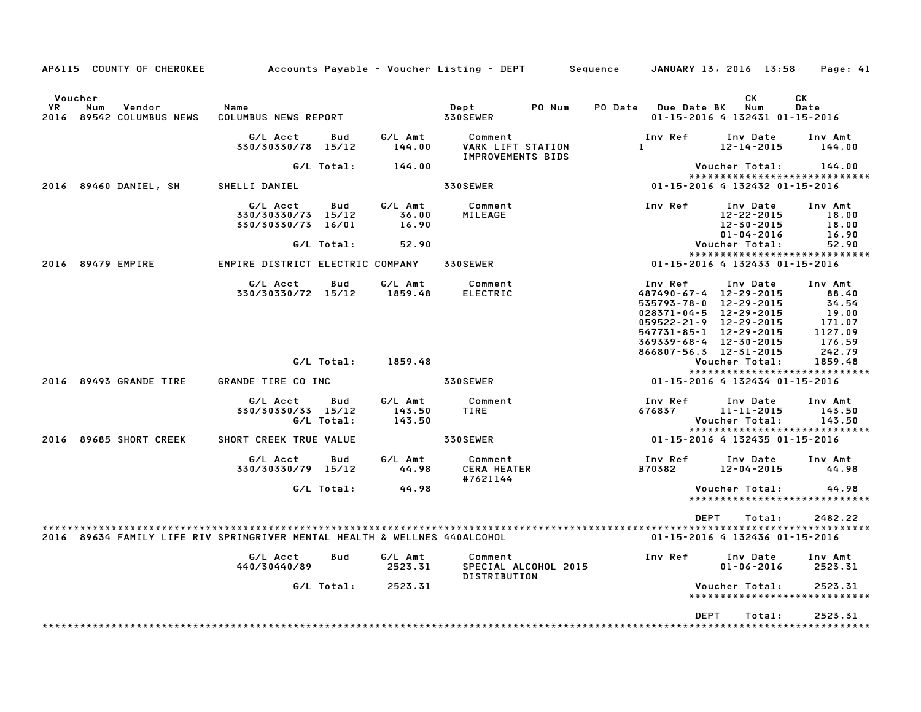| AP6115 COUNTY OF CHEROKEE                                                 | Accounts Payable – Voucher Listing – DEPT            |                   |                             |                                                                 | Sequence |                                                                                                      | JANUARY 13, 2016 13:58                                   | Page: 41                                                                          |
|---------------------------------------------------------------------------|------------------------------------------------------|-------------------|-----------------------------|-----------------------------------------------------------------|----------|------------------------------------------------------------------------------------------------------|----------------------------------------------------------|-----------------------------------------------------------------------------------|
| Voucher<br>YR<br>Num<br>Vendor<br>2016 89542 COLUMBUS NEWS                | Name<br>COLUMBUS NEWS REPORT                         |                   |                             | Dept<br>330SEWER                                                | PO Num   | PO Date Due Date BK                                                                                  | СK<br>Num<br>01-15-2016 4 132431 01-15-2016              | СK<br>Date                                                                        |
|                                                                           | G/L Acct<br>330/30330/78 15/12                       | Bud               | G/L Amt<br>144.00           | Comment<br><b>VARK LIFT STATION</b><br><b>IMPROVEMENTS BIDS</b> |          | Inv Ref<br>$\mathbf{1}$                                                                              | Inv Date<br>$12 - 14 - 2015$                             | Inv Amt<br>144.00                                                                 |
|                                                                           |                                                      | G/L Total:        | 144.00                      |                                                                 |          |                                                                                                      | Voucher Total:                                           | 144.00                                                                            |
| 2016 89460 DANIEL, SH                                                     | SHELLI DANIEL                                        |                   |                             | 330SEWER                                                        |          |                                                                                                      | 01-15-2016 4 132432 01-15-2016                           | *****************************                                                     |
|                                                                           | G/L Acct<br>330/30330/73 15/12<br>330/30330/73 16/01 | Bud               | G/L Amt<br>36.00<br>16.90   | Comment<br>MILEAGE                                              |          | Inv Ref                                                                                              | Inv Date<br>12-22-2015<br>12-30-2015<br>$01 - 04 - 2016$ | Inv Amt<br>18.00<br>18.00<br>16.90                                                |
|                                                                           |                                                      | G/L Total:        | 52.90                       |                                                                 |          |                                                                                                      | Voucher Total:                                           | 52.90                                                                             |
|                                                                           |                                                      |                   |                             |                                                                 |          |                                                                                                      |                                                          | *****************************                                                     |
| 2016 89479 EMPIRE                                                         | EMPIRE DISTRICT ELECTRIC COMPANY                     |                   |                             | 330SEWER                                                        |          |                                                                                                      | 01-15-2016 4 132433 01-15-2016                           |                                                                                   |
|                                                                           | G/L Acct<br>330/30330/72 15/12                       | Bud               | G/L Amt<br>1859.48          | Comment<br><b>ELECTRIC</b>                                      |          | Inv Ref<br>487490-67-4 12-29-2015<br>535793-78-0 12-29-2015<br>$028371 - 04 - 5$ $12 - 29 - 2015$    | Inv Date                                                 | Inv Amt<br>88.40<br>34.54<br>19.00                                                |
|                                                                           |                                                      | G/L Total:        | 1859.48                     |                                                                 |          | 059522-21-9 12-29-2015<br>547731-85-1 12-29-2015<br>369339-68-4 12-30-2015<br>866807-56.3 12-31-2015 | Voucher Total:                                           | 171.07<br>1127.09<br>176.59<br>242.79<br>1859.48<br>***************************** |
| 2016 89493 GRANDE TIRE                                                    | GRANDE TIRE CO INC                                   |                   |                             | 330SEWER                                                        |          |                                                                                                      | 01-15-2016 4 132434 01-15-2016                           |                                                                                   |
|                                                                           | G/L Acct<br>330/30330/33 15/12                       | Bud<br>G/L Total: | G/L Amt<br>143.50<br>143.50 | Comment<br>TIRE                                                 |          | Inv Ref<br>676837                                                                                    | Inv Date<br>11-11-2015<br>Voucher Total:                 | Inv Amt<br>143.50<br>143.50                                                       |
| 2016 89685 SHORT CREEK                                                    | SHORT CREEK TRUE VALUE                               |                   |                             | 330SEWER                                                        |          | 01-15-2016 4 132435 01-15-2016                                                                       |                                                          | *****************************                                                     |
|                                                                           | G/L Acct<br>330/30330/79 15/12                       | Bud               | G/L Amt<br>44.98            | Comment<br><b>CERA HEATER</b><br>#7621144                       |          | Inv Ref<br>B70382                                                                                    | Inv Date<br>12-04-2015                                   | Inv Amt<br>44.98                                                                  |
|                                                                           |                                                      | G/L Total:        | 44.98                       |                                                                 |          |                                                                                                      | Voucher Total:                                           | 44.98<br>*****************************                                            |
| 2016 89634 FAMILY LIFE RIV SPRINGRIVER MENTAL HEALTH & WELLNES 440ALCOHOL |                                                      |                   |                             |                                                                 |          | DEPT                                                                                                 | Total:<br>01-15-2016 4 132436 01-15-2016                 | 2482.22                                                                           |
|                                                                           | G/L Acct<br>440/30440/89                             | Bud               | G/L Amt<br>2523.31          | Comment<br>SPECIAL ALCOHOL 2015<br><b>DISTRIBUTION</b>          |          | Inv Ref                                                                                              | Inv Date<br>$01 - 06 - 2016$                             | Inv Amt<br>2523.31                                                                |
|                                                                           |                                                      | G/L Total:        | 2523.31                     |                                                                 |          |                                                                                                      | Voucher Total:                                           | 2523.31<br>*****************************                                          |
|                                                                           |                                                      |                   |                             |                                                                 |          | <b>DEPT</b>                                                                                          | Total:                                                   | 2523.31                                                                           |